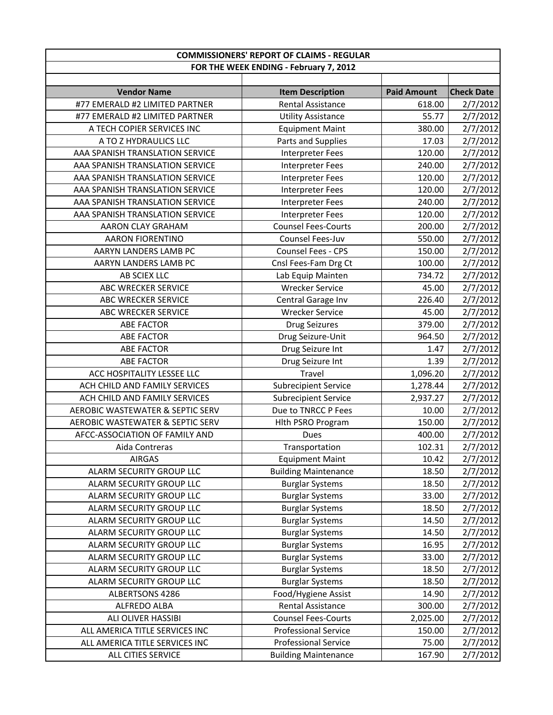|                                             | <b>COMMISSIONERS' REPORT OF CLAIMS - REGULAR</b> |                    |                   |
|---------------------------------------------|--------------------------------------------------|--------------------|-------------------|
|                                             | FOR THE WEEK ENDING - February 7, 2012           |                    |                   |
|                                             |                                                  |                    |                   |
| <b>Vendor Name</b>                          | <b>Item Description</b>                          | <b>Paid Amount</b> | <b>Check Date</b> |
| #77 EMERALD #2 LIMITED PARTNER              | <b>Rental Assistance</b>                         | 618.00             | 2/7/2012          |
| #77 EMERALD #2 LIMITED PARTNER              | <b>Utility Assistance</b>                        | 55.77              | 2/7/2012          |
| A TECH COPIER SERVICES INC                  | <b>Equipment Maint</b>                           | 380.00             | 2/7/2012          |
| A TO Z HYDRAULICS LLC                       | Parts and Supplies                               | 17.03              | 2/7/2012          |
| AAA SPANISH TRANSLATION SERVICE             | Interpreter Fees                                 | 120.00             | 2/7/2012          |
| AAA SPANISH TRANSLATION SERVICE             | <b>Interpreter Fees</b>                          | 240.00             | 2/7/2012          |
| AAA SPANISH TRANSLATION SERVICE             | Interpreter Fees                                 | 120.00             | 2/7/2012          |
| AAA SPANISH TRANSLATION SERVICE             | Interpreter Fees                                 | 120.00             | 2/7/2012          |
| AAA SPANISH TRANSLATION SERVICE             | <b>Interpreter Fees</b>                          | 240.00             | 2/7/2012          |
| AAA SPANISH TRANSLATION SERVICE             | <b>Interpreter Fees</b>                          | 120.00             | 2/7/2012          |
| <b>AARON CLAY GRAHAM</b>                    | <b>Counsel Fees-Courts</b>                       | 200.00             | 2/7/2012          |
| <b>AARON FIORENTINO</b>                     | <b>Counsel Fees-Juv</b>                          | 550.00             | 2/7/2012          |
| AARYN LANDERS LAMB PC                       | <b>Counsel Fees - CPS</b>                        | 150.00             | 2/7/2012          |
| AARYN LANDERS LAMB PC                       | Cnsl Fees-Fam Drg Ct                             | 100.00             | 2/7/2012          |
| AB SCIEX LLC                                | Lab Equip Mainten                                | 734.72             | 2/7/2012          |
| <b>ABC WRECKER SERVICE</b>                  | <b>Wrecker Service</b>                           | 45.00              | 2/7/2012          |
| ABC WRECKER SERVICE                         | Central Garage Inv                               | 226.40             | 2/7/2012          |
| ABC WRECKER SERVICE                         | <b>Wrecker Service</b>                           | 45.00              | 2/7/2012          |
| <b>ABE FACTOR</b>                           | <b>Drug Seizures</b>                             | 379.00             | 2/7/2012          |
| <b>ABE FACTOR</b>                           | Drug Seizure-Unit                                | 964.50             | 2/7/2012          |
| <b>ABE FACTOR</b>                           | Drug Seizure Int                                 | 1.47               | 2/7/2012          |
| <b>ABE FACTOR</b>                           | Drug Seizure Int                                 | 1.39               | 2/7/2012          |
| ACC HOSPITALITY LESSEE LLC                  | Travel                                           | 1,096.20           | 2/7/2012          |
| ACH CHILD AND FAMILY SERVICES               | <b>Subrecipient Service</b>                      | 1,278.44           | 2/7/2012          |
| ACH CHILD AND FAMILY SERVICES               | <b>Subrecipient Service</b>                      | 2,937.27           | 2/7/2012          |
| AEROBIC WASTEWATER & SEPTIC SERV            | Due to TNRCC P Fees                              | 10.00              | 2/7/2012          |
| <b>AEROBIC WASTEWATER &amp; SEPTIC SERV</b> | Hlth PSRO Program                                | 150.00             | 2/7/2012          |
| AFCC-ASSOCIATION OF FAMILY AND              | Dues                                             | 400.00             | 2/7/2012          |
| Aida Contreras                              | Transportation                                   | 102.31             | 2/7/2012          |
| <b>AIRGAS</b>                               | <b>Equipment Maint</b>                           | 10.42              | 2/7/2012          |
| ALARM SECURITY GROUP LLC                    | <b>Building Maintenance</b>                      | 18.50              | 2/7/2012          |
| ALARM SECURITY GROUP LLC                    | <b>Burglar Systems</b>                           | 18.50              | 2/7/2012          |
| ALARM SECURITY GROUP LLC                    | <b>Burglar Systems</b>                           | 33.00              | 2/7/2012          |
| ALARM SECURITY GROUP LLC                    | <b>Burglar Systems</b>                           | 18.50              | 2/7/2012          |
| ALARM SECURITY GROUP LLC                    | <b>Burglar Systems</b>                           | 14.50              | 2/7/2012          |
| ALARM SECURITY GROUP LLC                    | <b>Burglar Systems</b>                           | 14.50              | 2/7/2012          |
| ALARM SECURITY GROUP LLC                    | <b>Burglar Systems</b>                           | 16.95              | 2/7/2012          |
| ALARM SECURITY GROUP LLC                    | <b>Burglar Systems</b>                           | 33.00              | 2/7/2012          |
| ALARM SECURITY GROUP LLC                    | <b>Burglar Systems</b>                           | 18.50              | 2/7/2012          |
| ALARM SECURITY GROUP LLC                    | <b>Burglar Systems</b>                           | 18.50              | 2/7/2012          |
| ALBERTSONS 4286                             | Food/Hygiene Assist                              | 14.90              | 2/7/2012          |
| ALFREDO ALBA                                | Rental Assistance                                | 300.00             | 2/7/2012          |
| ALI OLIVER HASSIBI                          | <b>Counsel Fees-Courts</b>                       | 2,025.00           | 2/7/2012          |
| ALL AMERICA TITLE SERVICES INC              | <b>Professional Service</b>                      | 150.00             | 2/7/2012          |
| ALL AMERICA TITLE SERVICES INC              | <b>Professional Service</b>                      | 75.00              | 2/7/2012          |
| ALL CITIES SERVICE                          | <b>Building Maintenance</b>                      | 167.90             | 2/7/2012          |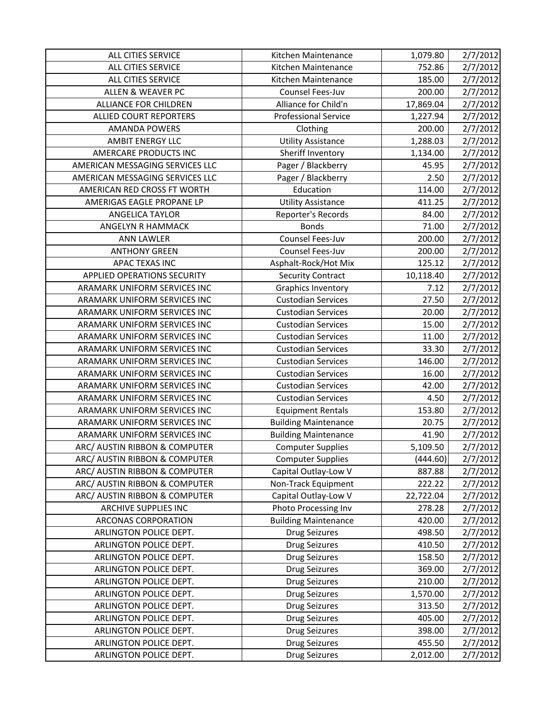| <b>ALL CITIES SERVICE</b>       | Kitchen Maintenance         | 1,079.80  | 2/7/2012 |
|---------------------------------|-----------------------------|-----------|----------|
| ALL CITIES SERVICE              | Kitchen Maintenance         | 752.86    | 2/7/2012 |
| ALL CITIES SERVICE              | Kitchen Maintenance         | 185.00    | 2/7/2012 |
| <b>ALLEN &amp; WEAVER PC</b>    | Counsel Fees-Juv            | 200.00    | 2/7/2012 |
| <b>ALLIANCE FOR CHILDREN</b>    | Alliance for Child'n        | 17,869.04 | 2/7/2012 |
| ALLIED COURT REPORTERS          | <b>Professional Service</b> | 1,227.94  | 2/7/2012 |
| <b>AMANDA POWERS</b>            | Clothing                    | 200.00    | 2/7/2012 |
| <b>AMBIT ENERGY LLC</b>         | <b>Utility Assistance</b>   | 1,288.03  | 2/7/2012 |
| AMERCARE PRODUCTS INC           | Sheriff Inventory           | 1,134.00  | 2/7/2012 |
| AMERICAN MESSAGING SERVICES LLC | Pager / Blackberry          | 45.95     | 2/7/2012 |
| AMERICAN MESSAGING SERVICES LLC | Pager / Blackberry          | 2.50      | 2/7/2012 |
| AMERICAN RED CROSS FT WORTH     | Education                   | 114.00    | 2/7/2012 |
| AMERIGAS EAGLE PROPANE LP       | <b>Utility Assistance</b>   | 411.25    | 2/7/2012 |
| <b>ANGELICA TAYLOR</b>          | Reporter's Records          | 84.00     | 2/7/2012 |
| ANGELYN R HAMMACK               | <b>Bonds</b>                | 71.00     | 2/7/2012 |
| <b>ANN LAWLER</b>               | Counsel Fees-Juv            | 200.00    | 2/7/2012 |
| <b>ANTHONY GREEN</b>            | Counsel Fees-Juv            | 200.00    | 2/7/2012 |
| APAC TEXAS INC                  | Asphalt-Rock/Hot Mix        | 125.12    | 2/7/2012 |
| APPLIED OPERATIONS SECURITY     | <b>Security Contract</b>    | 10,118.40 | 2/7/2012 |
| ARAMARK UNIFORM SERVICES INC    | <b>Graphics Inventory</b>   | 7.12      | 2/7/2012 |
| ARAMARK UNIFORM SERVICES INC    | <b>Custodian Services</b>   | 27.50     | 2/7/2012 |
| ARAMARK UNIFORM SERVICES INC    | <b>Custodian Services</b>   | 20.00     | 2/7/2012 |
| ARAMARK UNIFORM SERVICES INC    | <b>Custodian Services</b>   | 15.00     | 2/7/2012 |
| ARAMARK UNIFORM SERVICES INC    | <b>Custodian Services</b>   | 11.00     | 2/7/2012 |
| ARAMARK UNIFORM SERVICES INC    | <b>Custodian Services</b>   | 33.30     | 2/7/2012 |
| ARAMARK UNIFORM SERVICES INC    | <b>Custodian Services</b>   | 146.00    | 2/7/2012 |
| ARAMARK UNIFORM SERVICES INC    | <b>Custodian Services</b>   | 16.00     | 2/7/2012 |
| ARAMARK UNIFORM SERVICES INC    | <b>Custodian Services</b>   | 42.00     | 2/7/2012 |
| ARAMARK UNIFORM SERVICES INC    | <b>Custodian Services</b>   | 4.50      | 2/7/2012 |
| ARAMARK UNIFORM SERVICES INC    | <b>Equipment Rentals</b>    | 153.80    | 2/7/2012 |
| ARAMARK UNIFORM SERVICES INC    | <b>Building Maintenance</b> | 20.75     | 2/7/2012 |
| ARAMARK UNIFORM SERVICES INC    | <b>Building Maintenance</b> | 41.90     | 2/7/2012 |
| ARC/ AUSTIN RIBBON & COMPUTER   | <b>Computer Supplies</b>    | 5,109.50  | 2/7/2012 |
| ARC/ AUSTIN RIBBON & COMPUTER   | <b>Computer Supplies</b>    | (444.60)  | 2/7/2012 |
| ARC/ AUSTIN RIBBON & COMPUTER   | Capital Outlay-Low V        | 887.88    | 2/7/2012 |
| ARC/ AUSTIN RIBBON & COMPUTER   | Non-Track Equipment         | 222.22    | 2/7/2012 |
| ARC/ AUSTIN RIBBON & COMPUTER   | Capital Outlay-Low V        | 22,722.04 | 2/7/2012 |
| ARCHIVE SUPPLIES INC            | Photo Processing Inv        | 278.28    | 2/7/2012 |
| <b>ARCONAS CORPORATION</b>      | <b>Building Maintenance</b> | 420.00    | 2/7/2012 |
| ARLINGTON POLICE DEPT.          | Drug Seizures               | 498.50    | 2/7/2012 |
| ARLINGTON POLICE DEPT.          | <b>Drug Seizures</b>        | 410.50    | 2/7/2012 |
| ARLINGTON POLICE DEPT.          | <b>Drug Seizures</b>        | 158.50    | 2/7/2012 |
| ARLINGTON POLICE DEPT.          | <b>Drug Seizures</b>        | 369.00    | 2/7/2012 |
| ARLINGTON POLICE DEPT.          | <b>Drug Seizures</b>        | 210.00    | 2/7/2012 |
| ARLINGTON POLICE DEPT.          | <b>Drug Seizures</b>        | 1,570.00  | 2/7/2012 |
| ARLINGTON POLICE DEPT.          | <b>Drug Seizures</b>        | 313.50    | 2/7/2012 |
| ARLINGTON POLICE DEPT.          | <b>Drug Seizures</b>        | 405.00    | 2/7/2012 |
| ARLINGTON POLICE DEPT.          | <b>Drug Seizures</b>        | 398.00    | 2/7/2012 |
| ARLINGTON POLICE DEPT.          | <b>Drug Seizures</b>        | 455.50    | 2/7/2012 |
| ARLINGTON POLICE DEPT.          | <b>Drug Seizures</b>        | 2,012.00  | 2/7/2012 |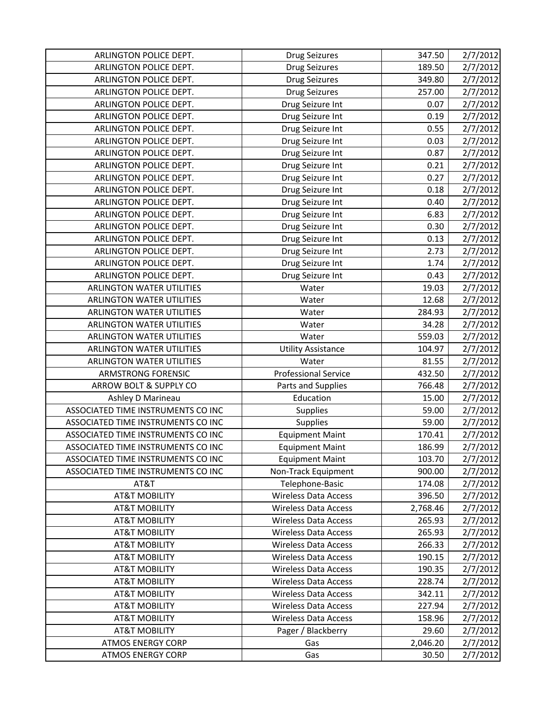| ARLINGTON POLICE DEPT.             | <b>Drug Seizures</b>        | 347.50   | 2/7/2012 |
|------------------------------------|-----------------------------|----------|----------|
| ARLINGTON POLICE DEPT.             | <b>Drug Seizures</b>        | 189.50   | 2/7/2012 |
| ARLINGTON POLICE DEPT.             | <b>Drug Seizures</b>        | 349.80   | 2/7/2012 |
| ARLINGTON POLICE DEPT.             | <b>Drug Seizures</b>        | 257.00   | 2/7/2012 |
| ARLINGTON POLICE DEPT.             | Drug Seizure Int            | 0.07     | 2/7/2012 |
| ARLINGTON POLICE DEPT.             | Drug Seizure Int            | 0.19     | 2/7/2012 |
| ARLINGTON POLICE DEPT.             | Drug Seizure Int            | 0.55     | 2/7/2012 |
| ARLINGTON POLICE DEPT.             | Drug Seizure Int            | 0.03     | 2/7/2012 |
| ARLINGTON POLICE DEPT.             | Drug Seizure Int            | 0.87     | 2/7/2012 |
| ARLINGTON POLICE DEPT.             | Drug Seizure Int            | 0.21     | 2/7/2012 |
| ARLINGTON POLICE DEPT.             | Drug Seizure Int            | 0.27     | 2/7/2012 |
| ARLINGTON POLICE DEPT.             | Drug Seizure Int            | 0.18     | 2/7/2012 |
| ARLINGTON POLICE DEPT.             | Drug Seizure Int            | 0.40     | 2/7/2012 |
| ARLINGTON POLICE DEPT.             | Drug Seizure Int            | 6.83     | 2/7/2012 |
| ARLINGTON POLICE DEPT.             | Drug Seizure Int            | 0.30     | 2/7/2012 |
| ARLINGTON POLICE DEPT.             | Drug Seizure Int            | 0.13     | 2/7/2012 |
| ARLINGTON POLICE DEPT.             | Drug Seizure Int            | 2.73     | 2/7/2012 |
| ARLINGTON POLICE DEPT.             | Drug Seizure Int            | 1.74     | 2/7/2012 |
| ARLINGTON POLICE DEPT.             | Drug Seizure Int            | 0.43     | 2/7/2012 |
| <b>ARLINGTON WATER UTILITIES</b>   | Water                       | 19.03    | 2/7/2012 |
| <b>ARLINGTON WATER UTILITIES</b>   | Water                       | 12.68    | 2/7/2012 |
| <b>ARLINGTON WATER UTILITIES</b>   | Water                       | 284.93   | 2/7/2012 |
| <b>ARLINGTON WATER UTILITIES</b>   | Water                       | 34.28    | 2/7/2012 |
| <b>ARLINGTON WATER UTILITIES</b>   | Water                       | 559.03   | 2/7/2012 |
| <b>ARLINGTON WATER UTILITIES</b>   | <b>Utility Assistance</b>   | 104.97   | 2/7/2012 |
| <b>ARLINGTON WATER UTILITIES</b>   | Water                       | 81.55    | 2/7/2012 |
| <b>ARMSTRONG FORENSIC</b>          | <b>Professional Service</b> | 432.50   | 2/7/2012 |
| ARROW BOLT & SUPPLY CO             | Parts and Supplies          | 766.48   | 2/7/2012 |
| Ashley D Marineau                  | Education                   | 15.00    | 2/7/2012 |
| ASSOCIATED TIME INSTRUMENTS CO INC | Supplies                    | 59.00    | 2/7/2012 |
| ASSOCIATED TIME INSTRUMENTS CO INC | Supplies                    | 59.00    | 2/7/2012 |
| ASSOCIATED TIME INSTRUMENTS CO INC | <b>Equipment Maint</b>      | 170.41   | 2/7/2012 |
| ASSOCIATED TIME INSTRUMENTS CO INC | <b>Equipment Maint</b>      | 186.99   | 2/7/2012 |
| ASSOCIATED TIME INSTRUMENTS CO INC | <b>Equipment Maint</b>      | 103.70   | 2/7/2012 |
| ASSOCIATED TIME INSTRUMENTS CO INC | Non-Track Equipment         | 900.00   | 2/7/2012 |
| AT&T                               | Telephone-Basic             | 174.08   | 2/7/2012 |
| <b>AT&amp;T MOBILITY</b>           | <b>Wireless Data Access</b> | 396.50   | 2/7/2012 |
| <b>AT&amp;T MOBILITY</b>           | <b>Wireless Data Access</b> | 2,768.46 | 2/7/2012 |
| <b>AT&amp;T MOBILITY</b>           | <b>Wireless Data Access</b> | 265.93   | 2/7/2012 |
| <b>AT&amp;T MOBILITY</b>           | <b>Wireless Data Access</b> | 265.93   | 2/7/2012 |
| <b>AT&amp;T MOBILITY</b>           | <b>Wireless Data Access</b> | 266.33   | 2/7/2012 |
| <b>AT&amp;T MOBILITY</b>           | <b>Wireless Data Access</b> | 190.15   | 2/7/2012 |
| <b>AT&amp;T MOBILITY</b>           | Wireless Data Access        | 190.35   | 2/7/2012 |
| <b>AT&amp;T MOBILITY</b>           | <b>Wireless Data Access</b> | 228.74   | 2/7/2012 |
| <b>AT&amp;T MOBILITY</b>           | <b>Wireless Data Access</b> | 342.11   | 2/7/2012 |
| <b>AT&amp;T MOBILITY</b>           | <b>Wireless Data Access</b> | 227.94   | 2/7/2012 |
| <b>AT&amp;T MOBILITY</b>           | <b>Wireless Data Access</b> | 158.96   | 2/7/2012 |
| <b>AT&amp;T MOBILITY</b>           | Pager / Blackberry          | 29.60    | 2/7/2012 |
| <b>ATMOS ENERGY CORP</b>           | Gas                         | 2,046.20 | 2/7/2012 |
|                                    |                             |          |          |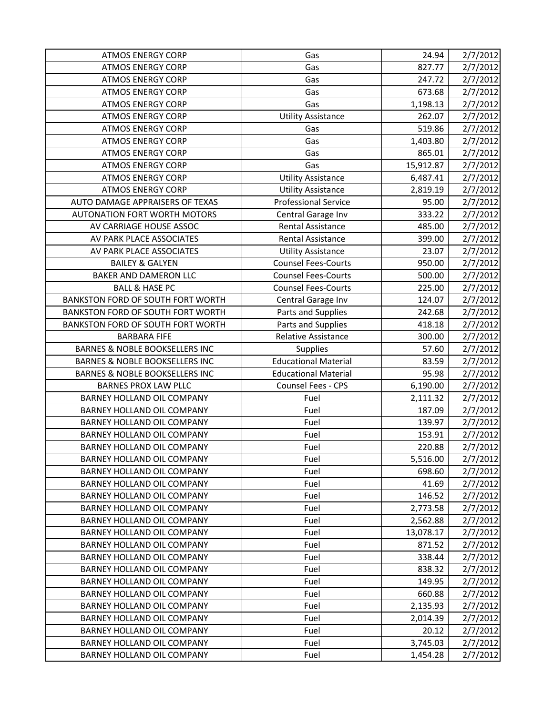| <b>ATMOS ENERGY CORP</b>                  | Gas                         | 24.94     | 2/7/2012 |
|-------------------------------------------|-----------------------------|-----------|----------|
| <b>ATMOS ENERGY CORP</b>                  | Gas                         | 827.77    | 2/7/2012 |
| <b>ATMOS ENERGY CORP</b>                  | Gas                         | 247.72    | 2/7/2012 |
| <b>ATMOS ENERGY CORP</b>                  | Gas                         | 673.68    | 2/7/2012 |
| <b>ATMOS ENERGY CORP</b>                  | Gas                         | 1,198.13  | 2/7/2012 |
| <b>ATMOS ENERGY CORP</b>                  | <b>Utility Assistance</b>   | 262.07    | 2/7/2012 |
| <b>ATMOS ENERGY CORP</b>                  | Gas                         | 519.86    | 2/7/2012 |
| <b>ATMOS ENERGY CORP</b>                  | Gas                         | 1,403.80  | 2/7/2012 |
| <b>ATMOS ENERGY CORP</b>                  | Gas                         | 865.01    | 2/7/2012 |
| <b>ATMOS ENERGY CORP</b>                  | Gas                         | 15,912.87 | 2/7/2012 |
| <b>ATMOS ENERGY CORP</b>                  | <b>Utility Assistance</b>   | 6,487.41  | 2/7/2012 |
| <b>ATMOS ENERGY CORP</b>                  | <b>Utility Assistance</b>   | 2,819.19  | 2/7/2012 |
| AUTO DAMAGE APPRAISERS OF TEXAS           | <b>Professional Service</b> | 95.00     | 2/7/2012 |
| <b>AUTONATION FORT WORTH MOTORS</b>       | Central Garage Inv          | 333.22    | 2/7/2012 |
| AV CARRIAGE HOUSE ASSOC                   | Rental Assistance           | 485.00    | 2/7/2012 |
| AV PARK PLACE ASSOCIATES                  | <b>Rental Assistance</b>    | 399.00    | 2/7/2012 |
| AV PARK PLACE ASSOCIATES                  | <b>Utility Assistance</b>   | 23.07     | 2/7/2012 |
| <b>BAILEY &amp; GALYEN</b>                | <b>Counsel Fees-Courts</b>  | 950.00    | 2/7/2012 |
| BAKER AND DAMERON LLC                     | <b>Counsel Fees-Courts</b>  | 500.00    | 2/7/2012 |
| <b>BALL &amp; HASE PC</b>                 | <b>Counsel Fees-Courts</b>  | 225.00    | 2/7/2012 |
| BANKSTON FORD OF SOUTH FORT WORTH         | Central Garage Inv          | 124.07    | 2/7/2012 |
| <b>BANKSTON FORD OF SOUTH FORT WORTH</b>  | Parts and Supplies          | 242.68    | 2/7/2012 |
| BANKSTON FORD OF SOUTH FORT WORTH         | Parts and Supplies          | 418.18    | 2/7/2012 |
| <b>BARBARA FIFE</b>                       | Relative Assistance         | 300.00    | 2/7/2012 |
| BARNES & NOBLE BOOKSELLERS INC            | <b>Supplies</b>             | 57.60     | 2/7/2012 |
| <b>BARNES &amp; NOBLE BOOKSELLERS INC</b> | <b>Educational Material</b> | 83.59     | 2/7/2012 |
| <b>BARNES &amp; NOBLE BOOKSELLERS INC</b> | <b>Educational Material</b> | 95.98     | 2/7/2012 |
| <b>BARNES PROX LAW PLLC</b>               | Counsel Fees - CPS          | 6,190.00  | 2/7/2012 |
|                                           |                             |           |          |
| <b>BARNEY HOLLAND OIL COMPANY</b>         | Fuel                        | 2,111.32  | 2/7/2012 |
| BARNEY HOLLAND OIL COMPANY                | Fuel                        | 187.09    | 2/7/2012 |
| <b>BARNEY HOLLAND OIL COMPANY</b>         | Fuel                        | 139.97    | 2/7/2012 |
| BARNEY HOLLAND OIL COMPANY                | Fuel                        | 153.91    | 2/7/2012 |
| BARNEY HOLLAND OIL COMPANY                | Fuel                        | 220.88    | 2/7/2012 |
| BARNEY HOLLAND OIL COMPANY                | Fuel                        | 5,516.00  | 2/7/2012 |
| <b>BARNEY HOLLAND OIL COMPANY</b>         | Fuel                        | 698.60    | 2/7/2012 |
| BARNEY HOLLAND OIL COMPANY                | Fuel                        | 41.69     | 2/7/2012 |
| BARNEY HOLLAND OIL COMPANY                | Fuel                        | 146.52    | 2/7/2012 |
| <b>BARNEY HOLLAND OIL COMPANY</b>         | Fuel                        | 2,773.58  | 2/7/2012 |
| BARNEY HOLLAND OIL COMPANY                | Fuel                        | 2,562.88  | 2/7/2012 |
| <b>BARNEY HOLLAND OIL COMPANY</b>         | Fuel                        | 13,078.17 | 2/7/2012 |
| BARNEY HOLLAND OIL COMPANY                | Fuel                        | 871.52    | 2/7/2012 |
| BARNEY HOLLAND OIL COMPANY                | Fuel                        | 338.44    | 2/7/2012 |
| BARNEY HOLLAND OIL COMPANY                | Fuel                        | 838.32    | 2/7/2012 |
| BARNEY HOLLAND OIL COMPANY                | Fuel                        | 149.95    | 2/7/2012 |
| BARNEY HOLLAND OIL COMPANY                | Fuel                        | 660.88    | 2/7/2012 |
| BARNEY HOLLAND OIL COMPANY                | Fuel                        | 2,135.93  | 2/7/2012 |
| BARNEY HOLLAND OIL COMPANY                | Fuel                        | 2,014.39  | 2/7/2012 |
| BARNEY HOLLAND OIL COMPANY                | Fuel                        | 20.12     | 2/7/2012 |
| BARNEY HOLLAND OIL COMPANY                | Fuel                        | 3,745.03  | 2/7/2012 |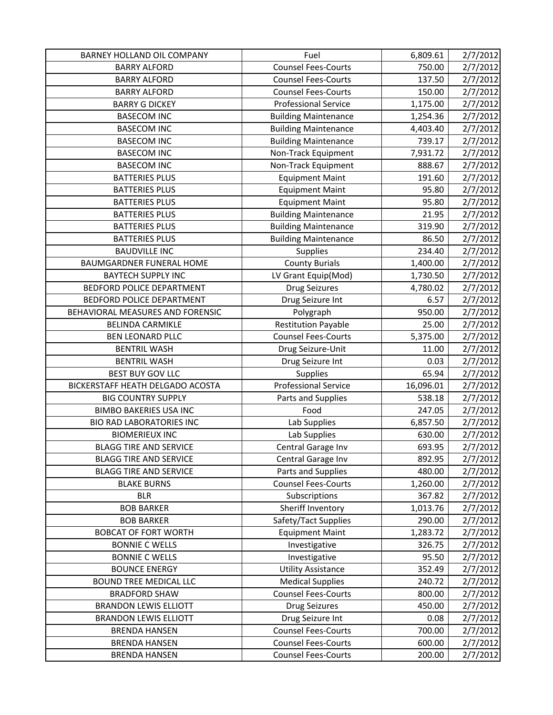| BARNEY HOLLAND OIL COMPANY                   | Fuel                                                     | 6,809.61         | 2/7/2012                         |
|----------------------------------------------|----------------------------------------------------------|------------------|----------------------------------|
| <b>BARRY ALFORD</b>                          | <b>Counsel Fees-Courts</b>                               | 750.00           | 2/7/2012                         |
| <b>BARRY ALFORD</b>                          | <b>Counsel Fees-Courts</b>                               | 137.50           | 2/7/2012                         |
| <b>BARRY ALFORD</b>                          | <b>Counsel Fees-Courts</b>                               | 150.00           | 2/7/2012                         |
| <b>BARRY G DICKEY</b>                        | <b>Professional Service</b>                              | 1,175.00         | 2/7/2012                         |
| <b>BASECOM INC</b>                           | <b>Building Maintenance</b>                              | 1,254.36         | 2/7/2012                         |
| <b>BASECOM INC</b>                           | <b>Building Maintenance</b>                              | 4,403.40         | 2/7/2012                         |
| <b>BASECOM INC</b>                           | <b>Building Maintenance</b>                              | 739.17           | 2/7/2012                         |
| <b>BASECOM INC</b>                           | Non-Track Equipment                                      | 7,931.72         | 2/7/2012                         |
| <b>BASECOM INC</b>                           | Non-Track Equipment                                      | 888.67           | 2/7/2012                         |
| <b>BATTERIES PLUS</b>                        | <b>Equipment Maint</b>                                   | 191.60           | 2/7/2012                         |
| <b>BATTERIES PLUS</b>                        | <b>Equipment Maint</b>                                   | 95.80            | 2/7/2012                         |
| <b>BATTERIES PLUS</b>                        | <b>Equipment Maint</b>                                   | 95.80            | 2/7/2012                         |
| <b>BATTERIES PLUS</b>                        | <b>Building Maintenance</b>                              | 21.95            | 2/7/2012                         |
| <b>BATTERIES PLUS</b>                        | <b>Building Maintenance</b>                              | 319.90           | 2/7/2012                         |
| <b>BATTERIES PLUS</b>                        | <b>Building Maintenance</b>                              | 86.50            | 2/7/2012                         |
| <b>BAUDVILLE INC</b>                         | Supplies                                                 | 234.40           | 2/7/2012                         |
| <b>BAUMGARDNER FUNERAL HOME</b>              | <b>County Burials</b>                                    | 1,400.00         | 2/7/2012                         |
| <b>BAYTECH SUPPLY INC</b>                    | LV Grant Equip(Mod)                                      | 1,730.50         | 2/7/2012                         |
| BEDFORD POLICE DEPARTMENT                    | <b>Drug Seizures</b>                                     | 4,780.02         | 2/7/2012                         |
| BEDFORD POLICE DEPARTMENT                    | Drug Seizure Int                                         | 6.57             | 2/7/2012                         |
| BEHAVIORAL MEASURES AND FORENSIC             | Polygraph                                                | 950.00           | 2/7/2012                         |
| <b>BELINDA CARMIKLE</b>                      | <b>Restitution Payable</b>                               | 25.00            | 2/7/2012                         |
| <b>BEN LEONARD PLLC</b>                      | <b>Counsel Fees-Courts</b>                               | 5,375.00         | 2/7/2012                         |
| <b>BENTRIL WASH</b>                          | Drug Seizure-Unit                                        | 11.00            | 2/7/2012                         |
|                                              |                                                          |                  |                                  |
| <b>BENTRIL WASH</b>                          | Drug Seizure Int                                         | 0.03             | 2/7/2012                         |
| <b>BEST BUY GOV LLC</b>                      | Supplies                                                 | 65.94            | 2/7/2012                         |
| BICKERSTAFF HEATH DELGADO ACOSTA             | <b>Professional Service</b>                              | 16,096.01        | 2/7/2012                         |
| <b>BIG COUNTRY SUPPLY</b>                    | Parts and Supplies                                       | 538.18           | 2/7/2012                         |
| <b>BIMBO BAKERIES USA INC</b>                | Food                                                     | 247.05           |                                  |
| <b>BIO RAD LABORATORIES INC</b>              | Lab Supplies                                             | 6,857.50         | 2/7/2012                         |
| <b>BIOMERIEUX INC</b>                        | Lab Supplies                                             | 630.00           |                                  |
| <b>BLAGG TIRE AND SERVICE</b>                | Central Garage Inv                                       | 693.95           | 2/7/2012<br>2/7/2012<br>2/7/2012 |
| <b>BLAGG TIRE AND SERVICE</b>                | Central Garage Inv                                       | 892.95           | 2/7/2012                         |
| <b>BLAGG TIRE AND SERVICE</b>                | Parts and Supplies                                       | 480.00           | 2/7/2012                         |
| <b>BLAKE BURNS</b>                           | <b>Counsel Fees-Courts</b>                               | 1,260.00         | 2/7/2012                         |
| <b>BLR</b>                                   | Subscriptions                                            | 367.82           | 2/7/2012                         |
| <b>BOB BARKER</b>                            | Sheriff Inventory                                        | 1,013.76         | 2/7/2012                         |
| <b>BOB BARKER</b>                            | Safety/Tact Supplies                                     | 290.00           | 2/7/2012                         |
| <b>BOBCAT OF FORT WORTH</b>                  | <b>Equipment Maint</b>                                   | 1,283.72         | 2/7/2012                         |
| <b>BONNIE C WELLS</b>                        | Investigative                                            | 326.75           | 2/7/2012                         |
| <b>BONNIE C WELLS</b>                        | Investigative                                            | 95.50            | 2/7/2012                         |
| <b>BOUNCE ENERGY</b>                         | <b>Utility Assistance</b>                                | 352.49           | 2/7/2012                         |
| <b>BOUND TREE MEDICAL LLC</b>                | <b>Medical Supplies</b>                                  | 240.72           |                                  |
| <b>BRADFORD SHAW</b>                         | <b>Counsel Fees-Courts</b>                               | 800.00           |                                  |
| <b>BRANDON LEWIS ELLIOTT</b>                 | <b>Drug Seizures</b>                                     | 450.00           | 2/7/2012<br>2/7/2012<br>2/7/2012 |
| <b>BRANDON LEWIS ELLIOTT</b>                 | Drug Seizure Int                                         | 0.08             | 2/7/2012                         |
| <b>BRENDA HANSEN</b>                         | <b>Counsel Fees-Courts</b>                               | 700.00           | 2/7/2012                         |
| <b>BRENDA HANSEN</b><br><b>BRENDA HANSEN</b> | <b>Counsel Fees-Courts</b><br><b>Counsel Fees-Courts</b> | 600.00<br>200.00 | 2/7/2012<br>2/7/2012             |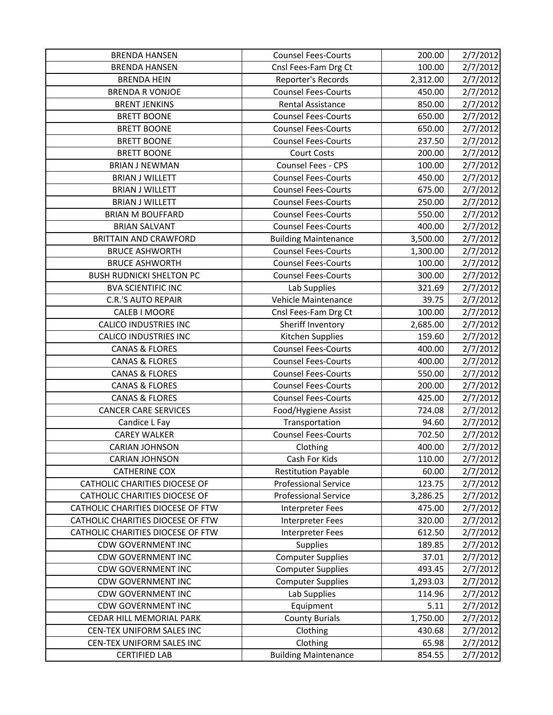| <b>BRENDA HANSEN</b>              | <b>Counsel Fees-Courts</b>  | 200.00   | 2/7/2012 |
|-----------------------------------|-----------------------------|----------|----------|
| <b>BRENDA HANSEN</b>              | Cnsl Fees-Fam Drg Ct        | 100.00   | 2/7/2012 |
| <b>BRENDA HEIN</b>                | Reporter's Records          | 2,312.00 | 2/7/2012 |
| <b>BRENDA R VONJOE</b>            | <b>Counsel Fees-Courts</b>  | 450.00   | 2/7/2012 |
| <b>BRENT JENKINS</b>              | <b>Rental Assistance</b>    | 850.00   | 2/7/2012 |
| <b>BRETT BOONE</b>                | <b>Counsel Fees-Courts</b>  | 650.00   | 2/7/2012 |
| <b>BRETT BOONE</b>                | <b>Counsel Fees-Courts</b>  | 650.00   | 2/7/2012 |
| <b>BRETT BOONE</b>                | <b>Counsel Fees-Courts</b>  | 237.50   | 2/7/2012 |
| <b>BRETT BOONE</b>                | <b>Court Costs</b>          | 200.00   | 2/7/2012 |
| <b>BRIAN J NEWMAN</b>             | Counsel Fees - CPS          | 100.00   | 2/7/2012 |
| <b>BRIAN J WILLETT</b>            | <b>Counsel Fees-Courts</b>  | 450.00   | 2/7/2012 |
| <b>BRIAN J WILLETT</b>            | <b>Counsel Fees-Courts</b>  | 675.00   | 2/7/2012 |
| <b>BRIAN J WILLETT</b>            | <b>Counsel Fees-Courts</b>  | 250.00   | 2/7/2012 |
| <b>BRIAN M BOUFFARD</b>           | <b>Counsel Fees-Courts</b>  | 550.00   | 2/7/2012 |
| <b>BRIAN SALVANT</b>              | <b>Counsel Fees-Courts</b>  | 400.00   | 2/7/2012 |
| <b>BRITTAIN AND CRAWFORD</b>      | <b>Building Maintenance</b> | 3,500.00 | 2/7/2012 |
| <b>BRUCE ASHWORTH</b>             | <b>Counsel Fees-Courts</b>  | 1,300.00 | 2/7/2012 |
| <b>BRUCE ASHWORTH</b>             | <b>Counsel Fees-Courts</b>  | 100.00   | 2/7/2012 |
| <b>BUSH RUDNICKI SHELTON PC</b>   | <b>Counsel Fees-Courts</b>  | 300.00   | 2/7/2012 |
| <b>BVA SCIENTIFIC INC</b>         | Lab Supplies                | 321.69   | 2/7/2012 |
| <b>C.R.'S AUTO REPAIR</b>         | Vehicle Maintenance         | 39.75    | 2/7/2012 |
| <b>CALEB I MOORE</b>              | Cnsl Fees-Fam Drg Ct        | 100.00   | 2/7/2012 |
| <b>CALICO INDUSTRIES INC</b>      | Sheriff Inventory           | 2,685.00 | 2/7/2012 |
| <b>CALICO INDUSTRIES INC</b>      | Kitchen Supplies            | 159.60   | 2/7/2012 |
| <b>CANAS &amp; FLORES</b>         | <b>Counsel Fees-Courts</b>  | 400.00   | 2/7/2012 |
| <b>CANAS &amp; FLORES</b>         | <b>Counsel Fees-Courts</b>  | 400.00   | 2/7/2012 |
| <b>CANAS &amp; FLORES</b>         | <b>Counsel Fees-Courts</b>  | 550.00   | 2/7/2012 |
| <b>CANAS &amp; FLORES</b>         | <b>Counsel Fees-Courts</b>  | 200.00   | 2/7/2012 |
| <b>CANAS &amp; FLORES</b>         | <b>Counsel Fees-Courts</b>  | 425.00   | 2/7/2012 |
| <b>CANCER CARE SERVICES</b>       | Food/Hygiene Assist         | 724.08   | 2/7/2012 |
| Candice L Fay                     | Transportation              | 94.60    | 2/7/2012 |
| <b>CAREY WALKER</b>               | <b>Counsel Fees-Courts</b>  | 702.50   | 2/7/2012 |
| <b>CARIAN JOHNSON</b>             | Clothing                    | 400.00   | 2/7/2012 |
| <b>CARIAN JOHNSON</b>             | Cash For Kids               | 110.00   | 2/7/2012 |
| <b>CATHERINE COX</b>              | <b>Restitution Payable</b>  | 60.00    | 2/7/2012 |
| CATHOLIC CHARITIES DIOCESE OF     | <b>Professional Service</b> | 123.75   | 2/7/2012 |
| CATHOLIC CHARITIES DIOCESE OF     | <b>Professional Service</b> | 3,286.25 | 2/7/2012 |
| CATHOLIC CHARITIES DIOCESE OF FTW | Interpreter Fees            | 475.00   | 2/7/2012 |
| CATHOLIC CHARITIES DIOCESE OF FTW | Interpreter Fees            | 320.00   | 2/7/2012 |
| CATHOLIC CHARITIES DIOCESE OF FTW | Interpreter Fees            | 612.50   | 2/7/2012 |
| <b>CDW GOVERNMENT INC</b>         | Supplies                    | 189.85   | 2/7/2012 |
| <b>CDW GOVERNMENT INC</b>         | <b>Computer Supplies</b>    | 37.01    | 2/7/2012 |
| <b>CDW GOVERNMENT INC</b>         | <b>Computer Supplies</b>    | 493.45   | 2/7/2012 |
| <b>CDW GOVERNMENT INC</b>         | <b>Computer Supplies</b>    | 1,293.03 | 2/7/2012 |
| <b>CDW GOVERNMENT INC</b>         | Lab Supplies                | 114.96   | 2/7/2012 |
| <b>CDW GOVERNMENT INC</b>         | Equipment                   | 5.11     | 2/7/2012 |
| CEDAR HILL MEMORIAL PARK          | <b>County Burials</b>       | 1,750.00 | 2/7/2012 |
| CEN-TEX UNIFORM SALES INC         | Clothing                    | 430.68   | 2/7/2012 |
| CEN-TEX UNIFORM SALES INC         | Clothing                    | 65.98    | 2/7/2012 |
| <b>CERTIFIED LAB</b>              | <b>Building Maintenance</b> | 854.55   | 2/7/2012 |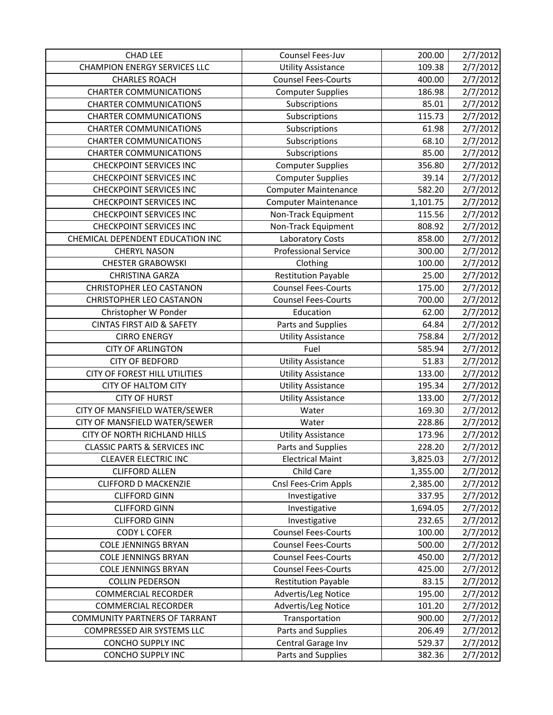| <b>CHAD LEE</b>                         | Counsel Fees-Juv            | 200.00   | 2/7/2012 |
|-----------------------------------------|-----------------------------|----------|----------|
| <b>CHAMPION ENERGY SERVICES LLC</b>     | <b>Utility Assistance</b>   | 109.38   | 2/7/2012 |
| <b>CHARLES ROACH</b>                    | <b>Counsel Fees-Courts</b>  | 400.00   | 2/7/2012 |
| <b>CHARTER COMMUNICATIONS</b>           | <b>Computer Supplies</b>    | 186.98   | 2/7/2012 |
| <b>CHARTER COMMUNICATIONS</b>           | Subscriptions               | 85.01    | 2/7/2012 |
| <b>CHARTER COMMUNICATIONS</b>           | Subscriptions               | 115.73   | 2/7/2012 |
| <b>CHARTER COMMUNICATIONS</b>           | Subscriptions               | 61.98    | 2/7/2012 |
| <b>CHARTER COMMUNICATIONS</b>           | Subscriptions               | 68.10    | 2/7/2012 |
| <b>CHARTER COMMUNICATIONS</b>           | Subscriptions               | 85.00    | 2/7/2012 |
| <b>CHECKPOINT SERVICES INC</b>          | <b>Computer Supplies</b>    | 356.80   | 2/7/2012 |
| <b>CHECKPOINT SERVICES INC</b>          | <b>Computer Supplies</b>    | 39.14    | 2/7/2012 |
| <b>CHECKPOINT SERVICES INC</b>          | <b>Computer Maintenance</b> | 582.20   | 2/7/2012 |
| <b>CHECKPOINT SERVICES INC</b>          | <b>Computer Maintenance</b> | 1,101.75 | 2/7/2012 |
| <b>CHECKPOINT SERVICES INC</b>          | Non-Track Equipment         | 115.56   | 2/7/2012 |
| <b>CHECKPOINT SERVICES INC</b>          | Non-Track Equipment         | 808.92   | 2/7/2012 |
| CHEMICAL DEPENDENT EDUCATION INC        | <b>Laboratory Costs</b>     | 858.00   | 2/7/2012 |
| <b>CHERYL NASON</b>                     | <b>Professional Service</b> | 300.00   | 2/7/2012 |
| <b>CHESTER GRABOWSKI</b>                | Clothing                    | 100.00   | 2/7/2012 |
| <b>CHRISTINA GARZA</b>                  | <b>Restitution Payable</b>  | 25.00    | 2/7/2012 |
| <b>CHRISTOPHER LEO CASTANON</b>         | <b>Counsel Fees-Courts</b>  | 175.00   | 2/7/2012 |
| <b>CHRISTOPHER LEO CASTANON</b>         | <b>Counsel Fees-Courts</b>  | 700.00   | 2/7/2012 |
| Christopher W Ponder                    | Education                   | 62.00    | 2/7/2012 |
| <b>CINTAS FIRST AID &amp; SAFETY</b>    | Parts and Supplies          | 64.84    | 2/7/2012 |
| <b>CIRRO ENERGY</b>                     | <b>Utility Assistance</b>   | 758.84   | 2/7/2012 |
| <b>CITY OF ARLINGTON</b>                | Fuel                        | 585.94   | 2/7/2012 |
| <b>CITY OF BEDFORD</b>                  | <b>Utility Assistance</b>   | 51.83    | 2/7/2012 |
| CITY OF FOREST HILL UTILITIES           | <b>Utility Assistance</b>   | 133.00   | 2/7/2012 |
| <b>CITY OF HALTOM CITY</b>              | <b>Utility Assistance</b>   | 195.34   | 2/7/2012 |
| <b>CITY OF HURST</b>                    | <b>Utility Assistance</b>   | 133.00   | 2/7/2012 |
| CITY OF MANSFIELD WATER/SEWER           | Water                       | 169.30   | 2/7/2012 |
| CITY OF MANSFIELD WATER/SEWER           | Water                       | 228.86   | 2/7/2012 |
| CITY OF NORTH RICHLAND HILLS            | <b>Utility Assistance</b>   | 173.96   | 2/7/2012 |
| <b>CLASSIC PARTS &amp; SERVICES INC</b> | Parts and Supplies          | 228.20   | 2/7/2012 |
| <b>CLEAVER ELECTRIC INC</b>             | <b>Electrical Maint</b>     | 3,825.03 | 2/7/2012 |
| <b>CLIFFORD ALLEN</b>                   | Child Care                  | 1,355.00 | 2/7/2012 |
| <b>CLIFFORD D MACKENZIE</b>             | Cnsl Fees-Crim Appls        | 2,385.00 | 2/7/2012 |
| <b>CLIFFORD GINN</b>                    | Investigative               | 337.95   | 2/7/2012 |
| <b>CLIFFORD GINN</b>                    | Investigative               | 1,694.05 | 2/7/2012 |
| <b>CLIFFORD GINN</b>                    | Investigative               | 232.65   | 2/7/2012 |
| <b>CODY L COFER</b>                     | <b>Counsel Fees-Courts</b>  | 100.00   | 2/7/2012 |
| <b>COLE JENNINGS BRYAN</b>              | <b>Counsel Fees-Courts</b>  | 500.00   | 2/7/2012 |
| <b>COLE JENNINGS BRYAN</b>              | <b>Counsel Fees-Courts</b>  | 450.00   | 2/7/2012 |
| <b>COLE JENNINGS BRYAN</b>              | <b>Counsel Fees-Courts</b>  | 425.00   | 2/7/2012 |
| <b>COLLIN PEDERSON</b>                  | <b>Restitution Payable</b>  | 83.15    | 2/7/2012 |
| <b>COMMERCIAL RECORDER</b>              | Advertis/Leg Notice         | 195.00   | 2/7/2012 |
| <b>COMMERCIAL RECORDER</b>              | Advertis/Leg Notice         | 101.20   | 2/7/2012 |
| <b>COMMUNITY PARTNERS OF TARRANT</b>    | Transportation              | 900.00   | 2/7/2012 |
| COMPRESSED AIR SYSTEMS LLC              | Parts and Supplies          | 206.49   | 2/7/2012 |
| <b>CONCHO SUPPLY INC</b>                | Central Garage Inv          | 529.37   | 2/7/2012 |
| <b>CONCHO SUPPLY INC</b>                | Parts and Supplies          | 382.36   | 2/7/2012 |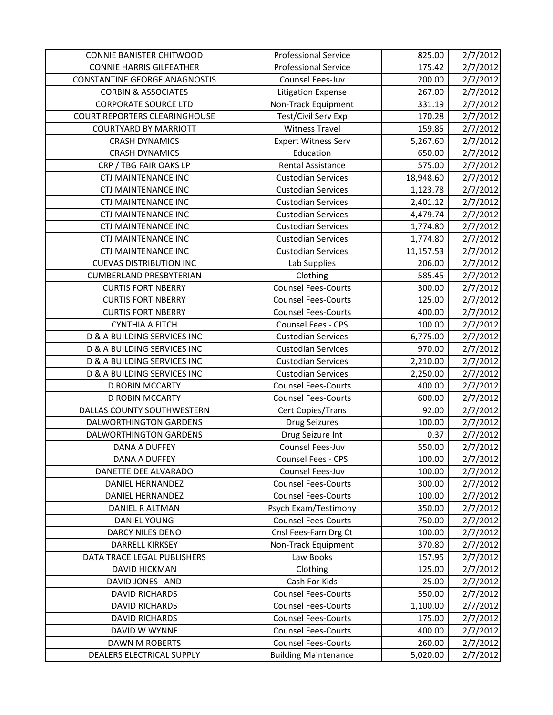| <b>CONNIE BANISTER CHITWOOD</b>        | <b>Professional Service</b> | 825.00    | 2/7/2012 |
|----------------------------------------|-----------------------------|-----------|----------|
| <b>CONNIE HARRIS GILFEATHER</b>        | <b>Professional Service</b> | 175.42    | 2/7/2012 |
| <b>CONSTANTINE GEORGE ANAGNOSTIS</b>   | Counsel Fees-Juv            | 200.00    | 2/7/2012 |
| <b>CORBIN &amp; ASSOCIATES</b>         | Litigation Expense          | 267.00    | 2/7/2012 |
| <b>CORPORATE SOURCE LTD</b>            | Non-Track Equipment         | 331.19    | 2/7/2012 |
| <b>COURT REPORTERS CLEARINGHOUSE</b>   | Test/Civil Serv Exp         | 170.28    | 2/7/2012 |
| <b>COURTYARD BY MARRIOTT</b>           | <b>Witness Travel</b>       | 159.85    | 2/7/2012 |
| <b>CRASH DYNAMICS</b>                  | <b>Expert Witness Serv</b>  | 5,267.60  | 2/7/2012 |
| <b>CRASH DYNAMICS</b>                  | Education                   | 650.00    | 2/7/2012 |
| CRP / TBG FAIR OAKS LP                 | <b>Rental Assistance</b>    | 575.00    | 2/7/2012 |
| <b>CTJ MAINTENANCE INC</b>             | <b>Custodian Services</b>   | 18,948.60 | 2/7/2012 |
| <b>CTJ MAINTENANCE INC</b>             | <b>Custodian Services</b>   | 1,123.78  | 2/7/2012 |
| <b>CTJ MAINTENANCE INC</b>             | <b>Custodian Services</b>   | 2,401.12  | 2/7/2012 |
| <b>CTJ MAINTENANCE INC</b>             | <b>Custodian Services</b>   | 4,479.74  | 2/7/2012 |
| <b>CTJ MAINTENANCE INC</b>             | <b>Custodian Services</b>   | 1,774.80  | 2/7/2012 |
| <b>CTJ MAINTENANCE INC</b>             | <b>Custodian Services</b>   | 1,774.80  | 2/7/2012 |
| <b>CTJ MAINTENANCE INC</b>             | <b>Custodian Services</b>   | 11,157.53 | 2/7/2012 |
| <b>CUEVAS DISTRIBUTION INC</b>         | Lab Supplies                | 206.00    | 2/7/2012 |
| <b>CUMBERLAND PRESBYTERIAN</b>         | Clothing                    | 585.45    | 2/7/2012 |
| <b>CURTIS FORTINBERRY</b>              | <b>Counsel Fees-Courts</b>  | 300.00    | 2/7/2012 |
| <b>CURTIS FORTINBERRY</b>              | <b>Counsel Fees-Courts</b>  | 125.00    | 2/7/2012 |
| <b>CURTIS FORTINBERRY</b>              | <b>Counsel Fees-Courts</b>  | 400.00    | 2/7/2012 |
| <b>CYNTHIA A FITCH</b>                 | Counsel Fees - CPS          | 100.00    | 2/7/2012 |
| D & A BUILDING SERVICES INC            | <b>Custodian Services</b>   | 6,775.00  | 2/7/2012 |
| <b>D &amp; A BUILDING SERVICES INC</b> | <b>Custodian Services</b>   | 970.00    | 2/7/2012 |
| D & A BUILDING SERVICES INC            | <b>Custodian Services</b>   | 2,210.00  | 2/7/2012 |
| D & A BUILDING SERVICES INC            | <b>Custodian Services</b>   | 2,250.00  | 2/7/2012 |
| D ROBIN MCCARTY                        | <b>Counsel Fees-Courts</b>  | 400.00    | 2/7/2012 |
| <b>D ROBIN MCCARTY</b>                 | <b>Counsel Fees-Courts</b>  | 600.00    | 2/7/2012 |
| DALLAS COUNTY SOUTHWESTERN             | Cert Copies/Trans           | 92.00     | 2/7/2012 |
| DALWORTHINGTON GARDENS                 | <b>Drug Seizures</b>        | 100.00    | 2/7/2012 |
| DALWORTHINGTON GARDENS                 | Drug Seizure Int            | 0.37      | 2/7/2012 |
| <b>DANA A DUFFEY</b>                   | Counsel Fees-Juv            | 550.00    | 2/7/2012 |
| DANA A DUFFEY                          | Counsel Fees - CPS          | 100.00    | 2/7/2012 |
| DANETTE DEE ALVARADO                   | Counsel Fees-Juv            | 100.00    | 2/7/2012 |
| DANIEL HERNANDEZ                       | <b>Counsel Fees-Courts</b>  | 300.00    | 2/7/2012 |
| <b>DANIEL HERNANDEZ</b>                | <b>Counsel Fees-Courts</b>  | 100.00    | 2/7/2012 |
| DANIEL R ALTMAN                        | Psych Exam/Testimony        | 350.00    | 2/7/2012 |
| <b>DANIEL YOUNG</b>                    | <b>Counsel Fees-Courts</b>  | 750.00    | 2/7/2012 |
| DARCY NILES DENO                       | Cnsl Fees-Fam Drg Ct        | 100.00    | 2/7/2012 |
| DARRELL KIRKSEY                        | Non-Track Equipment         | 370.80    | 2/7/2012 |
| DATA TRACE LEGAL PUBLISHERS            | Law Books                   | 157.95    | 2/7/2012 |
| DAVID HICKMAN                          | Clothing                    | 125.00    | 2/7/2012 |
| DAVID JONES AND                        | Cash For Kids               | 25.00     | 2/7/2012 |
| <b>DAVID RICHARDS</b>                  | <b>Counsel Fees-Courts</b>  | 550.00    | 2/7/2012 |
| <b>DAVID RICHARDS</b>                  | <b>Counsel Fees-Courts</b>  | 1,100.00  | 2/7/2012 |
| <b>DAVID RICHARDS</b>                  | <b>Counsel Fees-Courts</b>  | 175.00    | 2/7/2012 |
| DAVID W WYNNE                          | <b>Counsel Fees-Courts</b>  | 400.00    | 2/7/2012 |
| <b>DAWN M ROBERTS</b>                  | <b>Counsel Fees-Courts</b>  | 260.00    | 2/7/2012 |
|                                        | <b>Building Maintenance</b> |           |          |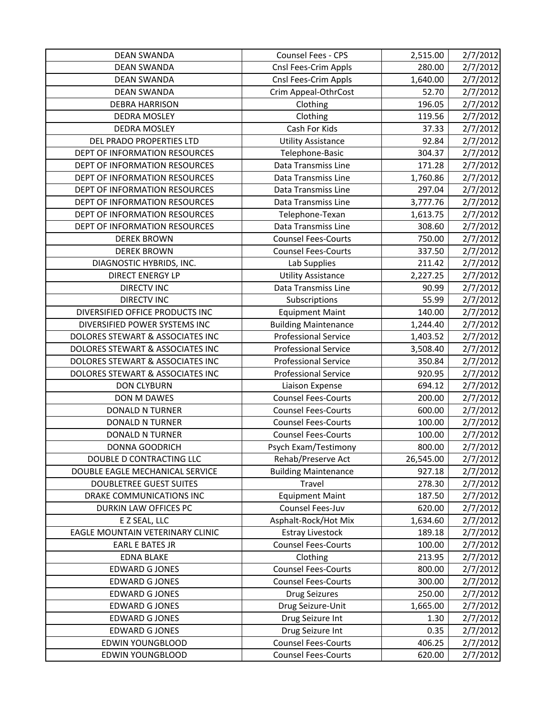| <b>DEAN SWANDA</b>               | Counsel Fees - CPS          | 2,515.00  | 2/7/2012 |
|----------------------------------|-----------------------------|-----------|----------|
| <b>DEAN SWANDA</b>               | Cnsl Fees-Crim Appls        | 280.00    | 2/7/2012 |
| <b>DEAN SWANDA</b>               | Cnsl Fees-Crim Appls        | 1,640.00  | 2/7/2012 |
| <b>DEAN SWANDA</b>               | Crim Appeal-OthrCost        | 52.70     | 2/7/2012 |
| <b>DEBRA HARRISON</b>            | Clothing                    | 196.05    | 2/7/2012 |
| <b>DEDRA MOSLEY</b>              | Clothing                    | 119.56    | 2/7/2012 |
| <b>DEDRA MOSLEY</b>              | Cash For Kids               | 37.33     | 2/7/2012 |
| DEL PRADO PROPERTIES LTD         | <b>Utility Assistance</b>   | 92.84     | 2/7/2012 |
| DEPT OF INFORMATION RESOURCES    | Telephone-Basic             | 304.37    | 2/7/2012 |
| DEPT OF INFORMATION RESOURCES    | Data Transmiss Line         | 171.28    | 2/7/2012 |
| DEPT OF INFORMATION RESOURCES    | Data Transmiss Line         | 1,760.86  | 2/7/2012 |
| DEPT OF INFORMATION RESOURCES    | Data Transmiss Line         | 297.04    | 2/7/2012 |
| DEPT OF INFORMATION RESOURCES    | Data Transmiss Line         | 3,777.76  | 2/7/2012 |
| DEPT OF INFORMATION RESOURCES    | Telephone-Texan             | 1,613.75  | 2/7/2012 |
| DEPT OF INFORMATION RESOURCES    | Data Transmiss Line         | 308.60    | 2/7/2012 |
| <b>DEREK BROWN</b>               | <b>Counsel Fees-Courts</b>  | 750.00    | 2/7/2012 |
| <b>DEREK BROWN</b>               | <b>Counsel Fees-Courts</b>  | 337.50    | 2/7/2012 |
| DIAGNOSTIC HYBRIDS, INC.         | Lab Supplies                | 211.42    | 2/7/2012 |
| <b>DIRECT ENERGY LP</b>          | <b>Utility Assistance</b>   | 2,227.25  | 2/7/2012 |
| <b>DIRECTV INC</b>               | Data Transmiss Line         | 90.99     | 2/7/2012 |
| <b>DIRECTV INC</b>               | Subscriptions               | 55.99     | 2/7/2012 |
| DIVERSIFIED OFFICE PRODUCTS INC  | <b>Equipment Maint</b>      | 140.00    | 2/7/2012 |
| DIVERSIFIED POWER SYSTEMS INC    | <b>Building Maintenance</b> | 1,244.40  | 2/7/2012 |
| DOLORES STEWART & ASSOCIATES INC | <b>Professional Service</b> | 1,403.52  | 2/7/2012 |
| DOLORES STEWART & ASSOCIATES INC | <b>Professional Service</b> | 3,508.40  | 2/7/2012 |
| DOLORES STEWART & ASSOCIATES INC | <b>Professional Service</b> | 350.84    | 2/7/2012 |
| DOLORES STEWART & ASSOCIATES INC | <b>Professional Service</b> | 920.95    | 2/7/2012 |
| <b>DON CLYBURN</b>               | Liaison Expense             | 694.12    | 2/7/2012 |
| DON M DAWES                      | <b>Counsel Fees-Courts</b>  | 200.00    | 2/7/2012 |
| <b>DONALD N TURNER</b>           | <b>Counsel Fees-Courts</b>  | 600.00    | 2/7/2012 |
| <b>DONALD N TURNER</b>           | <b>Counsel Fees-Courts</b>  | 100.00    | 2/7/2012 |
| <b>DONALD N TURNER</b>           | <b>Counsel Fees-Courts</b>  | 100.00    | 2/7/2012 |
| <b>DONNA GOODRICH</b>            | Psych Exam/Testimony        | 800.00    | 2/7/2012 |
| DOUBLE D CONTRACTING LLC         | Rehab/Preserve Act          | 26,545.00 | 2/7/2012 |
| DOUBLE EAGLE MECHANICAL SERVICE  | <b>Building Maintenance</b> | 927.18    | 2/7/2012 |
| <b>DOUBLETREE GUEST SUITES</b>   | Travel                      | 278.30    | 2/7/2012 |
| DRAKE COMMUNICATIONS INC         | <b>Equipment Maint</b>      | 187.50    | 2/7/2012 |
| DURKIN LAW OFFICES PC            | Counsel Fees-Juv            | 620.00    | 2/7/2012 |
| E Z SEAL, LLC                    | Asphalt-Rock/Hot Mix        | 1,634.60  | 2/7/2012 |
| EAGLE MOUNTAIN VETERINARY CLINIC | <b>Estray Livestock</b>     | 189.18    | 2/7/2012 |
| <b>EARL E BATES JR</b>           | <b>Counsel Fees-Courts</b>  | 100.00    | 2/7/2012 |
| <b>EDNA BLAKE</b>                | Clothing                    | 213.95    | 2/7/2012 |
| <b>EDWARD G JONES</b>            | <b>Counsel Fees-Courts</b>  | 800.00    | 2/7/2012 |
| <b>EDWARD G JONES</b>            | <b>Counsel Fees-Courts</b>  | 300.00    | 2/7/2012 |
| <b>EDWARD G JONES</b>            | <b>Drug Seizures</b>        | 250.00    | 2/7/2012 |
| <b>EDWARD G JONES</b>            | Drug Seizure-Unit           | 1,665.00  | 2/7/2012 |
| <b>EDWARD G JONES</b>            | Drug Seizure Int            | 1.30      | 2/7/2012 |
| <b>EDWARD G JONES</b>            | Drug Seizure Int            | 0.35      | 2/7/2012 |
| <b>EDWIN YOUNGBLOOD</b>          | <b>Counsel Fees-Courts</b>  | 406.25    | 2/7/2012 |
| <b>EDWIN YOUNGBLOOD</b>          | <b>Counsel Fees-Courts</b>  | 620.00    | 2/7/2012 |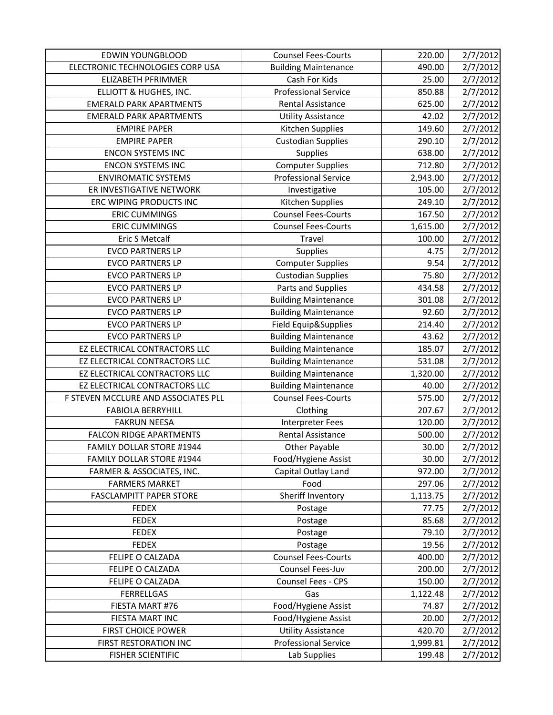| <b>EDWIN YOUNGBLOOD</b>             | <b>Counsel Fees-Courts</b>  | 220.00   | 2/7/2012 |
|-------------------------------------|-----------------------------|----------|----------|
| ELECTRONIC TECHNOLOGIES CORP USA    | <b>Building Maintenance</b> | 490.00   | 2/7/2012 |
| ELIZABETH PFRIMMER                  | Cash For Kids               | 25.00    | 2/7/2012 |
| ELLIOTT & HUGHES, INC.              | <b>Professional Service</b> | 850.88   | 2/7/2012 |
| <b>EMERALD PARK APARTMENTS</b>      | Rental Assistance           | 625.00   | 2/7/2012 |
| <b>EMERALD PARK APARTMENTS</b>      | <b>Utility Assistance</b>   | 42.02    | 2/7/2012 |
| <b>EMPIRE PAPER</b>                 | Kitchen Supplies            | 149.60   | 2/7/2012 |
| <b>EMPIRE PAPER</b>                 | <b>Custodian Supplies</b>   | 290.10   | 2/7/2012 |
| <b>ENCON SYSTEMS INC</b>            | Supplies                    | 638.00   | 2/7/2012 |
| <b>ENCON SYSTEMS INC</b>            | <b>Computer Supplies</b>    | 712.80   | 2/7/2012 |
| <b>ENVIROMATIC SYSTEMS</b>          | <b>Professional Service</b> | 2,943.00 | 2/7/2012 |
| ER INVESTIGATIVE NETWORK            | Investigative               | 105.00   | 2/7/2012 |
| ERC WIPING PRODUCTS INC             | Kitchen Supplies            | 249.10   | 2/7/2012 |
| <b>ERIC CUMMINGS</b>                | <b>Counsel Fees-Courts</b>  | 167.50   | 2/7/2012 |
| <b>ERIC CUMMINGS</b>                | <b>Counsel Fees-Courts</b>  | 1,615.00 | 2/7/2012 |
| <b>Eric S Metcalf</b>               | Travel                      | 100.00   | 2/7/2012 |
| <b>EVCO PARTNERS LP</b>             | <b>Supplies</b>             | 4.75     | 2/7/2012 |
| <b>EVCO PARTNERS LP</b>             | <b>Computer Supplies</b>    | 9.54     | 2/7/2012 |
| <b>EVCO PARTNERS LP</b>             | <b>Custodian Supplies</b>   | 75.80    | 2/7/2012 |
| <b>EVCO PARTNERS LP</b>             | Parts and Supplies          | 434.58   | 2/7/2012 |
| <b>EVCO PARTNERS LP</b>             | <b>Building Maintenance</b> | 301.08   | 2/7/2012 |
| <b>EVCO PARTNERS LP</b>             | <b>Building Maintenance</b> | 92.60    | 2/7/2012 |
| <b>EVCO PARTNERS LP</b>             | Field Equip&Supplies        | 214.40   | 2/7/2012 |
| <b>EVCO PARTNERS LP</b>             | <b>Building Maintenance</b> | 43.62    | 2/7/2012 |
| EZ ELECTRICAL CONTRACTORS LLC       | <b>Building Maintenance</b> | 185.07   | 2/7/2012 |
| EZ ELECTRICAL CONTRACTORS LLC       | <b>Building Maintenance</b> | 531.08   | 2/7/2012 |
| EZ ELECTRICAL CONTRACTORS LLC       | <b>Building Maintenance</b> | 1,320.00 | 2/7/2012 |
| EZ ELECTRICAL CONTRACTORS LLC       | <b>Building Maintenance</b> | 40.00    | 2/7/2012 |
| F STEVEN MCCLURE AND ASSOCIATES PLL | <b>Counsel Fees-Courts</b>  | 575.00   | 2/7/2012 |
| <b>FABIOLA BERRYHILL</b>            | Clothing                    | 207.67   | 2/7/2012 |
| <b>FAKRUN NEESA</b>                 | <b>Interpreter Fees</b>     | 120.00   | 2/7/2012 |
| <b>FALCON RIDGE APARTMENTS</b>      | <b>Rental Assistance</b>    | 500.00   | 2/7/2012 |
| <b>FAMILY DOLLAR STORE #1944</b>    | Other Payable               | 30.00    | 2/7/2012 |
| FAMILY DOLLAR STORE #1944           | Food/Hygiene Assist         | 30.00    | 2/7/2012 |
| FARMER & ASSOCIATES, INC.           | Capital Outlay Land         | 972.00   | 2/7/2012 |
| <b>FARMERS MARKET</b>               | Food                        | 297.06   | 2/7/2012 |
| <b>FASCLAMPITT PAPER STORE</b>      | Sheriff Inventory           | 1,113.75 | 2/7/2012 |
| <b>FEDEX</b>                        | Postage                     | 77.75    | 2/7/2012 |
| <b>FEDEX</b>                        | Postage                     | 85.68    | 2/7/2012 |
| <b>FEDEX</b>                        | Postage                     | 79.10    | 2/7/2012 |
| <b>FEDEX</b>                        | Postage                     | 19.56    | 2/7/2012 |
| FELIPE O CALZADA                    | <b>Counsel Fees-Courts</b>  | 400.00   | 2/7/2012 |
| FELIPE O CALZADA                    | Counsel Fees-Juv            | 200.00   | 2/7/2012 |
| FELIPE O CALZADA                    | Counsel Fees - CPS          | 150.00   | 2/7/2012 |
| <b>FERRELLGAS</b>                   | Gas                         | 1,122.48 | 2/7/2012 |
| FIESTA MART #76                     | Food/Hygiene Assist         | 74.87    | 2/7/2012 |
| FIESTA MART INC                     | Food/Hygiene Assist         | 20.00    | 2/7/2012 |
| <b>FIRST CHOICE POWER</b>           | <b>Utility Assistance</b>   | 420.70   | 2/7/2012 |
| FIRST RESTORATION INC               | <b>Professional Service</b> | 1,999.81 | 2/7/2012 |
| <b>FISHER SCIENTIFIC</b>            | Lab Supplies                | 199.48   | 2/7/2012 |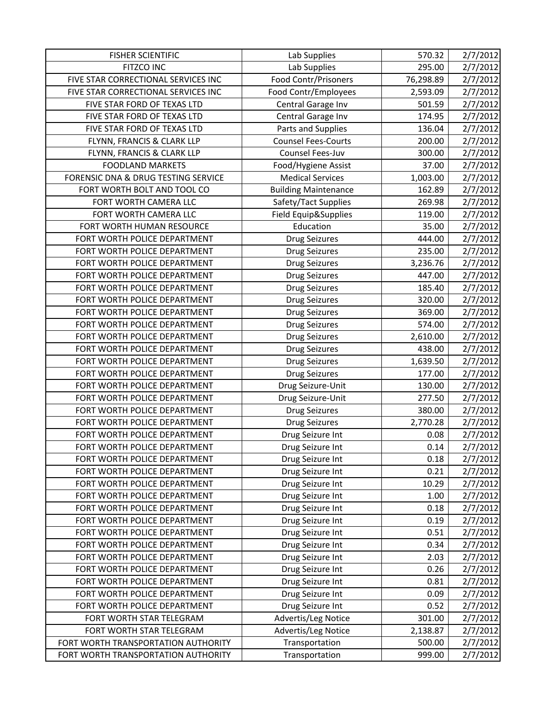| <b>FISHER SCIENTIFIC</b>            | Lab Supplies                | 570.32    | 2/7/2012 |
|-------------------------------------|-----------------------------|-----------|----------|
| FITZCO INC                          | Lab Supplies                | 295.00    | 2/7/2012 |
| FIVE STAR CORRECTIONAL SERVICES INC | <b>Food Contr/Prisoners</b> | 76,298.89 | 2/7/2012 |
| FIVE STAR CORRECTIONAL SERVICES INC | Food Contr/Employees        | 2,593.09  | 2/7/2012 |
| FIVE STAR FORD OF TEXAS LTD         | Central Garage Inv          | 501.59    | 2/7/2012 |
| FIVE STAR FORD OF TEXAS LTD         | Central Garage Inv          | 174.95    | 2/7/2012 |
| FIVE STAR FORD OF TEXAS LTD         | Parts and Supplies          | 136.04    | 2/7/2012 |
| FLYNN, FRANCIS & CLARK LLP          | <b>Counsel Fees-Courts</b>  | 200.00    | 2/7/2012 |
| FLYNN, FRANCIS & CLARK LLP          | Counsel Fees-Juv            | 300.00    | 2/7/2012 |
| <b>FOODLAND MARKETS</b>             | Food/Hygiene Assist         | 37.00     | 2/7/2012 |
| FORENSIC DNA & DRUG TESTING SERVICE | <b>Medical Services</b>     | 1,003.00  | 2/7/2012 |
| FORT WORTH BOLT AND TOOL CO         | <b>Building Maintenance</b> | 162.89    | 2/7/2012 |
| FORT WORTH CAMERA LLC               | Safety/Tact Supplies        | 269.98    | 2/7/2012 |
| FORT WORTH CAMERA LLC               | Field Equip&Supplies        | 119.00    | 2/7/2012 |
| FORT WORTH HUMAN RESOURCE           | Education                   | 35.00     | 2/7/2012 |
| FORT WORTH POLICE DEPARTMENT        | <b>Drug Seizures</b>        | 444.00    | 2/7/2012 |
| FORT WORTH POLICE DEPARTMENT        | <b>Drug Seizures</b>        | 235.00    | 2/7/2012 |
| FORT WORTH POLICE DEPARTMENT        | <b>Drug Seizures</b>        | 3,236.76  | 2/7/2012 |
| FORT WORTH POLICE DEPARTMENT        | <b>Drug Seizures</b>        | 447.00    | 2/7/2012 |
| FORT WORTH POLICE DEPARTMENT        | <b>Drug Seizures</b>        | 185.40    | 2/7/2012 |
| FORT WORTH POLICE DEPARTMENT        | <b>Drug Seizures</b>        | 320.00    | 2/7/2012 |
| FORT WORTH POLICE DEPARTMENT        | <b>Drug Seizures</b>        | 369.00    | 2/7/2012 |
| FORT WORTH POLICE DEPARTMENT        | <b>Drug Seizures</b>        | 574.00    | 2/7/2012 |
| FORT WORTH POLICE DEPARTMENT        | <b>Drug Seizures</b>        | 2,610.00  | 2/7/2012 |
| FORT WORTH POLICE DEPARTMENT        | <b>Drug Seizures</b>        | 438.00    | 2/7/2012 |
| FORT WORTH POLICE DEPARTMENT        | <b>Drug Seizures</b>        | 1,639.50  | 2/7/2012 |
| FORT WORTH POLICE DEPARTMENT        | <b>Drug Seizures</b>        | 177.00    | 2/7/2012 |
| FORT WORTH POLICE DEPARTMENT        | Drug Seizure-Unit           | 130.00    | 2/7/2012 |
| FORT WORTH POLICE DEPARTMENT        | Drug Seizure-Unit           | 277.50    | 2/7/2012 |
| FORT WORTH POLICE DEPARTMENT        | <b>Drug Seizures</b>        | 380.00    | 2/7/2012 |
| FORT WORTH POLICE DEPARTMENT        | <b>Drug Seizures</b>        | 2,770.28  | 2/7/2012 |
| FORT WORTH POLICE DEPARTMENT        | Drug Seizure Int            | 0.08      | 2/7/2012 |
| FORT WORTH POLICE DEPARTMENT        | Drug Seizure Int            | 0.14      | 2/7/2012 |
| FORT WORTH POLICE DEPARTMENT        | Drug Seizure Int            | 0.18      | 2/7/2012 |
| FORT WORTH POLICE DEPARTMENT        | Drug Seizure Int            | 0.21      | 2/7/2012 |
| FORT WORTH POLICE DEPARTMENT        | Drug Seizure Int            | 10.29     | 2/7/2012 |
| FORT WORTH POLICE DEPARTMENT        | Drug Seizure Int            | 1.00      | 2/7/2012 |
| FORT WORTH POLICE DEPARTMENT        | Drug Seizure Int            | 0.18      | 2/7/2012 |
| FORT WORTH POLICE DEPARTMENT        | Drug Seizure Int            | 0.19      | 2/7/2012 |
| FORT WORTH POLICE DEPARTMENT        | Drug Seizure Int            | 0.51      | 2/7/2012 |
| FORT WORTH POLICE DEPARTMENT        | Drug Seizure Int            | 0.34      | 2/7/2012 |
| FORT WORTH POLICE DEPARTMENT        | Drug Seizure Int            | 2.03      | 2/7/2012 |
| FORT WORTH POLICE DEPARTMENT        | Drug Seizure Int            | 0.26      | 2/7/2012 |
| FORT WORTH POLICE DEPARTMENT        | Drug Seizure Int            | 0.81      | 2/7/2012 |
| FORT WORTH POLICE DEPARTMENT        | Drug Seizure Int            | 0.09      | 2/7/2012 |
| FORT WORTH POLICE DEPARTMENT        | Drug Seizure Int            | 0.52      | 2/7/2012 |
| FORT WORTH STAR TELEGRAM            | Advertis/Leg Notice         | 301.00    | 2/7/2012 |
| FORT WORTH STAR TELEGRAM            | Advertis/Leg Notice         | 2,138.87  | 2/7/2012 |
| FORT WORTH TRANSPORTATION AUTHORITY | Transportation              | 500.00    | 2/7/2012 |
| FORT WORTH TRANSPORTATION AUTHORITY | Transportation              | 999.00    | 2/7/2012 |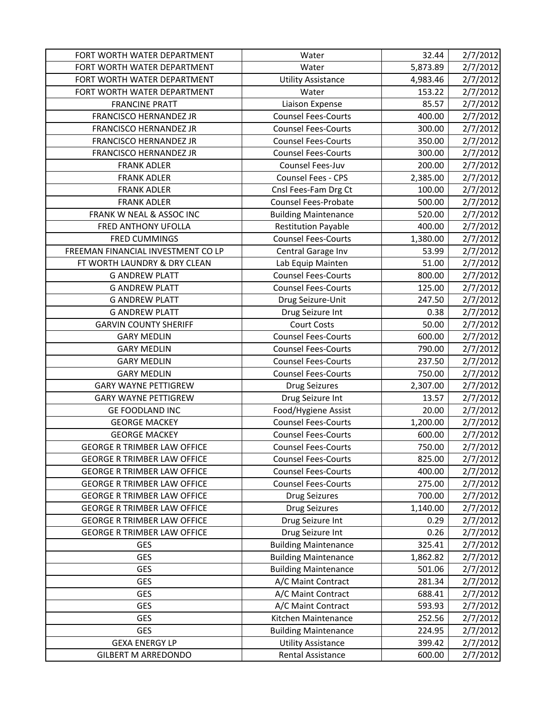| FORT WORTH WATER DEPARTMENT        | Water                       | 32.44    | 2/7/2012                         |
|------------------------------------|-----------------------------|----------|----------------------------------|
| FORT WORTH WATER DEPARTMENT        | Water                       | 5,873.89 | 2/7/2012                         |
| FORT WORTH WATER DEPARTMENT        | <b>Utility Assistance</b>   | 4,983.46 | 2/7/2012                         |
| FORT WORTH WATER DEPARTMENT        | Water                       | 153.22   | 2/7/2012                         |
| <b>FRANCINE PRATT</b>              | Liaison Expense             | 85.57    | 2/7/2012                         |
| FRANCISCO HERNANDEZ JR             | <b>Counsel Fees-Courts</b>  | 400.00   | 2/7/2012                         |
| <b>FRANCISCO HERNANDEZ JR</b>      | <b>Counsel Fees-Courts</b>  | 300.00   | 2/7/2012                         |
| FRANCISCO HERNANDEZ JR             | <b>Counsel Fees-Courts</b>  | 350.00   | 2/7/2012                         |
| FRANCISCO HERNANDEZ JR             | <b>Counsel Fees-Courts</b>  | 300.00   | 2/7/2012                         |
| <b>FRANK ADLER</b>                 | Counsel Fees-Juv            | 200.00   | 2/7/2012                         |
| <b>FRANK ADLER</b>                 | Counsel Fees - CPS          | 2,385.00 | 2/7/2012                         |
| <b>FRANK ADLER</b>                 | Cnsl Fees-Fam Drg Ct        | 100.00   | 2/7/2012                         |
| <b>FRANK ADLER</b>                 | <b>Counsel Fees-Probate</b> | 500.00   | 2/7/2012                         |
| FRANK W NEAL & ASSOC INC           | <b>Building Maintenance</b> | 520.00   | 2/7/2012                         |
| FRED ANTHONY UFOLLA                | <b>Restitution Payable</b>  | 400.00   | 2/7/2012                         |
| <b>FRED CUMMINGS</b>               | <b>Counsel Fees-Courts</b>  | 1,380.00 | 2/7/2012                         |
| FREEMAN FINANCIAL INVESTMENT CO LP | Central Garage Inv          | 53.99    | 2/7/2012                         |
| FT WORTH LAUNDRY & DRY CLEAN       | Lab Equip Mainten           | 51.00    | 2/7/2012                         |
| <b>G ANDREW PLATT</b>              | <b>Counsel Fees-Courts</b>  | 800.00   | 2/7/2012                         |
| <b>G ANDREW PLATT</b>              | <b>Counsel Fees-Courts</b>  | 125.00   | 2/7/2012                         |
| <b>G ANDREW PLATT</b>              | Drug Seizure-Unit           | 247.50   | 2/7/2012                         |
| <b>G ANDREW PLATT</b>              | Drug Seizure Int            | 0.38     | 2/7/2012                         |
| <b>GARVIN COUNTY SHERIFF</b>       | <b>Court Costs</b>          | 50.00    | 2/7/2012                         |
| <b>GARY MEDLIN</b>                 | <b>Counsel Fees-Courts</b>  | 600.00   | 2/7/2012                         |
| <b>GARY MEDLIN</b>                 | <b>Counsel Fees-Courts</b>  | 790.00   | 2/7/2012                         |
| <b>GARY MEDLIN</b>                 | <b>Counsel Fees-Courts</b>  | 237.50   | 2/7/2012                         |
| <b>GARY MEDLIN</b>                 | <b>Counsel Fees-Courts</b>  | 750.00   | 2/7/2012                         |
| <b>GARY WAYNE PETTIGREW</b>        | <b>Drug Seizures</b>        | 2,307.00 | 2/7/2012                         |
| <b>GARY WAYNE PETTIGREW</b>        | Drug Seizure Int            | 13.57    | 2/7/2012                         |
| <b>GE FOODLAND INC</b>             | Food/Hygiene Assist         | 20.00    | 2/7/2012                         |
| <b>GEORGE MACKEY</b>               | <b>Counsel Fees-Courts</b>  |          |                                  |
|                                    |                             | 1,200.00 | 2/7/2012                         |
| <b>GEORGE MACKEY</b>               | <b>Counsel Fees-Courts</b>  | 600.00   | 2/7/2012                         |
| <b>GEORGE R TRIMBER LAW OFFICE</b> | <b>Counsel Fees-Courts</b>  | 750.00   | 2/7/2012                         |
| <b>GEORGE R TRIMBER LAW OFFICE</b> | <b>Counsel Fees-Courts</b>  | 825.00   | 2/7/2012                         |
| <b>GEORGE R TRIMBER LAW OFFICE</b> | <b>Counsel Fees-Courts</b>  | 400.00   |                                  |
| <b>GEORGE R TRIMBER LAW OFFICE</b> | <b>Counsel Fees-Courts</b>  | 275.00   |                                  |
| <b>GEORGE R TRIMBER LAW OFFICE</b> | Drug Seizures               | 700.00   | 2/7/2012<br>2/7/2012<br>2/7/2012 |
| <b>GEORGE R TRIMBER LAW OFFICE</b> | <b>Drug Seizures</b>        | 1,140.00 | 2/7/2012                         |
| <b>GEORGE R TRIMBER LAW OFFICE</b> | Drug Seizure Int            | 0.29     | 2/7/2012                         |
| <b>GEORGE R TRIMBER LAW OFFICE</b> | Drug Seizure Int            | 0.26     | 2/7/2012                         |
| <b>GES</b>                         | <b>Building Maintenance</b> | 325.41   | 2/7/2012                         |
| <b>GES</b>                         | <b>Building Maintenance</b> | 1,862.82 | 2/7/2012                         |
| <b>GES</b>                         | <b>Building Maintenance</b> | 501.06   | 2/7/2012                         |
| <b>GES</b>                         | A/C Maint Contract          | 281.34   | 2/7/2012                         |
| <b>GES</b>                         | A/C Maint Contract          | 688.41   | 2/7/2012                         |
| <b>GES</b>                         | A/C Maint Contract          | 593.93   | 2/7/2012                         |
| <b>GES</b>                         | Kitchen Maintenance         | 252.56   | 2/7/2012                         |
| <b>GES</b>                         | <b>Building Maintenance</b> | 224.95   | 2/7/2012                         |
| <b>GEXA ENERGY LP</b>              | <b>Utility Assistance</b>   | 399.42   | 2/7/2012                         |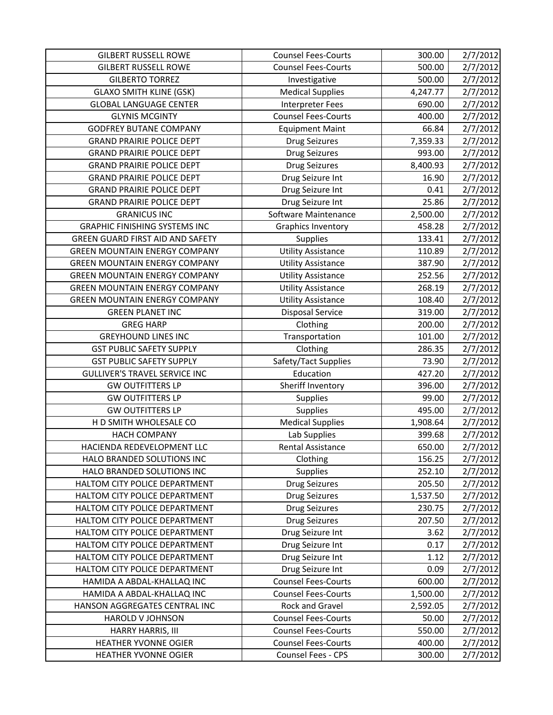| <b>GILBERT RUSSELL ROWE</b>             | <b>Counsel Fees-Courts</b> | 300.00   | 2/7/2012 |
|-----------------------------------------|----------------------------|----------|----------|
| <b>GILBERT RUSSELL ROWE</b>             | <b>Counsel Fees-Courts</b> | 500.00   | 2/7/2012 |
| <b>GILBERTO TORREZ</b>                  | Investigative              | 500.00   | 2/7/2012 |
| <b>GLAXO SMITH KLINE (GSK)</b>          | <b>Medical Supplies</b>    | 4,247.77 | 2/7/2012 |
| <b>GLOBAL LANGUAGE CENTER</b>           | Interpreter Fees           | 690.00   | 2/7/2012 |
| <b>GLYNIS MCGINTY</b>                   | <b>Counsel Fees-Courts</b> | 400.00   | 2/7/2012 |
| <b>GODFREY BUTANE COMPANY</b>           | <b>Equipment Maint</b>     | 66.84    | 2/7/2012 |
| <b>GRAND PRAIRIE POLICE DEPT</b>        | <b>Drug Seizures</b>       | 7,359.33 | 2/7/2012 |
| <b>GRAND PRAIRIE POLICE DEPT</b>        | <b>Drug Seizures</b>       | 993.00   | 2/7/2012 |
| <b>GRAND PRAIRIE POLICE DEPT</b>        | <b>Drug Seizures</b>       | 8,400.93 | 2/7/2012 |
| <b>GRAND PRAIRIE POLICE DEPT</b>        | Drug Seizure Int           | 16.90    | 2/7/2012 |
| <b>GRAND PRAIRIE POLICE DEPT</b>        | Drug Seizure Int           | 0.41     | 2/7/2012 |
| <b>GRAND PRAIRIE POLICE DEPT</b>        | Drug Seizure Int           | 25.86    | 2/7/2012 |
| <b>GRANICUS INC</b>                     | Software Maintenance       | 2,500.00 | 2/7/2012 |
| <b>GRAPHIC FINISHING SYSTEMS INC</b>    | <b>Graphics Inventory</b>  | 458.28   | 2/7/2012 |
| <b>GREEN GUARD FIRST AID AND SAFETY</b> | <b>Supplies</b>            | 133.41   | 2/7/2012 |
| <b>GREEN MOUNTAIN ENERGY COMPANY</b>    | <b>Utility Assistance</b>  | 110.89   | 2/7/2012 |
| <b>GREEN MOUNTAIN ENERGY COMPANY</b>    | <b>Utility Assistance</b>  | 387.90   | 2/7/2012 |
| <b>GREEN MOUNTAIN ENERGY COMPANY</b>    | <b>Utility Assistance</b>  | 252.56   | 2/7/2012 |
| <b>GREEN MOUNTAIN ENERGY COMPANY</b>    | <b>Utility Assistance</b>  | 268.19   | 2/7/2012 |
| <b>GREEN MOUNTAIN ENERGY COMPANY</b>    | <b>Utility Assistance</b>  | 108.40   | 2/7/2012 |
| <b>GREEN PLANET INC</b>                 | <b>Disposal Service</b>    | 319.00   | 2/7/2012 |
| <b>GREG HARP</b>                        | Clothing                   | 200.00   | 2/7/2012 |
| <b>GREYHOUND LINES INC</b>              | Transportation             | 101.00   | 2/7/2012 |
| <b>GST PUBLIC SAFETY SUPPLY</b>         | Clothing                   | 286.35   | 2/7/2012 |
| <b>GST PUBLIC SAFETY SUPPLY</b>         | Safety/Tact Supplies       | 73.90    | 2/7/2012 |
| <b>GULLIVER'S TRAVEL SERVICE INC</b>    | Education                  | 427.20   | 2/7/2012 |
| <b>GW OUTFITTERS LP</b>                 | Sheriff Inventory          | 396.00   | 2/7/2012 |
| <b>GW OUTFITTERS LP</b>                 | <b>Supplies</b>            | 99.00    | 2/7/2012 |
| <b>GW OUTFITTERS LP</b>                 | Supplies                   | 495.00   | 2/7/2012 |
| H D SMITH WHOLESALE CO                  | <b>Medical Supplies</b>    | 1,908.64 | 2/7/2012 |
| <b>HACH COMPANY</b>                     | Lab Supplies               | 399.68   | 2/7/2012 |
| HACIENDA REDEVELOPMENT LLC              | <b>Rental Assistance</b>   | 650.00   | 2/7/2012 |
| HALO BRANDED SOLUTIONS INC              | Clothing                   | 156.25   | 2/7/2012 |
| HALO BRANDED SOLUTIONS INC              | <b>Supplies</b>            | 252.10   | 2/7/2012 |
| HALTOM CITY POLICE DEPARTMENT           | <b>Drug Seizures</b>       | 205.50   | 2/7/2012 |
| HALTOM CITY POLICE DEPARTMENT           | <b>Drug Seizures</b>       | 1,537.50 | 2/7/2012 |
| HALTOM CITY POLICE DEPARTMENT           | <b>Drug Seizures</b>       | 230.75   | 2/7/2012 |
| HALTOM CITY POLICE DEPARTMENT           | <b>Drug Seizures</b>       | 207.50   | 2/7/2012 |
| HALTOM CITY POLICE DEPARTMENT           | Drug Seizure Int           | 3.62     | 2/7/2012 |
| HALTOM CITY POLICE DEPARTMENT           | Drug Seizure Int           | 0.17     | 2/7/2012 |
| HALTOM CITY POLICE DEPARTMENT           | Drug Seizure Int           | 1.12     | 2/7/2012 |
| HALTOM CITY POLICE DEPARTMENT           | Drug Seizure Int           | 0.09     | 2/7/2012 |
| HAMIDA A ABDAL-KHALLAQ INC              | <b>Counsel Fees-Courts</b> | 600.00   | 2/7/2012 |
| HAMIDA A ABDAL-KHALLAQ INC              | <b>Counsel Fees-Courts</b> | 1,500.00 | 2/7/2012 |
| HANSON AGGREGATES CENTRAL INC           | Rock and Gravel            | 2,592.05 | 2/7/2012 |
| HAROLD V JOHNSON                        | <b>Counsel Fees-Courts</b> | 50.00    | 2/7/2012 |
| HARRY HARRIS, III                       | <b>Counsel Fees-Courts</b> | 550.00   | 2/7/2012 |
| <b>HEATHER YVONNE OGIER</b>             | <b>Counsel Fees-Courts</b> | 400.00   | 2/7/2012 |
| <b>HEATHER YVONNE OGIER</b>             | <b>Counsel Fees - CPS</b>  | 300.00   | 2/7/2012 |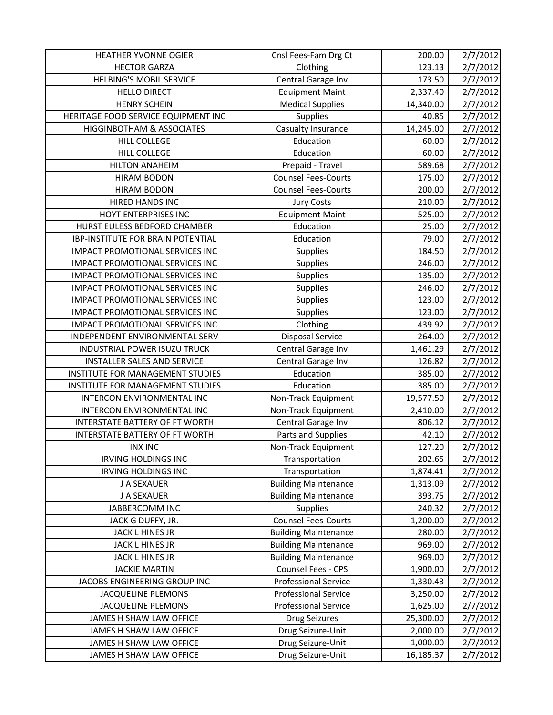| <b>HEATHER YVONNE OGIER</b>              | Cnsl Fees-Fam Drg Ct        | 200.00    | 2/7/2012 |
|------------------------------------------|-----------------------------|-----------|----------|
| <b>HECTOR GARZA</b>                      | Clothing                    | 123.13    | 2/7/2012 |
| <b>HELBING'S MOBIL SERVICE</b>           | Central Garage Inv          | 173.50    | 2/7/2012 |
| <b>HELLO DIRECT</b>                      | <b>Equipment Maint</b>      | 2,337.40  | 2/7/2012 |
| <b>HENRY SCHEIN</b>                      | <b>Medical Supplies</b>     | 14,340.00 | 2/7/2012 |
| HERITAGE FOOD SERVICE EQUIPMENT INC      | <b>Supplies</b>             | 40.85     | 2/7/2012 |
| <b>HIGGINBOTHAM &amp; ASSOCIATES</b>     | Casualty Insurance          | 14,245.00 | 2/7/2012 |
| <b>HILL COLLEGE</b>                      | Education                   | 60.00     | 2/7/2012 |
| <b>HILL COLLEGE</b>                      | Education                   | 60.00     | 2/7/2012 |
| <b>HILTON ANAHEIM</b>                    | Prepaid - Travel            | 589.68    | 2/7/2012 |
| <b>HIRAM BODON</b>                       | <b>Counsel Fees-Courts</b>  | 175.00    | 2/7/2012 |
| <b>HIRAM BODON</b>                       | <b>Counsel Fees-Courts</b>  | 200.00    | 2/7/2012 |
| HIRED HANDS INC                          | <b>Jury Costs</b>           | 210.00    | 2/7/2012 |
| HOYT ENTERPRISES INC                     | <b>Equipment Maint</b>      | 525.00    | 2/7/2012 |
| HURST EULESS BEDFORD CHAMBER             | Education                   | 25.00     | 2/7/2012 |
| <b>IBP-INSTITUTE FOR BRAIN POTENTIAL</b> | Education                   | 79.00     | 2/7/2012 |
| <b>IMPACT PROMOTIONAL SERVICES INC</b>   | <b>Supplies</b>             | 184.50    | 2/7/2012 |
| IMPACT PROMOTIONAL SERVICES INC          | <b>Supplies</b>             | 246.00    | 2/7/2012 |
| <b>IMPACT PROMOTIONAL SERVICES INC</b>   | <b>Supplies</b>             | 135.00    | 2/7/2012 |
| IMPACT PROMOTIONAL SERVICES INC          | <b>Supplies</b>             | 246.00    | 2/7/2012 |
| <b>IMPACT PROMOTIONAL SERVICES INC</b>   | Supplies                    | 123.00    | 2/7/2012 |
| <b>IMPACT PROMOTIONAL SERVICES INC</b>   | <b>Supplies</b>             | 123.00    | 2/7/2012 |
| IMPACT PROMOTIONAL SERVICES INC          | Clothing                    | 439.92    | 2/7/2012 |
| INDEPENDENT ENVIRONMENTAL SERV           | <b>Disposal Service</b>     | 264.00    | 2/7/2012 |
| INDUSTRIAL POWER ISUZU TRUCK             | Central Garage Inv          | 1,461.29  | 2/7/2012 |
| <b>INSTALLER SALES AND SERVICE</b>       | Central Garage Inv          | 126.82    | 2/7/2012 |
| INSTITUTE FOR MANAGEMENT STUDIES         | Education                   | 385.00    | 2/7/2012 |
| INSTITUTE FOR MANAGEMENT STUDIES         | Education                   | 385.00    | 2/7/2012 |
| INTERCON ENVIRONMENTAL INC               | Non-Track Equipment         | 19,577.50 | 2/7/2012 |
| INTERCON ENVIRONMENTAL INC               | Non-Track Equipment         | 2,410.00  | 2/7/2012 |
| INTERSTATE BATTERY OF FT WORTH           | Central Garage Inv          | 806.12    | 2/7/2012 |
| INTERSTATE BATTERY OF FT WORTH           | Parts and Supplies          | 42.10     | 2/7/2012 |
| <b>INX INC</b>                           | Non-Track Equipment         | 127.20    | 2/7/2012 |
| <b>IRVING HOLDINGS INC</b>               | Transportation              | 202.65    | 2/7/2012 |
| <b>IRVING HOLDINGS INC</b>               | Transportation              | 1,874.41  | 2/7/2012 |
| J A SEXAUER                              | <b>Building Maintenance</b> | 1,313.09  | 2/7/2012 |
| J A SEXAUER                              | <b>Building Maintenance</b> | 393.75    | 2/7/2012 |
| <b>JABBERCOMM INC</b>                    | <b>Supplies</b>             | 240.32    | 2/7/2012 |
| JACK G DUFFY, JR.                        | <b>Counsel Fees-Courts</b>  | 1,200.00  | 2/7/2012 |
| JACK L HINES JR                          | <b>Building Maintenance</b> | 280.00    | 2/7/2012 |
| JACK L HINES JR                          | <b>Building Maintenance</b> | 969.00    | 2/7/2012 |
| JACK L HINES JR                          | <b>Building Maintenance</b> | 969.00    | 2/7/2012 |
| <b>JACKIE MARTIN</b>                     | Counsel Fees - CPS          | 1,900.00  | 2/7/2012 |
| JACOBS ENGINEERING GROUP INC             | <b>Professional Service</b> | 1,330.43  | 2/7/2012 |
| JACQUELINE PLEMONS                       | <b>Professional Service</b> | 3,250.00  | 2/7/2012 |
| <b>JACQUELINE PLEMONS</b>                | <b>Professional Service</b> | 1,625.00  | 2/7/2012 |
| JAMES H SHAW LAW OFFICE                  | <b>Drug Seizures</b>        | 25,300.00 | 2/7/2012 |
| JAMES H SHAW LAW OFFICE                  | Drug Seizure-Unit           | 2,000.00  | 2/7/2012 |
| JAMES H SHAW LAW OFFICE                  | Drug Seizure-Unit           | 1,000.00  | 2/7/2012 |
| JAMES H SHAW LAW OFFICE                  | Drug Seizure-Unit           | 16,185.37 | 2/7/2012 |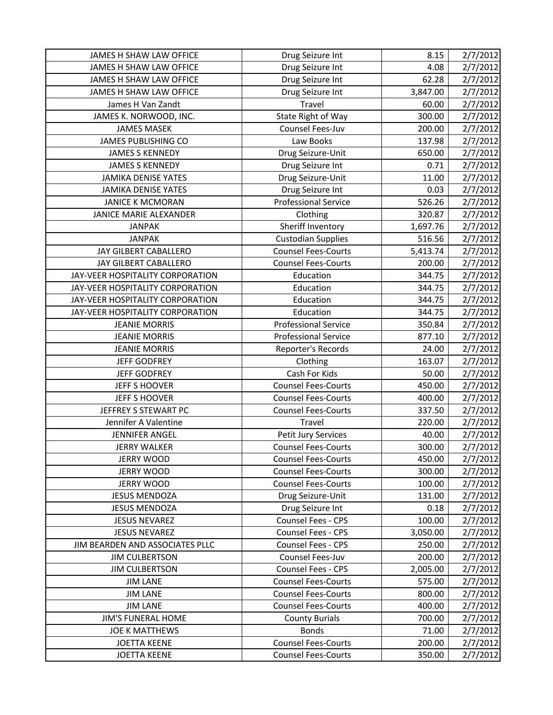| JAMES H SHAW LAW OFFICE<br>JAMES H SHAW LAW OFFICE | Drug Seizure Int<br>Drug Seizure Int            | 8.15<br>4.08 | 2/7/2012<br>2/7/2012 |
|----------------------------------------------------|-------------------------------------------------|--------------|----------------------|
| JAMES H SHAW LAW OFFICE                            | Drug Seizure Int                                | 62.28        | 2/7/2012             |
| JAMES H SHAW LAW OFFICE                            | Drug Seizure Int                                | 3,847.00     | 2/7/2012             |
| James H Van Zandt                                  | Travel                                          | 60.00        | 2/7/2012             |
| JAMES K. NORWOOD, INC.                             | State Right of Way                              | 300.00       |                      |
| <b>JAMES MASEK</b>                                 | Counsel Fees-Juv                                | 200.00       | 2/7/2012             |
|                                                    | Law Books                                       | 137.98       | 2/7/2012             |
| JAMES PUBLISHING CO<br><b>JAMES S KENNEDY</b>      |                                                 | 650.00       | 2/7/2012             |
| <b>JAMES S KENNEDY</b>                             | Drug Seizure-Unit                               | 0.71         | 2/7/2012             |
| <b>JAMIKA DENISE YATES</b>                         | Drug Seizure Int<br>Drug Seizure-Unit           |              | 2/7/2012             |
|                                                    |                                                 | 11.00        | 2/7/2012             |
| <b>JAMIKA DENISE YATES</b>                         | Drug Seizure Int<br><b>Professional Service</b> | 0.03         | 2/7/2012             |
| <b>JANICE K MCMORAN</b>                            |                                                 | 526.26       | 2/7/2012             |
| JANICE MARIE ALEXANDER<br><b>JANPAK</b>            | Clothing                                        | 320.87       | 2/7/2012             |
|                                                    | Sheriff Inventory                               | 1,697.76     | 2/7/2012             |
| <b>JANPAK</b>                                      | <b>Custodian Supplies</b>                       | 516.56       | 2/7/2012             |
| JAY GILBERT CABALLERO                              | <b>Counsel Fees-Courts</b>                      | 5,413.74     | 2/7/2012             |
| JAY GILBERT CABALLERO                              | <b>Counsel Fees-Courts</b>                      | 200.00       | 2/7/2012             |
| JAY-VEER HOSPITALITY CORPORATION                   | Education                                       | 344.75       | 2/7/2012             |
| JAY-VEER HOSPITALITY CORPORATION                   | Education                                       | 344.75       | 2/7/2012             |
| JAY-VEER HOSPITALITY CORPORATION                   | Education                                       | 344.75       | 2/7/2012             |
| JAY-VEER HOSPITALITY CORPORATION                   | Education                                       | 344.75       | 2/7/2012             |
| <b>JEANIE MORRIS</b>                               | <b>Professional Service</b>                     | 350.84       | 2/7/2012             |
| <b>JEANIE MORRIS</b>                               | <b>Professional Service</b>                     | 877.10       | 2/7/2012             |
| <b>JEANIE MORRIS</b>                               | Reporter's Records                              | 24.00        | 2/7/2012             |
| <b>JEFF GODFREY</b>                                | Clothing                                        | 163.07       | 2/7/2012             |
| <b>JEFF GODFREY</b>                                | Cash For Kids                                   | 50.00        | 2/7/2012             |
| <b>JEFF S HOOVER</b>                               | <b>Counsel Fees-Courts</b>                      | 450.00       | 2/7/2012             |
| JEFF S HOOVER                                      | <b>Counsel Fees-Courts</b>                      | 400.00       | 2/7/2012             |
| JEFFREY S STEWART PC                               | <b>Counsel Fees-Courts</b>                      | 337.50       | 2/7/2012             |
| Jennifer A Valentine                               | Travel                                          | 220.00       | 2/7/2012             |
| <b>JENNIFER ANGEL</b>                              | Petit Jury Services                             | 40.00        | 2/7/2012             |
| <b>JERRY WALKER</b>                                | <b>Counsel Fees-Courts</b>                      | 300.00       | 2/7/2012             |
| <b>JERRY WOOD</b>                                  | <b>Counsel Fees-Courts</b>                      | 450.00       | 2/7/2012             |
| <b>JERRY WOOD</b>                                  | <b>Counsel Fees-Courts</b>                      | 300.00       | 2/7/2012             |
| <b>JERRY WOOD</b>                                  | <b>Counsel Fees-Courts</b>                      | 100.00       | 2/7/2012             |
| <b>JESUS MENDOZA</b>                               | Drug Seizure-Unit                               | 131.00       | 2/7/2012             |
| <b>JESUS MENDOZA</b>                               | Drug Seizure Int                                | 0.18         | 2/7/2012             |
| <b>JESUS NEVAREZ</b>                               | Counsel Fees - CPS                              | 100.00       | 2/7/2012             |
| <b>JESUS NEVAREZ</b>                               | Counsel Fees - CPS                              | 3,050.00     | 2/7/2012             |
| JIM BEARDEN AND ASSOCIATES PLLC                    | <b>Counsel Fees - CPS</b>                       | 250.00       | 2/7/2012             |
| <b>JIM CULBERTSON</b>                              | Counsel Fees-Juv                                | 200.00       | 2/7/2012             |
| <b>JIM CULBERTSON</b>                              | <b>Counsel Fees - CPS</b>                       | 2,005.00     | 2/7/2012             |
| <b>JIM LANE</b>                                    | <b>Counsel Fees-Courts</b>                      | 575.00       | 2/7/2012             |
| <b>JIM LANE</b>                                    | <b>Counsel Fees-Courts</b>                      | 800.00       | 2/7/2012             |
| <b>JIM LANE</b>                                    | <b>Counsel Fees-Courts</b>                      | 400.00       | 2/7/2012             |
| <b>JIM'S FUNERAL HOME</b>                          | <b>County Burials</b>                           | 700.00       | 2/7/2012             |
| <b>JOE K MATTHEWS</b>                              | <b>Bonds</b>                                    | 71.00        | 2/7/2012             |
| <b>JOETTA KEENE</b>                                | <b>Counsel Fees-Courts</b>                      | 200.00       | 2/7/2012             |
| <b>JOETTA KEENE</b>                                | <b>Counsel Fees-Courts</b>                      | 350.00       | 2/7/2012             |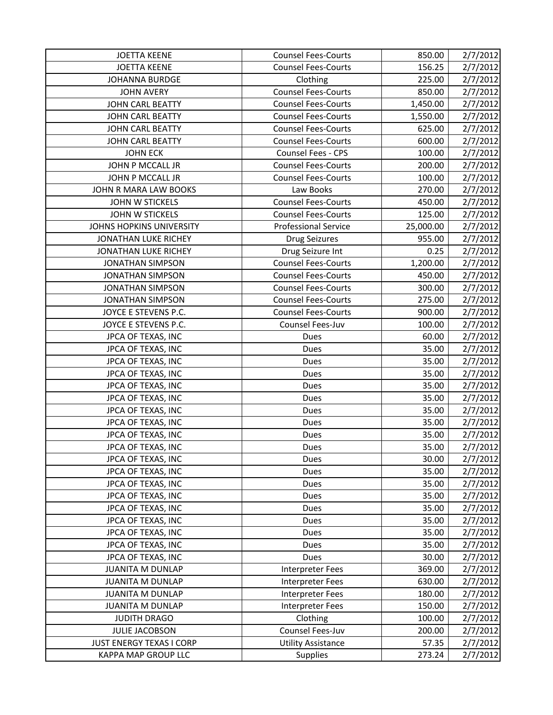| <b>JOETTA KEENE</b>         | <b>Counsel Fees-Courts</b>  | 850.00    | 2/7/2012 |
|-----------------------------|-----------------------------|-----------|----------|
| <b>JOETTA KEENE</b>         | <b>Counsel Fees-Courts</b>  | 156.25    | 2/7/2012 |
| <b>JOHANNA BURDGE</b>       | Clothing                    | 225.00    | 2/7/2012 |
| <b>JOHN AVERY</b>           | <b>Counsel Fees-Courts</b>  | 850.00    | 2/7/2012 |
| JOHN CARL BEATTY            | <b>Counsel Fees-Courts</b>  | 1,450.00  | 2/7/2012 |
| JOHN CARL BEATTY            | <b>Counsel Fees-Courts</b>  | 1,550.00  | 2/7/2012 |
| <b>JOHN CARL BEATTY</b>     | <b>Counsel Fees-Courts</b>  | 625.00    | 2/7/2012 |
| <b>JOHN CARL BEATTY</b>     | <b>Counsel Fees-Courts</b>  | 600.00    | 2/7/2012 |
| <b>JOHN ECK</b>             | <b>Counsel Fees - CPS</b>   | 100.00    | 2/7/2012 |
| JOHN P MCCALL JR            | <b>Counsel Fees-Courts</b>  | 200.00    | 2/7/2012 |
| JOHN P MCCALL JR            | <b>Counsel Fees-Courts</b>  | 100.00    | 2/7/2012 |
| JOHN R MARA LAW BOOKS       | Law Books                   | 270.00    | 2/7/2012 |
| <b>JOHN W STICKELS</b>      | <b>Counsel Fees-Courts</b>  | 450.00    | 2/7/2012 |
| <b>JOHN W STICKELS</b>      | <b>Counsel Fees-Courts</b>  | 125.00    | 2/7/2012 |
| JOHNS HOPKINS UNIVERSITY    | <b>Professional Service</b> | 25,000.00 | 2/7/2012 |
| <b>JONATHAN LUKE RICHEY</b> | Drug Seizures               | 955.00    | 2/7/2012 |
| JONATHAN LUKE RICHEY        | Drug Seizure Int            | 0.25      | 2/7/2012 |
| <b>JONATHAN SIMPSON</b>     | <b>Counsel Fees-Courts</b>  | 1,200.00  | 2/7/2012 |
| <b>JONATHAN SIMPSON</b>     | <b>Counsel Fees-Courts</b>  | 450.00    | 2/7/2012 |
| <b>JONATHAN SIMPSON</b>     | <b>Counsel Fees-Courts</b>  | 300.00    | 2/7/2012 |
| <b>JONATHAN SIMPSON</b>     | <b>Counsel Fees-Courts</b>  | 275.00    | 2/7/2012 |
| JOYCE E STEVENS P.C.        | <b>Counsel Fees-Courts</b>  | 900.00    | 2/7/2012 |
| JOYCE E STEVENS P.C.        | Counsel Fees-Juv            | 100.00    | 2/7/2012 |
| JPCA OF TEXAS, INC          | Dues                        | 60.00     | 2/7/2012 |
| JPCA OF TEXAS, INC          | Dues                        | 35.00     | 2/7/2012 |
| JPCA OF TEXAS, INC          | Dues                        | 35.00     | 2/7/2012 |
| JPCA OF TEXAS, INC          | Dues                        | 35.00     | 2/7/2012 |
| JPCA OF TEXAS, INC          | Dues                        | 35.00     | 2/7/2012 |
| JPCA OF TEXAS, INC          | Dues                        | 35.00     | 2/7/2012 |
| JPCA OF TEXAS, INC          | Dues                        | 35.00     | 2/7/2012 |
| JPCA OF TEXAS, INC          | Dues                        | 35.00     | 2/7/2012 |
| JPCA OF TEXAS, INC          | Dues                        | 35.00     | 2/7/2012 |
| JPCA OF TEXAS, INC          | Dues                        | 35.00     | 2/7/2012 |
| JPCA OF TEXAS, INC          | Dues                        | 30.00     | 2/7/2012 |
| JPCA OF TEXAS, INC          | Dues                        | 35.00     | 2/7/2012 |
| JPCA OF TEXAS, INC          | Dues                        | 35.00     | 2/7/2012 |
| JPCA OF TEXAS, INC          | Dues                        | 35.00     | 2/7/2012 |
| JPCA OF TEXAS, INC          | Dues                        | 35.00     | 2/7/2012 |
| JPCA OF TEXAS, INC          | Dues                        | 35.00     | 2/7/2012 |
| JPCA OF TEXAS, INC          | <b>Dues</b>                 | 35.00     | 2/7/2012 |
| JPCA OF TEXAS, INC          | Dues                        | 35.00     | 2/7/2012 |
| JPCA OF TEXAS, INC          | Dues                        | 30.00     | 2/7/2012 |
| <b>JUANITA M DUNLAP</b>     | Interpreter Fees            | 369.00    | 2/7/2012 |
| <b>JUANITA M DUNLAP</b>     | Interpreter Fees            | 630.00    | 2/7/2012 |
| <b>JUANITA M DUNLAP</b>     | Interpreter Fees            | 180.00    | 2/7/2012 |
| <b>JUANITA M DUNLAP</b>     | Interpreter Fees            | 150.00    | 2/7/2012 |
| <b>JUDITH DRAGO</b>         | Clothing                    | 100.00    | 2/7/2012 |
| <b>JULIE JACOBSON</b>       | Counsel Fees-Juv            | 200.00    | 2/7/2012 |
| JUST ENERGY TEXAS I CORP    | <b>Utility Assistance</b>   | 57.35     | 2/7/2012 |
| KAPPA MAP GROUP LLC         | <b>Supplies</b>             | 273.24    | 2/7/2012 |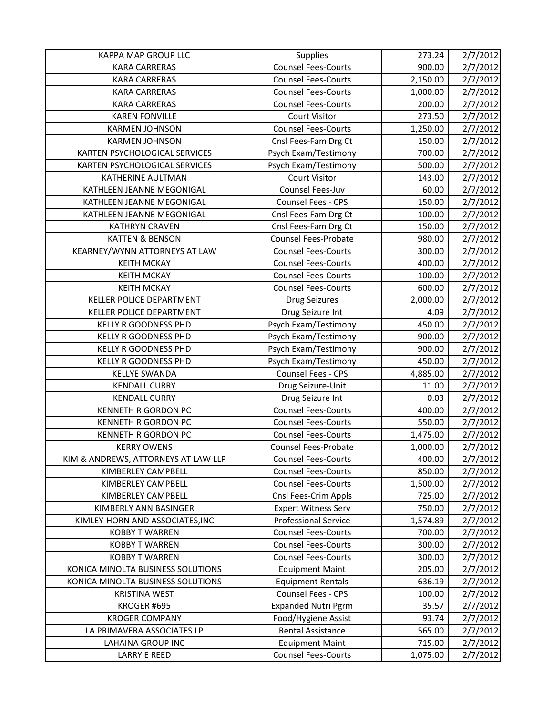| KAPPA MAP GROUP LLC                 | Supplies                    | 273.24   | 2/7/2012 |
|-------------------------------------|-----------------------------|----------|----------|
| <b>KARA CARRERAS</b>                | <b>Counsel Fees-Courts</b>  | 900.00   | 2/7/2012 |
| <b>KARA CARRERAS</b>                | <b>Counsel Fees-Courts</b>  | 2,150.00 | 2/7/2012 |
| <b>KARA CARRERAS</b>                | <b>Counsel Fees-Courts</b>  | 1,000.00 | 2/7/2012 |
| <b>KARA CARRERAS</b>                | <b>Counsel Fees-Courts</b>  | 200.00   | 2/7/2012 |
| <b>KAREN FONVILLE</b>               | <b>Court Visitor</b>        | 273.50   | 2/7/2012 |
| <b>KARMEN JOHNSON</b>               | <b>Counsel Fees-Courts</b>  | 1,250.00 | 2/7/2012 |
| <b>KARMEN JOHNSON</b>               | Cnsl Fees-Fam Drg Ct        | 150.00   | 2/7/2012 |
| KARTEN PSYCHOLOGICAL SERVICES       | Psych Exam/Testimony        | 700.00   | 2/7/2012 |
| KARTEN PSYCHOLOGICAL SERVICES       | Psych Exam/Testimony        | 500.00   | 2/7/2012 |
| KATHERINE AULTMAN                   | Court Visitor               | 143.00   | 2/7/2012 |
| KATHLEEN JEANNE MEGONIGAL           | Counsel Fees-Juv            | 60.00    | 2/7/2012 |
| KATHLEEN JEANNE MEGONIGAL           | Counsel Fees - CPS          | 150.00   | 2/7/2012 |
| KATHLEEN JEANNE MEGONIGAL           | Cnsl Fees-Fam Drg Ct        | 100.00   | 2/7/2012 |
| <b>KATHRYN CRAVEN</b>               | Cnsl Fees-Fam Drg Ct        | 150.00   | 2/7/2012 |
| <b>KATTEN &amp; BENSON</b>          | <b>Counsel Fees-Probate</b> | 980.00   | 2/7/2012 |
| KEARNEY/WYNN ATTORNEYS AT LAW       | <b>Counsel Fees-Courts</b>  | 300.00   | 2/7/2012 |
| <b>KEITH MCKAY</b>                  | <b>Counsel Fees-Courts</b>  | 400.00   | 2/7/2012 |
| <b>KEITH MCKAY</b>                  | <b>Counsel Fees-Courts</b>  | 100.00   | 2/7/2012 |
| <b>KEITH MCKAY</b>                  | <b>Counsel Fees-Courts</b>  | 600.00   | 2/7/2012 |
| KELLER POLICE DEPARTMENT            | <b>Drug Seizures</b>        | 2,000.00 | 2/7/2012 |
| KELLER POLICE DEPARTMENT            | Drug Seizure Int            | 4.09     | 2/7/2012 |
| <b>KELLY R GOODNESS PHD</b>         | Psych Exam/Testimony        | 450.00   | 2/7/2012 |
| KELLY R GOODNESS PHD                | Psych Exam/Testimony        | 900.00   | 2/7/2012 |
| <b>KELLY R GOODNESS PHD</b>         | Psych Exam/Testimony        | 900.00   | 2/7/2012 |
| <b>KELLY R GOODNESS PHD</b>         | Psych Exam/Testimony        | 450.00   | 2/7/2012 |
| <b>KELLYE SWANDA</b>                | Counsel Fees - CPS          | 4,885.00 | 2/7/2012 |
| <b>KENDALL CURRY</b>                | Drug Seizure-Unit           | 11.00    | 2/7/2012 |
| <b>KENDALL CURRY</b>                | Drug Seizure Int            | 0.03     | 2/7/2012 |
| <b>KENNETH R GORDON PC</b>          | <b>Counsel Fees-Courts</b>  | 400.00   | 2/7/2012 |
| <b>KENNETH R GORDON PC</b>          | <b>Counsel Fees-Courts</b>  | 550.00   | 2/7/2012 |
| <b>KENNETH R GORDON PC</b>          | <b>Counsel Fees-Courts</b>  | 1,475.00 | 2/7/2012 |
| <b>KERRY OWENS</b>                  | <b>Counsel Fees-Probate</b> | 1,000.00 | 2/7/2012 |
| KIM & ANDREWS, ATTORNEYS AT LAW LLP | <b>Counsel Fees-Courts</b>  | 400.00   | 2/7/2012 |
| KIMBERLEY CAMPBELL                  | <b>Counsel Fees-Courts</b>  | 850.00   | 2/7/2012 |
| KIMBERLEY CAMPBELL                  | <b>Counsel Fees-Courts</b>  | 1,500.00 | 2/7/2012 |
| KIMBERLEY CAMPBELL                  | Cnsl Fees-Crim Appls        | 725.00   | 2/7/2012 |
| KIMBERLY ANN BASINGER               | <b>Expert Witness Serv</b>  | 750.00   | 2/7/2012 |
| KIMLEY-HORN AND ASSOCIATES, INC     | <b>Professional Service</b> | 1,574.89 | 2/7/2012 |
| <b>KOBBY T WARREN</b>               | <b>Counsel Fees-Courts</b>  | 700.00   | 2/7/2012 |
| <b>KOBBY T WARREN</b>               | <b>Counsel Fees-Courts</b>  | 300.00   | 2/7/2012 |
| <b>KOBBY T WARREN</b>               | <b>Counsel Fees-Courts</b>  | 300.00   | 2/7/2012 |
| KONICA MINOLTA BUSINESS SOLUTIONS   | <b>Equipment Maint</b>      | 205.00   | 2/7/2012 |
| KONICA MINOLTA BUSINESS SOLUTIONS   | <b>Equipment Rentals</b>    | 636.19   | 2/7/2012 |
| <b>KRISTINA WEST</b>                | Counsel Fees - CPS          | 100.00   | 2/7/2012 |
| KROGER #695                         | <b>Expanded Nutri Pgrm</b>  | 35.57    | 2/7/2012 |
| <b>KROGER COMPANY</b>               | Food/Hygiene Assist         | 93.74    | 2/7/2012 |
| LA PRIMAVERA ASSOCIATES LP          | Rental Assistance           | 565.00   | 2/7/2012 |
| <b>LAHAINA GROUP INC</b>            | <b>Equipment Maint</b>      | 715.00   | 2/7/2012 |
| <b>LARRY E REED</b>                 | <b>Counsel Fees-Courts</b>  | 1,075.00 | 2/7/2012 |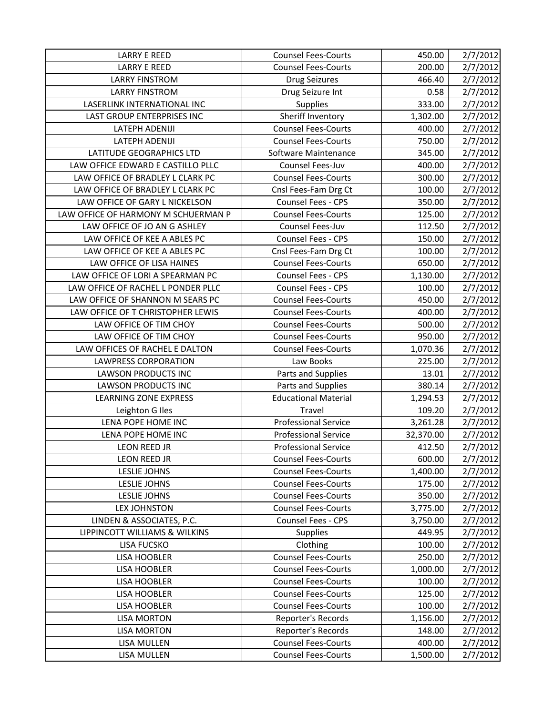| <b>LARRY E REED</b>                 | <b>Counsel Fees-Courts</b>  | 450.00    | 2/7/2012 |
|-------------------------------------|-----------------------------|-----------|----------|
| <b>LARRY E REED</b>                 | <b>Counsel Fees-Courts</b>  | 200.00    | 2/7/2012 |
| <b>LARRY FINSTROM</b>               | <b>Drug Seizures</b>        | 466.40    | 2/7/2012 |
| <b>LARRY FINSTROM</b>               | Drug Seizure Int            | 0.58      | 2/7/2012 |
| LASERLINK INTERNATIONAL INC         | <b>Supplies</b>             | 333.00    | 2/7/2012 |
| LAST GROUP ENTERPRISES INC          | Sheriff Inventory           | 1,302.00  | 2/7/2012 |
| LATEPH ADENIJI                      | <b>Counsel Fees-Courts</b>  | 400.00    | 2/7/2012 |
| <b>LATEPH ADENIJI</b>               | <b>Counsel Fees-Courts</b>  | 750.00    | 2/7/2012 |
| LATITUDE GEOGRAPHICS LTD            | Software Maintenance        | 345.00    | 2/7/2012 |
| LAW OFFICE EDWARD E CASTILLO PLLC   | Counsel Fees-Juv            | 400.00    | 2/7/2012 |
| LAW OFFICE OF BRADLEY L CLARK PC    | <b>Counsel Fees-Courts</b>  | 300.00    | 2/7/2012 |
| LAW OFFICE OF BRADLEY L CLARK PC    | Cnsl Fees-Fam Drg Ct        | 100.00    | 2/7/2012 |
| LAW OFFICE OF GARY L NICKELSON      | Counsel Fees - CPS          | 350.00    | 2/7/2012 |
| LAW OFFICE OF HARMONY M SCHUERMAN P | <b>Counsel Fees-Courts</b>  | 125.00    | 2/7/2012 |
| LAW OFFICE OF JO AN G ASHLEY        | Counsel Fees-Juv            | 112.50    | 2/7/2012 |
| LAW OFFICE OF KEE A ABLES PC        | Counsel Fees - CPS          | 150.00    | 2/7/2012 |
| LAW OFFICE OF KEE A ABLES PC        | Cnsl Fees-Fam Drg Ct        | 100.00    | 2/7/2012 |
| LAW OFFICE OF LISA HAINES           | <b>Counsel Fees-Courts</b>  | 650.00    | 2/7/2012 |
| LAW OFFICE OF LORI A SPEARMAN PC    | Counsel Fees - CPS          | 1,130.00  | 2/7/2012 |
| LAW OFFICE OF RACHEL L PONDER PLLC  | Counsel Fees - CPS          | 100.00    | 2/7/2012 |
| LAW OFFICE OF SHANNON M SEARS PC    | <b>Counsel Fees-Courts</b>  | 450.00    | 2/7/2012 |
| LAW OFFICE OF T CHRISTOPHER LEWIS   | <b>Counsel Fees-Courts</b>  | 400.00    | 2/7/2012 |
| LAW OFFICE OF TIM CHOY              | <b>Counsel Fees-Courts</b>  | 500.00    | 2/7/2012 |
| LAW OFFICE OF TIM CHOY              | <b>Counsel Fees-Courts</b>  | 950.00    | 2/7/2012 |
| LAW OFFICES OF RACHEL E DALTON      | <b>Counsel Fees-Courts</b>  | 1,070.36  | 2/7/2012 |
| <b>LAWPRESS CORPORATION</b>         | Law Books                   | 225.00    | 2/7/2012 |
| LAWSON PRODUCTS INC                 | Parts and Supplies          | 13.01     | 2/7/2012 |
| <b>LAWSON PRODUCTS INC</b>          | Parts and Supplies          | 380.14    | 2/7/2012 |
| <b>LEARNING ZONE EXPRESS</b>        | Educational Material        | 1,294.53  | 2/7/2012 |
| Leighton G Iles                     | Travel                      | 109.20    | 2/7/2012 |
| LENA POPE HOME INC                  | <b>Professional Service</b> | 3,261.28  | 2/7/2012 |
| LENA POPE HOME INC                  | <b>Professional Service</b> | 32,370.00 | 2/7/2012 |
| <b>LEON REED JR</b>                 | <b>Professional Service</b> | 412.50    | 2/7/2012 |
| LEON REED JR                        | <b>Counsel Fees-Courts</b>  | 600.00    | 2/7/2012 |
| <b>LESLIE JOHNS</b>                 | <b>Counsel Fees-Courts</b>  | 1,400.00  | 2/7/2012 |
| LESLIE JOHNS                        | <b>Counsel Fees-Courts</b>  | 175.00    | 2/7/2012 |
| LESLIE JOHNS                        | <b>Counsel Fees-Courts</b>  | 350.00    | 2/7/2012 |
| <b>LEX JOHNSTON</b>                 | <b>Counsel Fees-Courts</b>  | 3,775.00  | 2/7/2012 |
| LINDEN & ASSOCIATES, P.C.           | <b>Counsel Fees - CPS</b>   | 3,750.00  | 2/7/2012 |
| LIPPINCOTT WILLIAMS & WILKINS       | <b>Supplies</b>             | 449.95    | 2/7/2012 |
| <b>LISA FUCSKO</b>                  | Clothing                    | 100.00    | 2/7/2012 |
| <b>LISA HOOBLER</b>                 | <b>Counsel Fees-Courts</b>  | 250.00    | 2/7/2012 |
| <b>LISA HOOBLER</b>                 | <b>Counsel Fees-Courts</b>  | 1,000.00  | 2/7/2012 |
| <b>LISA HOOBLER</b>                 | <b>Counsel Fees-Courts</b>  | 100.00    | 2/7/2012 |
| LISA HOOBLER                        | <b>Counsel Fees-Courts</b>  | 125.00    | 2/7/2012 |
| <b>LISA HOOBLER</b>                 | <b>Counsel Fees-Courts</b>  | 100.00    | 2/7/2012 |
| <b>LISA MORTON</b>                  | Reporter's Records          | 1,156.00  | 2/7/2012 |
| <b>LISA MORTON</b>                  | Reporter's Records          | 148.00    | 2/7/2012 |
| <b>LISA MULLEN</b>                  | <b>Counsel Fees-Courts</b>  | 400.00    | 2/7/2012 |
| LISA MULLEN                         | <b>Counsel Fees-Courts</b>  | 1,500.00  | 2/7/2012 |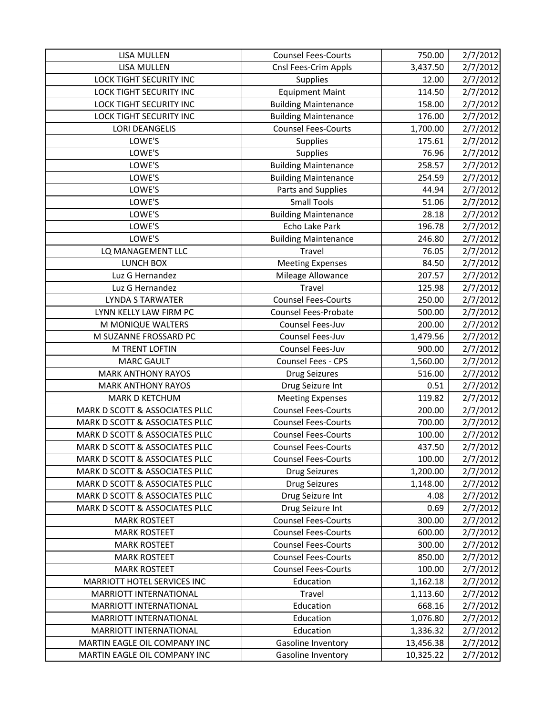| <b>LISA MULLEN</b>             | <b>Counsel Fees-Courts</b>  | 750.00    | 2/7/2012 |
|--------------------------------|-----------------------------|-----------|----------|
| <b>LISA MULLEN</b>             | Cnsl Fees-Crim Appls        | 3,437.50  | 2/7/2012 |
| <b>LOCK TIGHT SECURITY INC</b> | Supplies                    | 12.00     | 2/7/2012 |
| LOCK TIGHT SECURITY INC        | <b>Equipment Maint</b>      | 114.50    | 2/7/2012 |
| <b>LOCK TIGHT SECURITY INC</b> | <b>Building Maintenance</b> | 158.00    | 2/7/2012 |
| LOCK TIGHT SECURITY INC        | <b>Building Maintenance</b> | 176.00    | 2/7/2012 |
| <b>LORI DEANGELIS</b>          | <b>Counsel Fees-Courts</b>  | 1,700.00  | 2/7/2012 |
| LOWE'S                         | <b>Supplies</b>             | 175.61    | 2/7/2012 |
| LOWE'S                         | Supplies                    | 76.96     | 2/7/2012 |
| LOWE'S                         | <b>Building Maintenance</b> | 258.57    | 2/7/2012 |
| LOWE'S                         | <b>Building Maintenance</b> | 254.59    | 2/7/2012 |
| LOWE'S                         | Parts and Supplies          | 44.94     | 2/7/2012 |
| LOWE'S                         | <b>Small Tools</b>          | 51.06     | 2/7/2012 |
| LOWE'S                         | <b>Building Maintenance</b> | 28.18     | 2/7/2012 |
| LOWE'S                         | Echo Lake Park              | 196.78    | 2/7/2012 |
| LOWE'S                         | <b>Building Maintenance</b> | 246.80    | 2/7/2012 |
| LQ MANAGEMENT LLC              | Travel                      | 76.05     | 2/7/2012 |
| LUNCH BOX                      | <b>Meeting Expenses</b>     | 84.50     | 2/7/2012 |
| Luz G Hernandez                | Mileage Allowance           | 207.57    | 2/7/2012 |
| Luz G Hernandez                | Travel                      | 125.98    | 2/7/2012 |
| <b>LYNDA S TARWATER</b>        | <b>Counsel Fees-Courts</b>  | 250.00    | 2/7/2012 |
| LYNN KELLY LAW FIRM PC         | <b>Counsel Fees-Probate</b> | 500.00    | 2/7/2012 |
| M MONIQUE WALTERS              | Counsel Fees-Juv            | 200.00    | 2/7/2012 |
| M SUZANNE FROSSARD PC          | Counsel Fees-Juv            | 1,479.56  | 2/7/2012 |
| M TRENT LOFTIN                 | Counsel Fees-Juv            | 900.00    | 2/7/2012 |
| <b>MARC GAULT</b>              | Counsel Fees - CPS          | 1,560.00  | 2/7/2012 |
| <b>MARK ANTHONY RAYOS</b>      | <b>Drug Seizures</b>        | 516.00    | 2/7/2012 |
| <b>MARK ANTHONY RAYOS</b>      | Drug Seizure Int            | 0.51      | 2/7/2012 |
| MARK D KETCHUM                 | <b>Meeting Expenses</b>     | 119.82    | 2/7/2012 |
| MARK D SCOTT & ASSOCIATES PLLC | <b>Counsel Fees-Courts</b>  | 200.00    | 2/7/2012 |
| MARK D SCOTT & ASSOCIATES PLLC | <b>Counsel Fees-Courts</b>  | 700.00    | 2/7/2012 |
| MARK D SCOTT & ASSOCIATES PLLC | <b>Counsel Fees-Courts</b>  | 100.00    | 2/7/2012 |
| MARK D SCOTT & ASSOCIATES PLLC | <b>Counsel Fees-Courts</b>  | 437.50    | 2/7/2012 |
| MARK D SCOTT & ASSOCIATES PLLC | <b>Counsel Fees-Courts</b>  | 100.00    | 2/7/2012 |
| MARK D SCOTT & ASSOCIATES PLLC | <b>Drug Seizures</b>        | 1,200.00  | 2/7/2012 |
| MARK D SCOTT & ASSOCIATES PLLC | <b>Drug Seizures</b>        | 1,148.00  | 2/7/2012 |
| MARK D SCOTT & ASSOCIATES PLLC | Drug Seizure Int            | 4.08      | 2/7/2012 |
| MARK D SCOTT & ASSOCIATES PLLC | Drug Seizure Int            | 0.69      | 2/7/2012 |
| <b>MARK ROSTEET</b>            | <b>Counsel Fees-Courts</b>  | 300.00    | 2/7/2012 |
| <b>MARK ROSTEET</b>            | <b>Counsel Fees-Courts</b>  | 600.00    | 2/7/2012 |
| <b>MARK ROSTEET</b>            | <b>Counsel Fees-Courts</b>  | 300.00    | 2/7/2012 |
| <b>MARK ROSTEET</b>            | <b>Counsel Fees-Courts</b>  | 850.00    | 2/7/2012 |
| <b>MARK ROSTEET</b>            | <b>Counsel Fees-Courts</b>  | 100.00    | 2/7/2012 |
| MARRIOTT HOTEL SERVICES INC    | Education                   | 1,162.18  | 2/7/2012 |
| MARRIOTT INTERNATIONAL         | Travel                      | 1,113.60  | 2/7/2012 |
| MARRIOTT INTERNATIONAL         | Education                   | 668.16    | 2/7/2012 |
| MARRIOTT INTERNATIONAL         | Education                   | 1,076.80  | 2/7/2012 |
| MARRIOTT INTERNATIONAL         | Education                   | 1,336.32  | 2/7/2012 |
| MARTIN EAGLE OIL COMPANY INC   | Gasoline Inventory          | 13,456.38 | 2/7/2012 |
| MARTIN EAGLE OIL COMPANY INC   | Gasoline Inventory          | 10,325.22 | 2/7/2012 |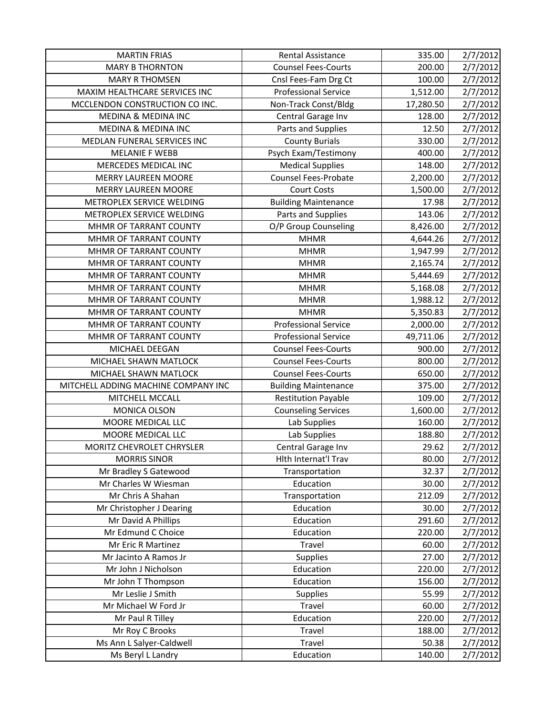| <b>MARTIN FRIAS</b>                           | <b>Rental Assistance</b>    | 335.00          | 2/7/2012 |
|-----------------------------------------------|-----------------------------|-----------------|----------|
| <b>MARY B THORNTON</b>                        | <b>Counsel Fees-Courts</b>  | 200.00          | 2/7/2012 |
| <b>MARY R THOMSEN</b>                         | Cnsl Fees-Fam Drg Ct        | 100.00          | 2/7/2012 |
| MAXIM HEALTHCARE SERVICES INC                 | <b>Professional Service</b> | 1,512.00        | 2/7/2012 |
| MCCLENDON CONSTRUCTION CO INC.                | Non-Track Const/Bldg        | 17,280.50       | 2/7/2012 |
| MEDINA & MEDINA INC                           | Central Garage Inv          | 128.00          | 2/7/2012 |
| <b>MEDINA &amp; MEDINA INC</b>                | Parts and Supplies          | 12.50           | 2/7/2012 |
| MEDLAN FUNERAL SERVICES INC                   | <b>County Burials</b>       | 330.00          | 2/7/2012 |
| <b>MELANIE F WEBB</b>                         | Psych Exam/Testimony        | 400.00          | 2/7/2012 |
| MERCEDES MEDICAL INC                          | <b>Medical Supplies</b>     | 148.00          | 2/7/2012 |
| <b>MERRY LAUREEN MOORE</b>                    | <b>Counsel Fees-Probate</b> | 2,200.00        | 2/7/2012 |
| <b>MERRY LAUREEN MOORE</b>                    | <b>Court Costs</b>          | 1,500.00        | 2/7/2012 |
| METROPLEX SERVICE WELDING                     | <b>Building Maintenance</b> | 17.98           | 2/7/2012 |
| METROPLEX SERVICE WELDING                     | Parts and Supplies          | 143.06          | 2/7/2012 |
| MHMR OF TARRANT COUNTY                        | O/P Group Counseling        | 8,426.00        | 2/7/2012 |
| MHMR OF TARRANT COUNTY                        | <b>MHMR</b>                 | 4,644.26        | 2/7/2012 |
| MHMR OF TARRANT COUNTY                        | <b>MHMR</b>                 | 1,947.99        | 2/7/2012 |
| MHMR OF TARRANT COUNTY                        | <b>MHMR</b>                 | 2,165.74        | 2/7/2012 |
| MHMR OF TARRANT COUNTY                        | <b>MHMR</b>                 | 5,444.69        | 2/7/2012 |
| MHMR OF TARRANT COUNTY                        | <b>MHMR</b>                 | 5,168.08        | 2/7/2012 |
| MHMR OF TARRANT COUNTY                        | <b>MHMR</b>                 | 1,988.12        | 2/7/2012 |
| MHMR OF TARRANT COUNTY                        | <b>MHMR</b>                 | 5,350.83        | 2/7/2012 |
| MHMR OF TARRANT COUNTY                        | <b>Professional Service</b> | 2,000.00        | 2/7/2012 |
| MHMR OF TARRANT COUNTY                        | <b>Professional Service</b> | 49,711.06       | 2/7/2012 |
| MICHAEL DEEGAN                                | <b>Counsel Fees-Courts</b>  | 900.00          | 2/7/2012 |
| MICHAEL SHAWN MATLOCK                         | <b>Counsel Fees-Courts</b>  | 800.00          | 2/7/2012 |
| MICHAEL SHAWN MATLOCK                         | <b>Counsel Fees-Courts</b>  | 650.00          | 2/7/2012 |
| MITCHELL ADDING MACHINE COMPANY INC           | <b>Building Maintenance</b> | 375.00          | 2/7/2012 |
| MITCHELL MCCALL                               | <b>Restitution Payable</b>  | 109.00          | 2/7/2012 |
| MONICA OLSON                                  | <b>Counseling Services</b>  | 1,600.00        | 2/7/2012 |
| MOORE MEDICAL LLC                             | Lab Supplies                | 160.00          | 2/7/2012 |
| MOORE MEDICAL LLC                             | Lab Supplies                | 188.80          | 2/7/2012 |
| MORITZ CHEVROLET CHRYSLER                     | Central Garage Inv          | 29.62           | 2/7/2012 |
| <b>MORRIS SINOR</b>                           | Hith Internat'l Trav        | 80.00           | 2/7/2012 |
| Mr Bradley S Gatewood                         | Transportation              | 32.37           | 2/7/2012 |
| Mr Charles W Wiesman                          | Education                   | 30.00           | 2/7/2012 |
| Mr Chris A Shahan                             | Transportation              | 212.09          | 2/7/2012 |
| Mr Christopher J Dearing                      | Education                   | 30.00           | 2/7/2012 |
| Mr David A Phillips                           | Education                   | 291.60          | 2/7/2012 |
| Mr Edmund C Choice                            | Education                   | 220.00          | 2/7/2012 |
| Mr Eric R Martinez                            | Travel                      | 60.00           | 2/7/2012 |
| Mr Jacinto A Ramos Jr                         | <b>Supplies</b>             | 27.00           | 2/7/2012 |
| Mr John J Nicholson                           | Education                   | 220.00          | 2/7/2012 |
| Mr John T Thompson                            | Education                   | 156.00          | 2/7/2012 |
| Mr Leslie J Smith                             | <b>Supplies</b>             | 55.99           | 2/7/2012 |
| Mr Michael W Ford Jr                          | Travel                      | 60.00           | 2/7/2012 |
| Mr Paul R Tilley                              | Education                   | 220.00          | 2/7/2012 |
|                                               |                             |                 |          |
| Mr Roy C Brooks                               | Travel                      | 188.00          | 2/7/2012 |
| Ms Ann L Salyer-Caldwell<br>Ms Beryl L Landry | Travel<br>Education         | 50.38<br>140.00 | 2/7/2012 |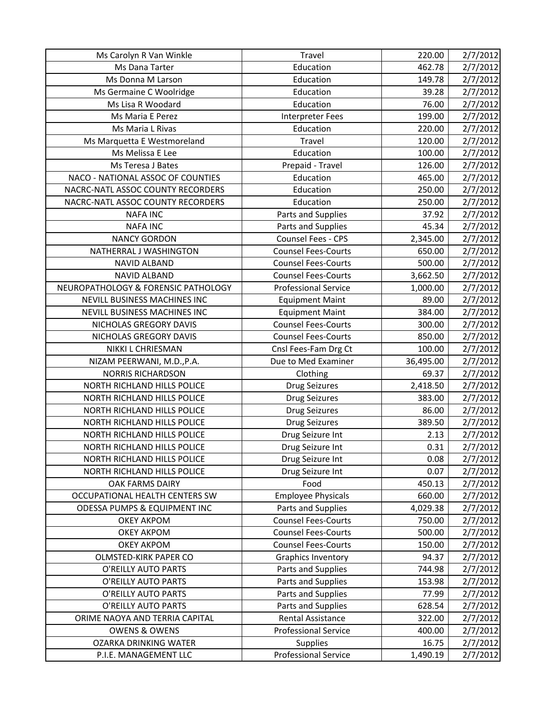| Ms Carolyn R Van Winkle                 | Travel                      | 220.00    | 2/7/2012             |
|-----------------------------------------|-----------------------------|-----------|----------------------|
| Ms Dana Tarter                          | Education                   | 462.78    | 2/7/2012             |
| Ms Donna M Larson                       | Education                   | 149.78    | 2/7/2012             |
| Ms Germaine C Woolridge                 | Education                   | 39.28     | 2/7/2012             |
| Ms Lisa R Woodard                       | Education                   | 76.00     | 2/7/2012             |
| Ms Maria E Perez                        | <b>Interpreter Fees</b>     | 199.00    | 2/7/2012             |
| Ms Maria L Rivas                        | Education                   | 220.00    | 2/7/2012             |
| Ms Marquetta E Westmoreland             | Travel                      | 120.00    | 2/7/2012             |
| Ms Melissa E Lee                        | Education                   | 100.00    | 2/7/2012             |
| Ms Teresa J Bates                       | Prepaid - Travel            | 126.00    | 2/7/2012             |
| NACO - NATIONAL ASSOC OF COUNTIES       | Education                   | 465.00    | 2/7/2012             |
| NACRC-NATL ASSOC COUNTY RECORDERS       | Education                   | 250.00    | 2/7/2012             |
| NACRC-NATL ASSOC COUNTY RECORDERS       | Education                   | 250.00    | 2/7/2012             |
| <b>NAFA INC</b>                         | Parts and Supplies          | 37.92     | 2/7/2012             |
| <b>NAFA INC</b>                         | Parts and Supplies          | 45.34     | 2/7/2012             |
| <b>NANCY GORDON</b>                     | Counsel Fees - CPS          | 2,345.00  | 2/7/2012             |
| NATHERRAL J WASHINGTON                  | <b>Counsel Fees-Courts</b>  | 650.00    | 2/7/2012             |
| <b>NAVID ALBAND</b>                     | <b>Counsel Fees-Courts</b>  | 500.00    | 2/7/2012             |
| <b>NAVID ALBAND</b>                     | <b>Counsel Fees-Courts</b>  | 3,662.50  | 2/7/2012             |
| NEUROPATHOLOGY & FORENSIC PATHOLOGY     | <b>Professional Service</b> | 1,000.00  | 2/7/2012             |
| NEVILL BUSINESS MACHINES INC            | <b>Equipment Maint</b>      | 89.00     | 2/7/2012             |
| NEVILL BUSINESS MACHINES INC            | <b>Equipment Maint</b>      | 384.00    | 2/7/2012             |
| NICHOLAS GREGORY DAVIS                  | <b>Counsel Fees-Courts</b>  | 300.00    | 2/7/2012             |
| NICHOLAS GREGORY DAVIS                  | <b>Counsel Fees-Courts</b>  | 850.00    | 2/7/2012             |
| NIKKI L CHRIESMAN                       | Cnsl Fees-Fam Drg Ct        | 100.00    | 2/7/2012             |
|                                         |                             |           |                      |
| NIZAM PEERWANI, M.D., P.A.              | Due to Med Examiner         | 36,495.00 | 2/7/2012             |
| <b>NORRIS RICHARDSON</b>                | Clothing                    | 69.37     | 2/7/2012             |
| NORTH RICHLAND HILLS POLICE             | <b>Drug Seizures</b>        | 2,418.50  | 2/7/2012             |
| NORTH RICHLAND HILLS POLICE             | <b>Drug Seizures</b>        | 383.00    | 2/7/2012             |
| NORTH RICHLAND HILLS POLICE             | <b>Drug Seizures</b>        | 86.00     | 2/7/2012             |
| NORTH RICHLAND HILLS POLICE             | <b>Drug Seizures</b>        | 389.50    | 2/7/2012             |
| NORTH RICHLAND HILLS POLICE             | Drug Seizure Int            | 2.13      | 2/7/2012             |
| NORTH RICHLAND HILLS POLICE             | Drug Seizure Int            | 0.31      | 2/7/2012             |
| NORTH RICHLAND HILLS POLICE             | Drug Seizure Int            | 0.08      |                      |
| NORTH RICHLAND HILLS POLICE             | Drug Seizure Int            | 0.07      | 2/7/2012<br>2/7/2012 |
| OAK FARMS DAIRY                         | Food                        | 450.13    |                      |
| OCCUPATIONAL HEALTH CENTERS SW          | <b>Employee Physicals</b>   | 660.00    | 2/7/2012             |
| <b>ODESSA PUMPS &amp; EQUIPMENT INC</b> | Parts and Supplies          | 4,029.38  | 2/7/2012<br>2/7/2012 |
| <b>OKEY AKPOM</b>                       | <b>Counsel Fees-Courts</b>  | 750.00    | 2/7/2012             |
| <b>OKEY AKPOM</b>                       | <b>Counsel Fees-Courts</b>  | 500.00    | 2/7/2012             |
| <b>OKEY AKPOM</b>                       | <b>Counsel Fees-Courts</b>  | 150.00    | 2/7/2012             |
| <b>OLMSTED-KIRK PAPER CO</b>            | <b>Graphics Inventory</b>   | 94.37     | 2/7/2012             |
| O'REILLY AUTO PARTS                     | Parts and Supplies          | 744.98    | 2/7/2012             |
| O'REILLY AUTO PARTS                     | Parts and Supplies          | 153.98    | 2/7/2012             |
| O'REILLY AUTO PARTS                     | Parts and Supplies          | 77.99     | 2/7/2012             |
| O'REILLY AUTO PARTS                     | Parts and Supplies          | 628.54    | 2/7/2012             |
| ORIME NAOYA AND TERRIA CAPITAL          | Rental Assistance           | 322.00    | 2/7/2012             |
| <b>OWENS &amp; OWENS</b>                | <b>Professional Service</b> | 400.00    | 2/7/2012             |
| <b>OZARKA DRINKING WATER</b>            | <b>Supplies</b>             | 16.75     | 2/7/2012             |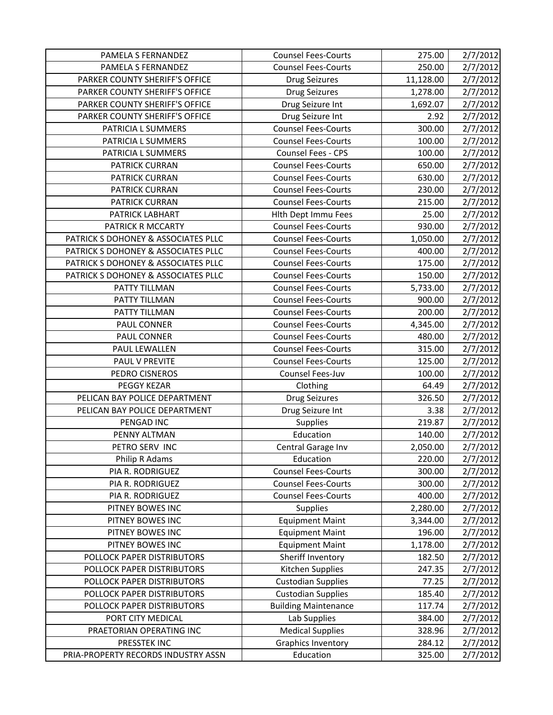| PAMELA S FERNANDEZ                  | <b>Counsel Fees-Courts</b>  | 275.00    | 2/7/2012 |
|-------------------------------------|-----------------------------|-----------|----------|
| PAMELA S FERNANDEZ                  | <b>Counsel Fees-Courts</b>  | 250.00    | 2/7/2012 |
| PARKER COUNTY SHERIFF'S OFFICE      | <b>Drug Seizures</b>        | 11,128.00 | 2/7/2012 |
| PARKER COUNTY SHERIFF'S OFFICE      | <b>Drug Seizures</b>        | 1,278.00  | 2/7/2012 |
| PARKER COUNTY SHERIFF'S OFFICE      | Drug Seizure Int            | 1,692.07  | 2/7/2012 |
| PARKER COUNTY SHERIFF'S OFFICE      | Drug Seizure Int            | 2.92      | 2/7/2012 |
| PATRICIA L SUMMERS                  | <b>Counsel Fees-Courts</b>  | 300.00    | 2/7/2012 |
| PATRICIA L SUMMERS                  | <b>Counsel Fees-Courts</b>  | 100.00    | 2/7/2012 |
| PATRICIA L SUMMERS                  | Counsel Fees - CPS          | 100.00    | 2/7/2012 |
| <b>PATRICK CURRAN</b>               | <b>Counsel Fees-Courts</b>  | 650.00    | 2/7/2012 |
| <b>PATRICK CURRAN</b>               | <b>Counsel Fees-Courts</b>  | 630.00    | 2/7/2012 |
| PATRICK CURRAN                      | <b>Counsel Fees-Courts</b>  | 230.00    | 2/7/2012 |
| <b>PATRICK CURRAN</b>               | <b>Counsel Fees-Courts</b>  | 215.00    | 2/7/2012 |
| PATRICK LABHART                     | <b>Hith Dept Immu Fees</b>  | 25.00     | 2/7/2012 |
| PATRICK R MCCARTY                   | <b>Counsel Fees-Courts</b>  | 930.00    | 2/7/2012 |
| PATRICK S DOHONEY & ASSOCIATES PLLC | <b>Counsel Fees-Courts</b>  | 1,050.00  | 2/7/2012 |
| PATRICK S DOHONEY & ASSOCIATES PLLC | <b>Counsel Fees-Courts</b>  | 400.00    | 2/7/2012 |
| PATRICK S DOHONEY & ASSOCIATES PLLC | <b>Counsel Fees-Courts</b>  | 175.00    | 2/7/2012 |
| PATRICK S DOHONEY & ASSOCIATES PLLC | <b>Counsel Fees-Courts</b>  | 150.00    | 2/7/2012 |
| PATTY TILLMAN                       | <b>Counsel Fees-Courts</b>  | 5,733.00  | 2/7/2012 |
| PATTY TILLMAN                       | <b>Counsel Fees-Courts</b>  | 900.00    | 2/7/2012 |
| PATTY TILLMAN                       | <b>Counsel Fees-Courts</b>  | 200.00    | 2/7/2012 |
| PAUL CONNER                         | <b>Counsel Fees-Courts</b>  | 4,345.00  | 2/7/2012 |
| PAUL CONNER                         | <b>Counsel Fees-Courts</b>  | 480.00    | 2/7/2012 |
| PAUL LEWALLEN                       | <b>Counsel Fees-Courts</b>  | 315.00    | 2/7/2012 |
| PAUL V PREVITE                      | <b>Counsel Fees-Courts</b>  | 125.00    | 2/7/2012 |
| PEDRO CISNEROS                      | Counsel Fees-Juv            | 100.00    | 2/7/2012 |
| PEGGY KEZAR                         | Clothing                    | 64.49     | 2/7/2012 |
| PELICAN BAY POLICE DEPARTMENT       | <b>Drug Seizures</b>        | 326.50    | 2/7/2012 |
| PELICAN BAY POLICE DEPARTMENT       | Drug Seizure Int            | 3.38      | 2/7/2012 |
| PENGAD INC                          | Supplies                    | 219.87    | 2/7/2012 |
| PENNY ALTMAN                        | Education                   | 140.00    | 2/7/2012 |
| PETRO SERV INC                      | Central Garage Inv          | 2,050.00  | 2/7/2012 |
| Philip R Adams                      | Education                   | 220.00    | 2/7/2012 |
| PIA R. RODRIGUEZ                    | <b>Counsel Fees-Courts</b>  | 300.00    | 2/7/2012 |
| PIA R. RODRIGUEZ                    | <b>Counsel Fees-Courts</b>  | 300.00    | 2/7/2012 |
| PIA R. RODRIGUEZ                    | <b>Counsel Fees-Courts</b>  | 400.00    | 2/7/2012 |
| PITNEY BOWES INC                    | <b>Supplies</b>             | 2,280.00  | 2/7/2012 |
| PITNEY BOWES INC                    | <b>Equipment Maint</b>      | 3,344.00  | 2/7/2012 |
| PITNEY BOWES INC                    | <b>Equipment Maint</b>      | 196.00    | 2/7/2012 |
| PITNEY BOWES INC                    | <b>Equipment Maint</b>      | 1,178.00  | 2/7/2012 |
| POLLOCK PAPER DISTRIBUTORS          | Sheriff Inventory           | 182.50    | 2/7/2012 |
| POLLOCK PAPER DISTRIBUTORS          | Kitchen Supplies            | 247.35    | 2/7/2012 |
| POLLOCK PAPER DISTRIBUTORS          | <b>Custodian Supplies</b>   | 77.25     | 2/7/2012 |
| POLLOCK PAPER DISTRIBUTORS          | <b>Custodian Supplies</b>   | 185.40    | 2/7/2012 |
| POLLOCK PAPER DISTRIBUTORS          | <b>Building Maintenance</b> | 117.74    | 2/7/2012 |
| PORT CITY MEDICAL                   | Lab Supplies                | 384.00    | 2/7/2012 |
| PRAETORIAN OPERATING INC            | <b>Medical Supplies</b>     | 328.96    | 2/7/2012 |
|                                     |                             |           |          |
| PRESSTEK INC                        | Graphics Inventory          | 284.12    | 2/7/2012 |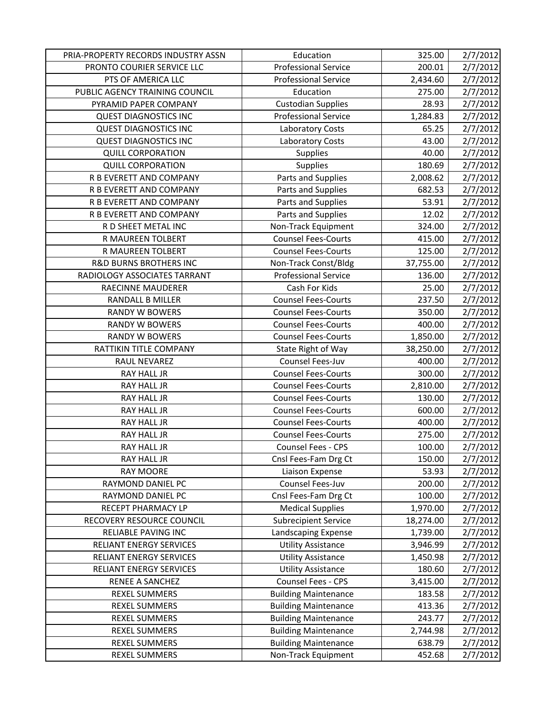| PRIA-PROPERTY RECORDS INDUSTRY ASSN | Education                   | 325.00    | 2/7/2012 |
|-------------------------------------|-----------------------------|-----------|----------|
| PRONTO COURIER SERVICE LLC          | <b>Professional Service</b> | 200.01    | 2/7/2012 |
| PTS OF AMERICA LLC                  | <b>Professional Service</b> | 2,434.60  | 2/7/2012 |
| PUBLIC AGENCY TRAINING COUNCIL      | Education                   | 275.00    | 2/7/2012 |
| PYRAMID PAPER COMPANY               | <b>Custodian Supplies</b>   | 28.93     | 2/7/2012 |
| <b>QUEST DIAGNOSTICS INC</b>        | <b>Professional Service</b> | 1,284.83  | 2/7/2012 |
| <b>QUEST DIAGNOSTICS INC</b>        | Laboratory Costs            | 65.25     | 2/7/2012 |
| <b>QUEST DIAGNOSTICS INC</b>        | Laboratory Costs            | 43.00     | 2/7/2012 |
| <b>QUILL CORPORATION</b>            | <b>Supplies</b>             | 40.00     | 2/7/2012 |
| <b>QUILL CORPORATION</b>            | <b>Supplies</b>             | 180.69    | 2/7/2012 |
| R B EVERETT AND COMPANY             | Parts and Supplies          | 2,008.62  | 2/7/2012 |
| R B EVERETT AND COMPANY             | Parts and Supplies          | 682.53    | 2/7/2012 |
| R B EVERETT AND COMPANY             | Parts and Supplies          | 53.91     | 2/7/2012 |
| R B EVERETT AND COMPANY             | Parts and Supplies          | 12.02     | 2/7/2012 |
| R D SHEET METAL INC                 | Non-Track Equipment         | 324.00    | 2/7/2012 |
| R MAUREEN TOLBERT                   | <b>Counsel Fees-Courts</b>  | 415.00    | 2/7/2012 |
| R MAUREEN TOLBERT                   | <b>Counsel Fees-Courts</b>  | 125.00    | 2/7/2012 |
| <b>R&amp;D BURNS BROTHERS INC</b>   | Non-Track Const/Bldg        | 37,755.00 | 2/7/2012 |
| RADIOLOGY ASSOCIATES TARRANT        | <b>Professional Service</b> | 136.00    | 2/7/2012 |
| RAECINNE MAUDERER                   | Cash For Kids               | 25.00     | 2/7/2012 |
| <b>RANDALL B MILLER</b>             | <b>Counsel Fees-Courts</b>  | 237.50    | 2/7/2012 |
| <b>RANDY W BOWERS</b>               | <b>Counsel Fees-Courts</b>  | 350.00    | 2/7/2012 |
| <b>RANDY W BOWERS</b>               | <b>Counsel Fees-Courts</b>  | 400.00    | 2/7/2012 |
| <b>RANDY W BOWERS</b>               | <b>Counsel Fees-Courts</b>  | 1,850.00  | 2/7/2012 |
| RATTIKIN TITLE COMPANY              | State Right of Way          | 38,250.00 | 2/7/2012 |
| RAUL NEVAREZ                        | Counsel Fees-Juv            | 400.00    | 2/7/2012 |
| RAY HALL JR                         | <b>Counsel Fees-Courts</b>  | 300.00    | 2/7/2012 |
| <b>RAY HALL JR</b>                  | <b>Counsel Fees-Courts</b>  | 2,810.00  | 2/7/2012 |
| <b>RAY HALL JR</b>                  | <b>Counsel Fees-Courts</b>  | 130.00    | 2/7/2012 |
| RAY HALL JR                         | <b>Counsel Fees-Courts</b>  | 600.00    | 2/7/2012 |
| RAY HALL JR                         | <b>Counsel Fees-Courts</b>  | 400.00    | 2/7/2012 |
| RAY HALL JR                         | <b>Counsel Fees-Courts</b>  | 275.00    | 2/7/2012 |
| <b>RAY HALL JR</b>                  | <b>Counsel Fees - CPS</b>   | 100.00    | 2/7/2012 |
| RAY HALL JR                         | Cnsl Fees-Fam Drg Ct        | 150.00    | 2/7/2012 |
| <b>RAY MOORE</b>                    | Liaison Expense             | 53.93     | 2/7/2012 |
| RAYMOND DANIEL PC                   | Counsel Fees-Juv            | 200.00    | 2/7/2012 |
| RAYMOND DANIEL PC                   | Cnsl Fees-Fam Drg Ct        | 100.00    | 2/7/2012 |
| RECEPT PHARMACY LP                  | <b>Medical Supplies</b>     | 1,970.00  | 2/7/2012 |
| RECOVERY RESOURCE COUNCIL           | <b>Subrecipient Service</b> | 18,274.00 | 2/7/2012 |
| RELIABLE PAVING INC                 | Landscaping Expense         | 1,739.00  | 2/7/2012 |
| RELIANT ENERGY SERVICES             | <b>Utility Assistance</b>   | 3,946.99  | 2/7/2012 |
| <b>RELIANT ENERGY SERVICES</b>      | <b>Utility Assistance</b>   | 1,450.98  | 2/7/2012 |
| RELIANT ENERGY SERVICES             | <b>Utility Assistance</b>   | 180.60    | 2/7/2012 |
| RENEE A SANCHEZ                     | Counsel Fees - CPS          | 3,415.00  | 2/7/2012 |
| <b>REXEL SUMMERS</b>                | <b>Building Maintenance</b> | 183.58    | 2/7/2012 |
| REXEL SUMMERS                       | <b>Building Maintenance</b> | 413.36    | 2/7/2012 |
| <b>REXEL SUMMERS</b>                | <b>Building Maintenance</b> | 243.77    | 2/7/2012 |
| <b>REXEL SUMMERS</b>                | <b>Building Maintenance</b> | 2,744.98  | 2/7/2012 |
| <b>REXEL SUMMERS</b>                | <b>Building Maintenance</b> | 638.79    | 2/7/2012 |
| <b>REXEL SUMMERS</b>                | Non-Track Equipment         | 452.68    | 2/7/2012 |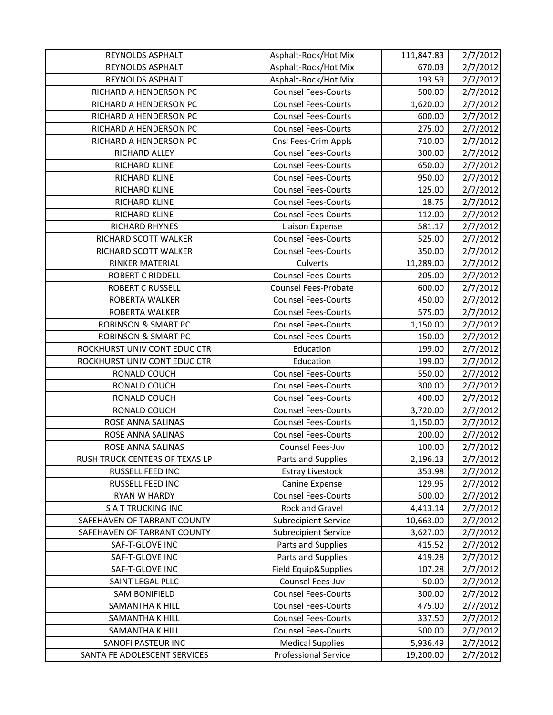| REYNOLDS ASPHALT                                   | Asphalt-Rock/Hot Mix                                   | 111,847.83            | 2/7/2012             |
|----------------------------------------------------|--------------------------------------------------------|-----------------------|----------------------|
| REYNOLDS ASPHALT                                   | Asphalt-Rock/Hot Mix                                   | 670.03                | 2/7/2012             |
| REYNOLDS ASPHALT                                   | Asphalt-Rock/Hot Mix                                   | 193.59                | 2/7/2012             |
| RICHARD A HENDERSON PC                             | <b>Counsel Fees-Courts</b>                             | 500.00                | 2/7/2012             |
| RICHARD A HENDERSON PC                             | <b>Counsel Fees-Courts</b>                             | 1,620.00              | 2/7/2012             |
| RICHARD A HENDERSON PC                             | <b>Counsel Fees-Courts</b>                             | 600.00                | 2/7/2012             |
| RICHARD A HENDERSON PC                             | <b>Counsel Fees-Courts</b>                             | 275.00                | 2/7/2012             |
| RICHARD A HENDERSON PC                             | Cnsl Fees-Crim Appls                                   | 710.00                | 2/7/2012             |
| RICHARD ALLEY                                      | <b>Counsel Fees-Courts</b>                             | 300.00                | 2/7/2012             |
| RICHARD KLINE                                      | <b>Counsel Fees-Courts</b>                             | 650.00                | 2/7/2012             |
| RICHARD KLINE                                      | <b>Counsel Fees-Courts</b>                             | 950.00                | 2/7/2012             |
| RICHARD KLINE                                      | <b>Counsel Fees-Courts</b>                             | 125.00                | 2/7/2012             |
| RICHARD KLINE                                      | <b>Counsel Fees-Courts</b>                             | 18.75                 | 2/7/2012             |
| RICHARD KLINE                                      | <b>Counsel Fees-Courts</b>                             | 112.00                | 2/7/2012             |
| <b>RICHARD RHYNES</b>                              | Liaison Expense                                        | 581.17                | 2/7/2012             |
| RICHARD SCOTT WALKER                               | <b>Counsel Fees-Courts</b>                             | 525.00                | 2/7/2012             |
| RICHARD SCOTT WALKER                               | <b>Counsel Fees-Courts</b>                             | 350.00                | 2/7/2012             |
| RINKER MATERIAL                                    | Culverts                                               | 11,289.00             | 2/7/2012             |
| <b>ROBERT C RIDDELL</b>                            | <b>Counsel Fees-Courts</b>                             | 205.00                | 2/7/2012             |
| <b>ROBERT C RUSSELL</b>                            | Counsel Fees-Probate                                   | 600.00                | 2/7/2012             |
| ROBERTA WALKER                                     | <b>Counsel Fees-Courts</b>                             | 450.00                | 2/7/2012             |
| ROBERTA WALKER                                     | <b>Counsel Fees-Courts</b>                             | 575.00                | 2/7/2012             |
| <b>ROBINSON &amp; SMART PC</b>                     | <b>Counsel Fees-Courts</b>                             | 1,150.00              | 2/7/2012             |
| <b>ROBINSON &amp; SMART PC</b>                     | <b>Counsel Fees-Courts</b>                             | 150.00                | 2/7/2012             |
| ROCKHURST UNIV CONT EDUC CTR                       | Education                                              | 199.00                | 2/7/2012             |
|                                                    |                                                        |                       |                      |
| ROCKHURST UNIV CONT EDUC CTR                       | Education                                              | 199.00                | 2/7/2012             |
| RONALD COUCH                                       | <b>Counsel Fees-Courts</b>                             | 550.00                | 2/7/2012             |
| RONALD COUCH                                       | <b>Counsel Fees-Courts</b>                             | 300.00                | 2/7/2012             |
| RONALD COUCH                                       | <b>Counsel Fees-Courts</b>                             | 400.00                | 2/7/2012             |
| RONALD COUCH                                       | <b>Counsel Fees-Courts</b>                             | 3,720.00              | 2/7/2012             |
| ROSE ANNA SALINAS                                  | <b>Counsel Fees-Courts</b>                             | 1,150.00              | 2/7/2012             |
| ROSE ANNA SALINAS                                  | <b>Counsel Fees-Courts</b>                             | 200.00                | 2/7/2012             |
| ROSE ANNA SALINAS                                  | Counsel Fees-Juv                                       | 100.00                | 2/7/2012             |
| RUSH TRUCK CENTERS OF TEXAS LP                     | Parts and Supplies                                     | 2,196.13              | 2/7/2012             |
| RUSSELL FEED INC                                   | <b>Estray Livestock</b>                                | 353.98                | 2/7/2012             |
| RUSSELL FEED INC                                   | Canine Expense                                         | 129.95                | 2/7/2012             |
| RYAN W HARDY                                       | <b>Counsel Fees-Courts</b>                             | 500.00                | 2/7/2012             |
| <b>SATTRUCKING INC</b>                             | Rock and Gravel                                        | 4,413.14              | 2/7/2012             |
| SAFEHAVEN OF TARRANT COUNTY                        | <b>Subrecipient Service</b>                            | 10,663.00             | 2/7/2012             |
| SAFEHAVEN OF TARRANT COUNTY                        | <b>Subrecipient Service</b>                            | 3,627.00              | 2/7/2012             |
| SAF-T-GLOVE INC                                    | Parts and Supplies                                     | 415.52                | 2/7/2012             |
| SAF-T-GLOVE INC                                    | Parts and Supplies                                     | 419.28                | 2/7/2012             |
| SAF-T-GLOVE INC                                    | Field Equip&Supplies                                   | 107.28                | 2/7/2012             |
| SAINT LEGAL PLLC                                   | Counsel Fees-Juv                                       | 50.00                 | 2/7/2012             |
| <b>SAM BONIFIELD</b>                               | <b>Counsel Fees-Courts</b>                             | 300.00                | 2/7/2012             |
| <b>SAMANTHA K HILL</b>                             | <b>Counsel Fees-Courts</b>                             | 475.00                | 2/7/2012             |
| SAMANTHA K HILL                                    | <b>Counsel Fees-Courts</b>                             | 337.50                | 2/7/2012             |
| SAMANTHA K HILL                                    | <b>Counsel Fees-Courts</b>                             | 500.00                | 2/7/2012             |
| SANOFI PASTEUR INC<br>SANTA FE ADOLESCENT SERVICES | <b>Medical Supplies</b><br><b>Professional Service</b> | 5,936.49<br>19,200.00 | 2/7/2012<br>2/7/2012 |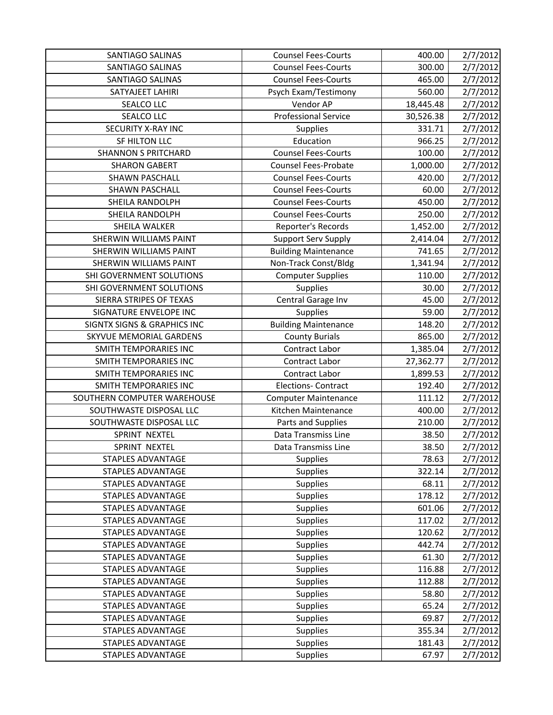| SANTIAGO SALINAS                       | <b>Counsel Fees-Courts</b>         | 400.00    | 2/7/2012             |
|----------------------------------------|------------------------------------|-----------|----------------------|
| SANTIAGO SALINAS                       | <b>Counsel Fees-Courts</b>         | 300.00    | 2/7/2012             |
| <b>SANTIAGO SALINAS</b>                | <b>Counsel Fees-Courts</b>         | 465.00    | 2/7/2012             |
| SATYAJEET LAHIRI                       | Psych Exam/Testimony               | 560.00    | 2/7/2012             |
| SEALCO LLC                             | Vendor AP                          | 18,445.48 | 2/7/2012             |
| SEALCO LLC                             | <b>Professional Service</b>        | 30,526.38 | 2/7/2012             |
| SECURITY X-RAY INC                     | Supplies                           | 331.71    | 2/7/2012             |
| SF HILTON LLC                          | Education                          | 966.25    | 2/7/2012             |
| <b>SHANNON S PRITCHARD</b>             | <b>Counsel Fees-Courts</b>         | 100.00    | 2/7/2012             |
| <b>SHARON GABERT</b>                   | <b>Counsel Fees-Probate</b>        | 1,000.00  | 2/7/2012             |
| <b>SHAWN PASCHALL</b>                  | <b>Counsel Fees-Courts</b>         | 420.00    | 2/7/2012             |
| <b>SHAWN PASCHALL</b>                  | <b>Counsel Fees-Courts</b>         | 60.00     | 2/7/2012             |
| SHEILA RANDOLPH                        | <b>Counsel Fees-Courts</b>         | 450.00    | 2/7/2012             |
| SHEILA RANDOLPH                        | <b>Counsel Fees-Courts</b>         | 250.00    | 2/7/2012             |
| SHEILA WALKER                          | Reporter's Records                 | 1,452.00  | 2/7/2012             |
| SHERWIN WILLIAMS PAINT                 | <b>Support Serv Supply</b>         | 2,414.04  | 2/7/2012             |
| SHERWIN WILLIAMS PAINT                 | <b>Building Maintenance</b>        | 741.65    | 2/7/2012             |
| <b>SHERWIN WILLIAMS PAINT</b>          | Non-Track Const/Bldg               | 1,341.94  | 2/7/2012             |
| SHI GOVERNMENT SOLUTIONS               | <b>Computer Supplies</b>           | 110.00    | 2/7/2012             |
| SHI GOVERNMENT SOLUTIONS               | Supplies                           | 30.00     | 2/7/2012             |
| SIERRA STRIPES OF TEXAS                | Central Garage Inv                 | 45.00     | 2/7/2012             |
| SIGNATURE ENVELOPE INC                 | Supplies                           | 59.00     | 2/7/2012             |
| <b>SIGNTX SIGNS &amp; GRAPHICS INC</b> | <b>Building Maintenance</b>        | 148.20    | 2/7/2012             |
| SKYVUE MEMORIAL GARDENS                | <b>County Burials</b>              | 865.00    | 2/7/2012             |
| SMITH TEMPORARIES INC                  | Contract Labor                     | 1,385.04  | 2/7/2012             |
|                                        |                                    |           |                      |
| SMITH TEMPORARIES INC                  | Contract Labor                     | 27,362.77 | 2/7/2012             |
| <b>SMITH TEMPORARIES INC</b>           | Contract Labor                     | 1,899.53  | 2/7/2012             |
| <b>SMITH TEMPORARIES INC</b>           | <b>Elections- Contract</b>         | 192.40    | 2/7/2012             |
| SOUTHERN COMPUTER WAREHOUSE            | <b>Computer Maintenance</b>        | 111.12    | 2/7/2012             |
| SOUTHWASTE DISPOSAL LLC                | Kitchen Maintenance                | 400.00    | 2/7/2012             |
| SOUTHWASTE DISPOSAL LLC                | Parts and Supplies                 | 210.00    | 2/7/2012             |
| SPRINT NEXTEL                          | Data Transmiss Line                | 38.50     | 2/7/2012             |
| SPRINT NEXTEL                          | Data Transmiss Line                | 38.50     | 2/7/2012             |
| <b>STAPLES ADVANTAGE</b>               | <b>Supplies</b>                    | 78.63     | 2/7/2012             |
| <b>STAPLES ADVANTAGE</b>               | <b>Supplies</b>                    | 322.14    | 2/7/2012             |
| <b>STAPLES ADVANTAGE</b>               | <b>Supplies</b>                    | 68.11     | 2/7/2012             |
| <b>STAPLES ADVANTAGE</b>               | <b>Supplies</b>                    | 178.12    | 2/7/2012             |
| STAPLES ADVANTAGE                      | <b>Supplies</b>                    | 601.06    | 2/7/2012             |
| <b>STAPLES ADVANTAGE</b>               | <b>Supplies</b>                    | 117.02    | 2/7/2012             |
| STAPLES ADVANTAGE                      | <b>Supplies</b>                    | 120.62    | 2/7/2012             |
| <b>STAPLES ADVANTAGE</b>               | <b>Supplies</b>                    | 442.74    | 2/7/2012             |
| <b>STAPLES ADVANTAGE</b>               | <b>Supplies</b>                    | 61.30     | 2/7/2012             |
| STAPLES ADVANTAGE                      | <b>Supplies</b>                    | 116.88    | 2/7/2012             |
| <b>STAPLES ADVANTAGE</b>               | <b>Supplies</b>                    | 112.88    | 2/7/2012             |
| STAPLES ADVANTAGE                      | <b>Supplies</b>                    | 58.80     | 2/7/2012             |
| STAPLES ADVANTAGE                      | <b>Supplies</b>                    | 65.24     | 2/7/2012             |
| STAPLES ADVANTAGE                      | <b>Supplies</b>                    | 69.87     | 2/7/2012             |
| <b>STAPLES ADVANTAGE</b>               | <b>Supplies</b>                    | 355.34    | 2/7/2012             |
| STAPLES ADVANTAGE<br>STAPLES ADVANTAGE | <b>Supplies</b><br><b>Supplies</b> | 181.43    | 2/7/2012<br>2/7/2012 |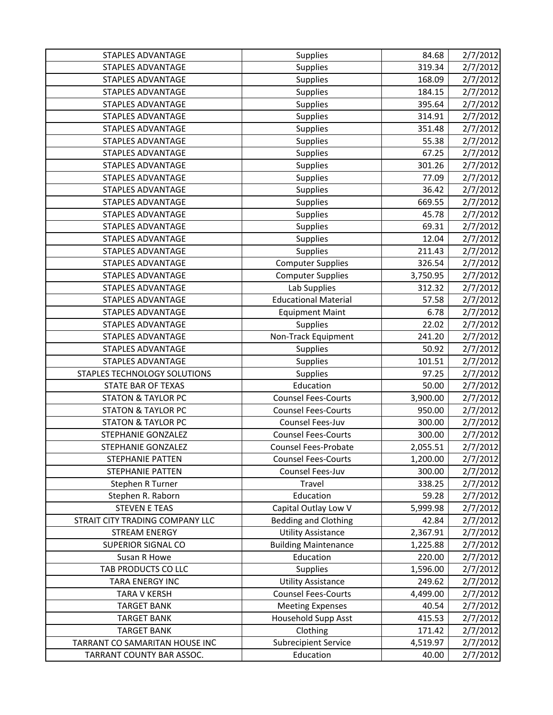| <b>STAPLES ADVANTAGE</b>        | <b>Supplies</b>             | 84.68    | 2/7/2012             |
|---------------------------------|-----------------------------|----------|----------------------|
| <b>STAPLES ADVANTAGE</b>        | <b>Supplies</b>             | 319.34   | 2/7/2012             |
| <b>STAPLES ADVANTAGE</b>        | Supplies                    | 168.09   | 2/7/2012             |
| <b>STAPLES ADVANTAGE</b>        | Supplies                    | 184.15   | 2/7/2012             |
| STAPLES ADVANTAGE               | Supplies                    | 395.64   | 2/7/2012             |
| <b>STAPLES ADVANTAGE</b>        | Supplies                    | 314.91   | 2/7/2012             |
| <b>STAPLES ADVANTAGE</b>        | Supplies                    | 351.48   | 2/7/2012             |
| <b>STAPLES ADVANTAGE</b>        | <b>Supplies</b>             | 55.38    | 2/7/2012             |
| STAPLES ADVANTAGE               | Supplies                    | 67.25    | 2/7/2012             |
| <b>STAPLES ADVANTAGE</b>        | <b>Supplies</b>             | 301.26   | 2/7/2012             |
| <b>STAPLES ADVANTAGE</b>        | Supplies                    | 77.09    | 2/7/2012             |
| STAPLES ADVANTAGE               | <b>Supplies</b>             | 36.42    | 2/7/2012             |
| <b>STAPLES ADVANTAGE</b>        | <b>Supplies</b>             | 669.55   | 2/7/2012             |
| <b>STAPLES ADVANTAGE</b>        | Supplies                    | 45.78    | 2/7/2012             |
| <b>STAPLES ADVANTAGE</b>        | Supplies                    | 69.31    | 2/7/2012             |
| STAPLES ADVANTAGE               | Supplies                    | 12.04    | 2/7/2012             |
| <b>STAPLES ADVANTAGE</b>        | <b>Supplies</b>             | 211.43   | 2/7/2012             |
| <b>STAPLES ADVANTAGE</b>        | <b>Computer Supplies</b>    | 326.54   | 2/7/2012             |
| STAPLES ADVANTAGE               | <b>Computer Supplies</b>    | 3,750.95 | 2/7/2012             |
| STAPLES ADVANTAGE               | Lab Supplies                | 312.32   | 2/7/2012             |
| <b>STAPLES ADVANTAGE</b>        | <b>Educational Material</b> | 57.58    | 2/7/2012             |
| <b>STAPLES ADVANTAGE</b>        | <b>Equipment Maint</b>      | 6.78     | 2/7/2012             |
| <b>STAPLES ADVANTAGE</b>        | <b>Supplies</b>             | 22.02    | 2/7/2012             |
| <b>STAPLES ADVANTAGE</b>        | Non-Track Equipment         | 241.20   | 2/7/2012             |
| <b>STAPLES ADVANTAGE</b>        | <b>Supplies</b>             | 50.92    | 2/7/2012             |
|                                 |                             |          |                      |
| <b>STAPLES ADVANTAGE</b>        | Supplies                    | 101.51   | 2/7/2012             |
| STAPLES TECHNOLOGY SOLUTIONS    | Supplies                    | 97.25    | 2/7/2012             |
| STATE BAR OF TEXAS              | Education                   | 50.00    | 2/7/2012             |
| <b>STATON &amp; TAYLOR PC</b>   | <b>Counsel Fees-Courts</b>  | 3,900.00 | 2/7/2012             |
| <b>STATON &amp; TAYLOR PC</b>   | <b>Counsel Fees-Courts</b>  | 950.00   | 2/7/2012             |
| <b>STATON &amp; TAYLOR PC</b>   | Counsel Fees-Juv            | 300.00   | 2/7/2012             |
| STEPHANIE GONZALEZ              | <b>Counsel Fees-Courts</b>  | 300.00   | 2/7/2012             |
| STEPHANIE GONZALEZ              | <b>Counsel Fees-Probate</b> | 2,055.51 | 2/7/2012             |
| STEPHANIE PATTEN                | <b>Counsel Fees-Courts</b>  | 1,200.00 | 2/7/2012             |
| STEPHANIE PATTEN                | Counsel Fees-Juv            | 300.00   | 2/7/2012             |
| Stephen R Turner                | Travel                      | 338.25   | 2/7/2012             |
| Stephen R. Raborn               | Education                   | 59.28    | 2/7/2012             |
| <b>STEVEN E TEAS</b>            | Capital Outlay Low V        | 5,999.98 | 2/7/2012             |
| STRAIT CITY TRADING COMPANY LLC | <b>Bedding and Clothing</b> | 42.84    | 2/7/2012             |
| <b>STREAM ENERGY</b>            | <b>Utility Assistance</b>   | 2,367.91 | 2/7/2012             |
| <b>SUPERIOR SIGNAL CO</b>       | <b>Building Maintenance</b> | 1,225.88 | 2/7/2012             |
| Susan R Howe                    | Education                   | 220.00   | 2/7/2012             |
| TAB PRODUCTS CO LLC             | <b>Supplies</b>             | 1,596.00 |                      |
| TARA ENERGY INC                 | <b>Utility Assistance</b>   | 249.62   | 2/7/2012<br>2/7/2012 |
| <b>TARA V KERSH</b>             | <b>Counsel Fees-Courts</b>  | 4,499.00 | 2/7/2012             |
| <b>TARGET BANK</b>              | <b>Meeting Expenses</b>     | 40.54    | 2/7/2012             |
| <b>TARGET BANK</b>              | Household Supp Asst         | 415.53   | 2/7/2012             |
| <b>TARGET BANK</b>              | Clothing                    | 171.42   | 2/7/2012             |
| TARRANT CO SAMARITAN HOUSE INC  | <b>Subrecipient Service</b> | 4,519.97 | 2/7/2012             |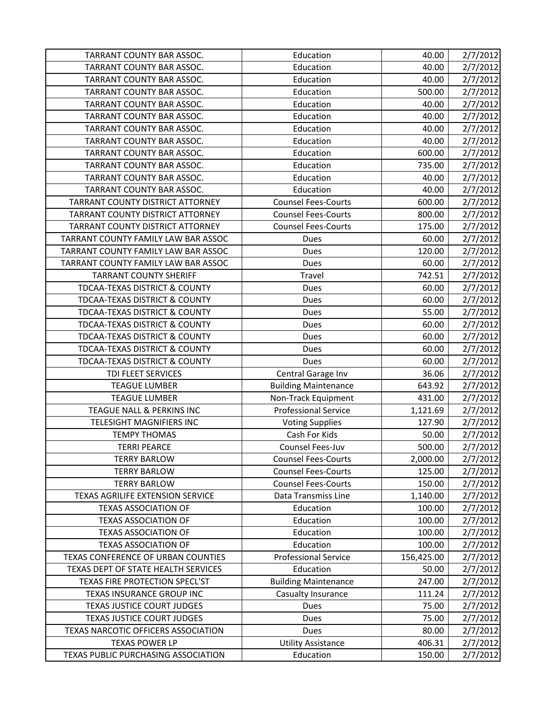| TARRANT COUNTY BAR ASSOC.                | Education                   | 40.00      | 2/7/2012 |
|------------------------------------------|-----------------------------|------------|----------|
| TARRANT COUNTY BAR ASSOC.                | Education                   | 40.00      | 2/7/2012 |
| TARRANT COUNTY BAR ASSOC.                | Education                   | 40.00      | 2/7/2012 |
| TARRANT COUNTY BAR ASSOC.                | Education                   | 500.00     | 2/7/2012 |
| TARRANT COUNTY BAR ASSOC.                | Education                   | 40.00      | 2/7/2012 |
| TARRANT COUNTY BAR ASSOC.                | Education                   | 40.00      | 2/7/2012 |
| TARRANT COUNTY BAR ASSOC.                | Education                   | 40.00      | 2/7/2012 |
| TARRANT COUNTY BAR ASSOC.                | Education                   | 40.00      | 2/7/2012 |
| TARRANT COUNTY BAR ASSOC.                | Education                   | 600.00     | 2/7/2012 |
| TARRANT COUNTY BAR ASSOC.                | Education                   | 735.00     | 2/7/2012 |
| TARRANT COUNTY BAR ASSOC.                | Education                   | 40.00      | 2/7/2012 |
| TARRANT COUNTY BAR ASSOC.                | Education                   | 40.00      | 2/7/2012 |
| TARRANT COUNTY DISTRICT ATTORNEY         | <b>Counsel Fees-Courts</b>  | 600.00     | 2/7/2012 |
| TARRANT COUNTY DISTRICT ATTORNEY         | <b>Counsel Fees-Courts</b>  | 800.00     | 2/7/2012 |
| TARRANT COUNTY DISTRICT ATTORNEY         | <b>Counsel Fees-Courts</b>  | 175.00     | 2/7/2012 |
| TARRANT COUNTY FAMILY LAW BAR ASSOC      | Dues                        | 60.00      | 2/7/2012 |
| TARRANT COUNTY FAMILY LAW BAR ASSOC      | Dues                        | 120.00     | 2/7/2012 |
| TARRANT COUNTY FAMILY LAW BAR ASSOC      | Dues                        | 60.00      | 2/7/2012 |
| <b>TARRANT COUNTY SHERIFF</b>            | Travel                      | 742.51     | 2/7/2012 |
| <b>TDCAA-TEXAS DISTRICT &amp; COUNTY</b> | Dues                        | 60.00      | 2/7/2012 |
| <b>TDCAA-TEXAS DISTRICT &amp; COUNTY</b> | Dues                        | 60.00      | 2/7/2012 |
| TDCAA-TEXAS DISTRICT & COUNTY            | Dues                        | 55.00      | 2/7/2012 |
| <b>TDCAA-TEXAS DISTRICT &amp; COUNTY</b> | Dues                        | 60.00      | 2/7/2012 |
| <b>TDCAA-TEXAS DISTRICT &amp; COUNTY</b> | Dues                        | 60.00      | 2/7/2012 |
| TDCAA-TEXAS DISTRICT & COUNTY            | Dues                        | 60.00      | 2/7/2012 |
| TDCAA-TEXAS DISTRICT & COUNTY            | Dues                        | 60.00      | 2/7/2012 |
| TDI FLEET SERVICES                       | Central Garage Inv          | 36.06      | 2/7/2012 |
| <b>TEAGUE LUMBER</b>                     | <b>Building Maintenance</b> | 643.92     | 2/7/2012 |
| <b>TEAGUE LUMBER</b>                     | Non-Track Equipment         | 431.00     | 2/7/2012 |
| TEAGUE NALL & PERKINS INC                | <b>Professional Service</b> | 1,121.69   | 2/7/2012 |
| <b>TELESIGHT MAGNIFIERS INC</b>          | <b>Voting Supplies</b>      | 127.90     | 2/7/2012 |
| <b>TEMPY THOMAS</b>                      | Cash For Kids               | 50.00      | 2/7/2012 |
| <b>TERRI PEARCE</b>                      | Counsel Fees-Juv            | 500.00     | 2/7/2012 |
| <b>TERRY BARLOW</b>                      | <b>Counsel Fees-Courts</b>  | 2,000.00   | 2/7/2012 |
| <b>TERRY BARLOW</b>                      | <b>Counsel Fees-Courts</b>  | 125.00     | 2/7/2012 |
| <b>TERRY BARLOW</b>                      | <b>Counsel Fees-Courts</b>  | 150.00     | 2/7/2012 |
| TEXAS AGRILIFE EXTENSION SERVICE         | Data Transmiss Line         | 1,140.00   | 2/7/2012 |
| <b>TEXAS ASSOCIATION OF</b>              | Education                   | 100.00     | 2/7/2012 |
| <b>TEXAS ASSOCIATION OF</b>              | Education                   | 100.00     | 2/7/2012 |
| <b>TEXAS ASSOCIATION OF</b>              | Education                   | 100.00     | 2/7/2012 |
| <b>TEXAS ASSOCIATION OF</b>              | Education                   | 100.00     | 2/7/2012 |
| TEXAS CONFERENCE OF URBAN COUNTIES       | <b>Professional Service</b> | 156,425.00 | 2/7/2012 |
| TEXAS DEPT OF STATE HEALTH SERVICES      | Education                   | 50.00      | 2/7/2012 |
| <b>TEXAS FIRE PROTECTION SPECL'ST</b>    | <b>Building Maintenance</b> | 247.00     | 2/7/2012 |
| TEXAS INSURANCE GROUP INC                | Casualty Insurance          | 111.24     | 2/7/2012 |
| TEXAS JUSTICE COURT JUDGES               | Dues                        | 75.00      | 2/7/2012 |
| <b>TEXAS JUSTICE COURT JUDGES</b>        | Dues                        | 75.00      | 2/7/2012 |
| TEXAS NARCOTIC OFFICERS ASSOCIATION      | Dues                        | 80.00      | 2/7/2012 |
| <b>TEXAS POWER LP</b>                    | <b>Utility Assistance</b>   | 406.31     | 2/7/2012 |
| TEXAS PUBLIC PURCHASING ASSOCIATION      | Education                   | 150.00     | 2/7/2012 |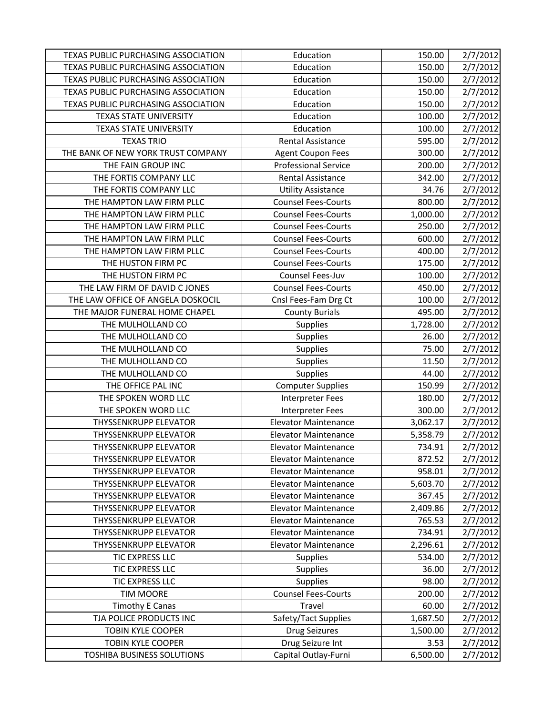| <b>TEXAS PUBLIC PURCHASING ASSOCIATION</b> | Education                   | 150.00   | 2/7/2012 |
|--------------------------------------------|-----------------------------|----------|----------|
| TEXAS PUBLIC PURCHASING ASSOCIATION        | Education                   | 150.00   | 2/7/2012 |
| TEXAS PUBLIC PURCHASING ASSOCIATION        | Education                   | 150.00   | 2/7/2012 |
| TEXAS PUBLIC PURCHASING ASSOCIATION        | Education                   | 150.00   | 2/7/2012 |
| TEXAS PUBLIC PURCHASING ASSOCIATION        | Education                   | 150.00   | 2/7/2012 |
| <b>TEXAS STATE UNIVERSITY</b>              | Education                   | 100.00   | 2/7/2012 |
| <b>TEXAS STATE UNIVERSITY</b>              | Education                   | 100.00   | 2/7/2012 |
| <b>TEXAS TRIO</b>                          | Rental Assistance           | 595.00   | 2/7/2012 |
| THE BANK OF NEW YORK TRUST COMPANY         | <b>Agent Coupon Fees</b>    | 300.00   | 2/7/2012 |
| THE FAIN GROUP INC                         | <b>Professional Service</b> | 200.00   | 2/7/2012 |
| THE FORTIS COMPANY LLC                     | <b>Rental Assistance</b>    | 342.00   | 2/7/2012 |
| THE FORTIS COMPANY LLC                     | <b>Utility Assistance</b>   | 34.76    | 2/7/2012 |
| THE HAMPTON LAW FIRM PLLC                  | <b>Counsel Fees-Courts</b>  | 800.00   | 2/7/2012 |
| THE HAMPTON LAW FIRM PLLC                  | <b>Counsel Fees-Courts</b>  | 1,000.00 | 2/7/2012 |
| THE HAMPTON LAW FIRM PLLC                  | <b>Counsel Fees-Courts</b>  | 250.00   | 2/7/2012 |
| THE HAMPTON LAW FIRM PLLC                  | <b>Counsel Fees-Courts</b>  | 600.00   | 2/7/2012 |
| THE HAMPTON LAW FIRM PLLC                  | <b>Counsel Fees-Courts</b>  | 400.00   | 2/7/2012 |
| THE HUSTON FIRM PC                         | <b>Counsel Fees-Courts</b>  | 175.00   | 2/7/2012 |
| THE HUSTON FIRM PC                         | Counsel Fees-Juv            | 100.00   | 2/7/2012 |
| THE LAW FIRM OF DAVID C JONES              | <b>Counsel Fees-Courts</b>  | 450.00   | 2/7/2012 |
| THE LAW OFFICE OF ANGELA DOSKOCIL          | Cnsl Fees-Fam Drg Ct        | 100.00   | 2/7/2012 |
| THE MAJOR FUNERAL HOME CHAPEL              | <b>County Burials</b>       | 495.00   | 2/7/2012 |
| THE MULHOLLAND CO                          | Supplies                    | 1,728.00 | 2/7/2012 |
| THE MULHOLLAND CO                          | <b>Supplies</b>             | 26.00    | 2/7/2012 |
| THE MULHOLLAND CO                          | <b>Supplies</b>             | 75.00    | 2/7/2012 |
| THE MULHOLLAND CO                          | Supplies                    | 11.50    | 2/7/2012 |
| THE MULHOLLAND CO                          | Supplies                    | 44.00    | 2/7/2012 |
| THE OFFICE PAL INC                         | <b>Computer Supplies</b>    | 150.99   | 2/7/2012 |
| THE SPOKEN WORD LLC                        | Interpreter Fees            | 180.00   | 2/7/2012 |
| THE SPOKEN WORD LLC                        | <b>Interpreter Fees</b>     | 300.00   | 2/7/2012 |
| <b>THYSSENKRUPP ELEVATOR</b>               | <b>Elevator Maintenance</b> | 3,062.17 | 2/7/2012 |
| <b>THYSSENKRUPP ELEVATOR</b>               | <b>Elevator Maintenance</b> | 5,358.79 | 2/7/2012 |
| <b>THYSSENKRUPP ELEVATOR</b>               | <b>Elevator Maintenance</b> | 734.91   | 2/7/2012 |
| <b>THYSSENKRUPP ELEVATOR</b>               | <b>Elevator Maintenance</b> | 872.52   | 2/7/2012 |
| <b>THYSSENKRUPP ELEVATOR</b>               | <b>Elevator Maintenance</b> | 958.01   | 2/7/2012 |
| <b>THYSSENKRUPP ELEVATOR</b>               | <b>Elevator Maintenance</b> | 5,603.70 | 2/7/2012 |
| <b>THYSSENKRUPP ELEVATOR</b>               | <b>Elevator Maintenance</b> | 367.45   | 2/7/2012 |
| <b>THYSSENKRUPP ELEVATOR</b>               | <b>Elevator Maintenance</b> | 2,409.86 | 2/7/2012 |
| <b>THYSSENKRUPP ELEVATOR</b>               | <b>Elevator Maintenance</b> | 765.53   | 2/7/2012 |
| <b>THYSSENKRUPP ELEVATOR</b>               | <b>Elevator Maintenance</b> | 734.91   | 2/7/2012 |
| THYSSENKRUPP ELEVATOR                      | <b>Elevator Maintenance</b> | 2,296.61 | 2/7/2012 |
| TIC EXPRESS LLC                            | <b>Supplies</b>             | 534.00   | 2/7/2012 |
| TIC EXPRESS LLC                            | <b>Supplies</b>             | 36.00    | 2/7/2012 |
| TIC EXPRESS LLC                            | <b>Supplies</b>             | 98.00    | 2/7/2012 |
| <b>TIM MOORE</b>                           | <b>Counsel Fees-Courts</b>  | 200.00   | 2/7/2012 |
| <b>Timothy E Canas</b>                     | Travel                      | 60.00    | 2/7/2012 |
| TJA POLICE PRODUCTS INC                    | Safety/Tact Supplies        | 1,687.50 | 2/7/2012 |
| <b>TOBIN KYLE COOPER</b>                   | <b>Drug Seizures</b>        | 1,500.00 | 2/7/2012 |
| <b>TOBIN KYLE COOPER</b>                   | Drug Seizure Int            | 3.53     | 2/7/2012 |
| TOSHIBA BUSINESS SOLUTIONS                 | Capital Outlay-Furni        | 6,500.00 | 2/7/2012 |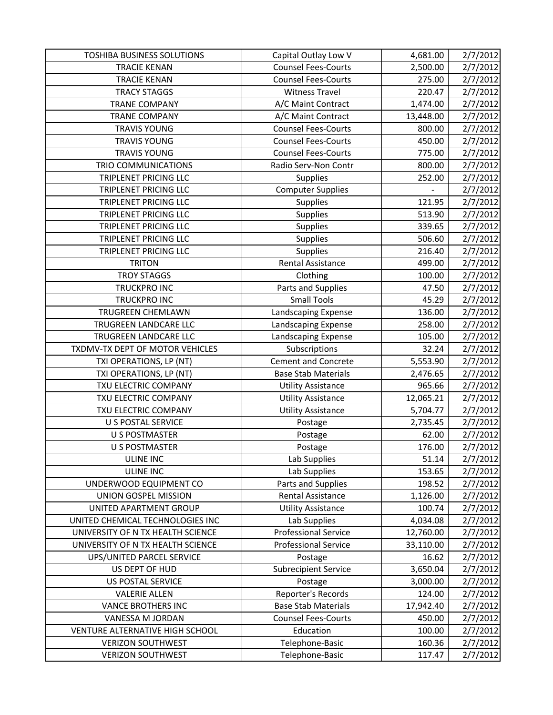| <b>TOSHIBA BUSINESS SOLUTIONS</b> | Capital Outlay Low V        | 4,681.00  | 2/7/2012 |
|-----------------------------------|-----------------------------|-----------|----------|
| <b>TRACIE KENAN</b>               | <b>Counsel Fees-Courts</b>  | 2,500.00  | 2/7/2012 |
| <b>TRACIE KENAN</b>               | <b>Counsel Fees-Courts</b>  | 275.00    | 2/7/2012 |
| <b>TRACY STAGGS</b>               | <b>Witness Travel</b>       | 220.47    | 2/7/2012 |
| <b>TRANE COMPANY</b>              | A/C Maint Contract          | 1,474.00  | 2/7/2012 |
| <b>TRANE COMPANY</b>              | A/C Maint Contract          | 13,448.00 | 2/7/2012 |
| <b>TRAVIS YOUNG</b>               | <b>Counsel Fees-Courts</b>  | 800.00    | 2/7/2012 |
| <b>TRAVIS YOUNG</b>               | <b>Counsel Fees-Courts</b>  | 450.00    | 2/7/2012 |
| <b>TRAVIS YOUNG</b>               | <b>Counsel Fees-Courts</b>  | 775.00    | 2/7/2012 |
| TRIO COMMUNICATIONS               | Radio Serv-Non Contr        | 800.00    | 2/7/2012 |
| TRIPLENET PRICING LLC             | Supplies                    | 252.00    | 2/7/2012 |
| TRIPLENET PRICING LLC             | <b>Computer Supplies</b>    |           | 2/7/2012 |
| <b>TRIPLENET PRICING LLC</b>      | Supplies                    | 121.95    | 2/7/2012 |
| <b>TRIPLENET PRICING LLC</b>      | <b>Supplies</b>             | 513.90    | 2/7/2012 |
| <b>TRIPLENET PRICING LLC</b>      | <b>Supplies</b>             | 339.65    | 2/7/2012 |
| TRIPLENET PRICING LLC             | <b>Supplies</b>             | 506.60    | 2/7/2012 |
| TRIPLENET PRICING LLC             | <b>Supplies</b>             | 216.40    | 2/7/2012 |
| <b>TRITON</b>                     | Rental Assistance           | 499.00    | 2/7/2012 |
| <b>TROY STAGGS</b>                | Clothing                    | 100.00    | 2/7/2012 |
| TRUCKPRO INC                      | Parts and Supplies          | 47.50     | 2/7/2012 |
| <b>TRUCKPRO INC</b>               | <b>Small Tools</b>          | 45.29     | 2/7/2012 |
| <b>TRUGREEN CHEMLAWN</b>          | Landscaping Expense         | 136.00    | 2/7/2012 |
| TRUGREEN LANDCARE LLC             | Landscaping Expense         | 258.00    | 2/7/2012 |
| TRUGREEN LANDCARE LLC             | Landscaping Expense         | 105.00    | 2/7/2012 |
| TXDMV-TX DEPT OF MOTOR VEHICLES   | Subscriptions               | 32.24     | 2/7/2012 |
| TXI OPERATIONS, LP (NT)           | <b>Cement and Concrete</b>  | 5,553.90  | 2/7/2012 |
| TXI OPERATIONS, LP (NT)           | <b>Base Stab Materials</b>  | 2,476.65  | 2/7/2012 |
| TXU ELECTRIC COMPANY              | <b>Utility Assistance</b>   | 965.66    | 2/7/2012 |
| TXU ELECTRIC COMPANY              | <b>Utility Assistance</b>   | 12,065.21 | 2/7/2012 |
| TXU ELECTRIC COMPANY              | <b>Utility Assistance</b>   | 5,704.77  | 2/7/2012 |
| <b>U S POSTAL SERVICE</b>         | Postage                     | 2,735.45  | 2/7/2012 |
| <b>U S POSTMASTER</b>             | Postage                     | 62.00     | 2/7/2012 |
| <b>U S POSTMASTER</b>             | Postage                     | 176.00    | 2/7/2012 |
| <b>ULINE INC</b>                  | Lab Supplies                | 51.14     | 2/7/2012 |
| <b>ULINE INC</b>                  | Lab Supplies                | 153.65    | 2/7/2012 |
| UNDERWOOD EQUIPMENT CO            | Parts and Supplies          | 198.52    | 2/7/2012 |
| UNION GOSPEL MISSION              | <b>Rental Assistance</b>    | 1,126.00  | 2/7/2012 |
| UNITED APARTMENT GROUP            | <b>Utility Assistance</b>   | 100.74    | 2/7/2012 |
| UNITED CHEMICAL TECHNOLOGIES INC  | Lab Supplies                | 4,034.08  | 2/7/2012 |
| UNIVERSITY OF N TX HEALTH SCIENCE | <b>Professional Service</b> | 12,760.00 | 2/7/2012 |
| UNIVERSITY OF N TX HEALTH SCIENCE | <b>Professional Service</b> | 33,110.00 | 2/7/2012 |
| UPS/UNITED PARCEL SERVICE         | Postage                     | 16.62     | 2/7/2012 |
| US DEPT OF HUD                    | <b>Subrecipient Service</b> | 3,650.04  | 2/7/2012 |
| US POSTAL SERVICE                 | Postage                     | 3,000.00  | 2/7/2012 |
| <b>VALERIE ALLEN</b>              | Reporter's Records          | 124.00    | 2/7/2012 |
| <b>VANCE BROTHERS INC</b>         | <b>Base Stab Materials</b>  | 17,942.40 | 2/7/2012 |
| VANESSA M JORDAN                  | <b>Counsel Fees-Courts</b>  | 450.00    | 2/7/2012 |
| VENTURE ALTERNATIVE HIGH SCHOOL   | Education                   | 100.00    | 2/7/2012 |
| <b>VERIZON SOUTHWEST</b>          | Telephone-Basic             | 160.36    | 2/7/2012 |
| <b>VERIZON SOUTHWEST</b>          | Telephone-Basic             | 117.47    | 2/7/2012 |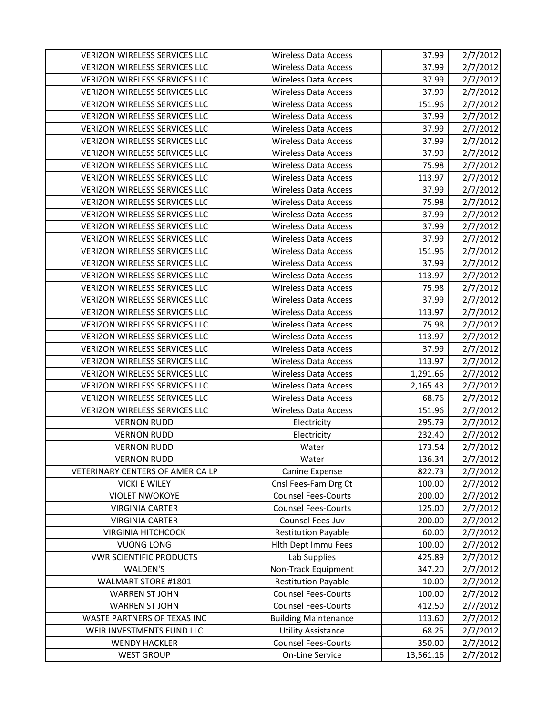| <b>VERIZON WIRELESS SERVICES LLC</b> | <b>Wireless Data Access</b> | 37.99     | 2/7/2012 |
|--------------------------------------|-----------------------------|-----------|----------|
| <b>VERIZON WIRELESS SERVICES LLC</b> | <b>Wireless Data Access</b> | 37.99     | 2/7/2012 |
| VERIZON WIRELESS SERVICES LLC        | <b>Wireless Data Access</b> | 37.99     | 2/7/2012 |
| VERIZON WIRELESS SERVICES LLC        | <b>Wireless Data Access</b> | 37.99     | 2/7/2012 |
| <b>VERIZON WIRELESS SERVICES LLC</b> | <b>Wireless Data Access</b> | 151.96    | 2/7/2012 |
| <b>VERIZON WIRELESS SERVICES LLC</b> | <b>Wireless Data Access</b> | 37.99     | 2/7/2012 |
| VERIZON WIRELESS SERVICES LLC        | <b>Wireless Data Access</b> | 37.99     | 2/7/2012 |
| <b>VERIZON WIRELESS SERVICES LLC</b> | <b>Wireless Data Access</b> | 37.99     | 2/7/2012 |
| <b>VERIZON WIRELESS SERVICES LLC</b> | <b>Wireless Data Access</b> | 37.99     | 2/7/2012 |
| VERIZON WIRELESS SERVICES LLC        | <b>Wireless Data Access</b> | 75.98     | 2/7/2012 |
| <b>VERIZON WIRELESS SERVICES LLC</b> | <b>Wireless Data Access</b> | 113.97    | 2/7/2012 |
| VERIZON WIRELESS SERVICES LLC        | Wireless Data Access        | 37.99     | 2/7/2012 |
| <b>VERIZON WIRELESS SERVICES LLC</b> | <b>Wireless Data Access</b> | 75.98     | 2/7/2012 |
| <b>VERIZON WIRELESS SERVICES LLC</b> | <b>Wireless Data Access</b> | 37.99     | 2/7/2012 |
| <b>VERIZON WIRELESS SERVICES LLC</b> | Wireless Data Access        | 37.99     | 2/7/2012 |
| <b>VERIZON WIRELESS SERVICES LLC</b> | <b>Wireless Data Access</b> | 37.99     | 2/7/2012 |
| VERIZON WIRELESS SERVICES LLC        | <b>Wireless Data Access</b> | 151.96    | 2/7/2012 |
| VERIZON WIRELESS SERVICES LLC        | <b>Wireless Data Access</b> | 37.99     | 2/7/2012 |
| VERIZON WIRELESS SERVICES LLC        | <b>Wireless Data Access</b> | 113.97    | 2/7/2012 |
| VERIZON WIRELESS SERVICES LLC        | <b>Wireless Data Access</b> | 75.98     | 2/7/2012 |
| <b>VERIZON WIRELESS SERVICES LLC</b> | <b>Wireless Data Access</b> | 37.99     | 2/7/2012 |
| <b>VERIZON WIRELESS SERVICES LLC</b> | Wireless Data Access        | 113.97    | 2/7/2012 |
| VERIZON WIRELESS SERVICES LLC        | <b>Wireless Data Access</b> | 75.98     | 2/7/2012 |
| <b>VERIZON WIRELESS SERVICES LLC</b> | Wireless Data Access        | 113.97    | 2/7/2012 |
| VERIZON WIRELESS SERVICES LLC        | <b>Wireless Data Access</b> | 37.99     | 2/7/2012 |
| VERIZON WIRELESS SERVICES LLC        | <b>Wireless Data Access</b> | 113.97    | 2/7/2012 |
| VERIZON WIRELESS SERVICES LLC        | <b>Wireless Data Access</b> | 1,291.66  | 2/7/2012 |
| <b>VERIZON WIRELESS SERVICES LLC</b> | <b>Wireless Data Access</b> | 2,165.43  | 2/7/2012 |
| VERIZON WIRELESS SERVICES LLC        | <b>Wireless Data Access</b> | 68.76     | 2/7/2012 |
| <b>VERIZON WIRELESS SERVICES LLC</b> | <b>Wireless Data Access</b> | 151.96    | 2/7/2012 |
| <b>VERNON RUDD</b>                   | Electricity                 | 295.79    | 2/7/2012 |
| <b>VERNON RUDD</b>                   | Electricity                 | 232.40    | 2/7/2012 |
| <b>VERNON RUDD</b>                   | Water                       | 173.54    | 2/7/2012 |
| <b>VERNON RUDD</b>                   | Water                       | 136.34    | 2/7/2012 |
| VETERINARY CENTERS OF AMERICA LP     | Canine Expense              | 822.73    | 2/7/2012 |
| <b>VICKI E WILEY</b>                 | Cnsl Fees-Fam Drg Ct        | 100.00    | 2/7/2012 |
| <b>VIOLET NWOKOYE</b>                | <b>Counsel Fees-Courts</b>  | 200.00    | 2/7/2012 |
| <b>VIRGINIA CARTER</b>               | <b>Counsel Fees-Courts</b>  | 125.00    | 2/7/2012 |
| <b>VIRGINIA CARTER</b>               | Counsel Fees-Juv            | 200.00    | 2/7/2012 |
| <b>VIRGINIA HITCHCOCK</b>            | <b>Restitution Payable</b>  | 60.00     | 2/7/2012 |
| <b>VUONG LONG</b>                    | Hith Dept Immu Fees         | 100.00    | 2/7/2012 |
| <b>VWR SCIENTIFIC PRODUCTS</b>       | Lab Supplies                | 425.89    | 2/7/2012 |
| WALDEN'S                             | Non-Track Equipment         | 347.20    | 2/7/2012 |
| WALMART STORE #1801                  | <b>Restitution Payable</b>  | 10.00     | 2/7/2012 |
| <b>WARREN ST JOHN</b>                | <b>Counsel Fees-Courts</b>  | 100.00    | 2/7/2012 |
| <b>WARREN ST JOHN</b>                | <b>Counsel Fees-Courts</b>  | 412.50    | 2/7/2012 |
| WASTE PARTNERS OF TEXAS INC          | <b>Building Maintenance</b> | 113.60    | 2/7/2012 |
| WEIR INVESTMENTS FUND LLC            | <b>Utility Assistance</b>   | 68.25     | 2/7/2012 |
| <b>WENDY HACKLER</b>                 | <b>Counsel Fees-Courts</b>  | 350.00    | 2/7/2012 |
| <b>WEST GROUP</b>                    | On-Line Service             | 13,561.16 | 2/7/2012 |
|                                      |                             |           |          |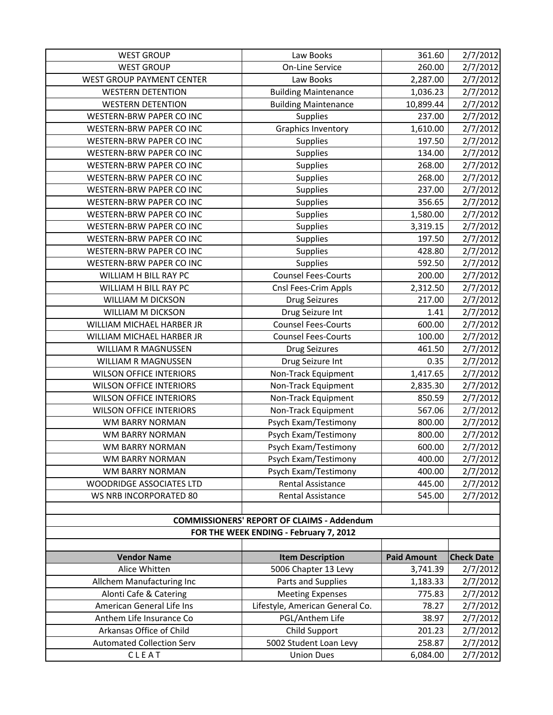| <b>WEST GROUP</b>                | Law Books                                         | 361.60             | 2/7/2012          |
|----------------------------------|---------------------------------------------------|--------------------|-------------------|
| <b>WEST GROUP</b>                | <b>On-Line Service</b>                            | 260.00             | 2/7/2012          |
| <b>WEST GROUP PAYMENT CENTER</b> | Law Books                                         | 2,287.00           | 2/7/2012          |
| <b>WESTERN DETENTION</b>         | <b>Building Maintenance</b>                       | 1,036.23           | 2/7/2012          |
| <b>WESTERN DETENTION</b>         | <b>Building Maintenance</b>                       | 10,899.44          | 2/7/2012          |
| <b>WESTERN-BRW PAPER CO INC</b>  | Supplies                                          | 237.00             | 2/7/2012          |
| WESTERN-BRW PAPER CO INC         | <b>Graphics Inventory</b>                         | 1,610.00           | 2/7/2012          |
| WESTERN-BRW PAPER CO INC         | <b>Supplies</b>                                   | 197.50             | 2/7/2012          |
| <b>WESTERN-BRW PAPER CO INC</b>  | Supplies                                          | 134.00             | 2/7/2012          |
| <b>WESTERN-BRW PAPER CO INC</b>  | <b>Supplies</b>                                   | 268.00             | 2/7/2012          |
| WESTERN-BRW PAPER CO INC         | Supplies                                          | 268.00             | 2/7/2012          |
| WESTERN-BRW PAPER CO INC         | Supplies                                          | 237.00             | 2/7/2012          |
| WESTERN-BRW PAPER CO INC         | Supplies                                          | 356.65             | 2/7/2012          |
| <b>WESTERN-BRW PAPER CO INC</b>  | <b>Supplies</b>                                   | 1,580.00           | 2/7/2012          |
| <b>WESTERN-BRW PAPER CO INC</b>  | <b>Supplies</b>                                   | 3,319.15           | 2/7/2012          |
| <b>WESTERN-BRW PAPER CO INC</b>  | <b>Supplies</b>                                   | 197.50             | 2/7/2012          |
| WESTERN-BRW PAPER CO INC         | Supplies                                          | 428.80             | 2/7/2012          |
| <b>WESTERN-BRW PAPER CO INC</b>  | Supplies                                          | 592.50             | 2/7/2012          |
| WILLIAM H BILL RAY PC            | <b>Counsel Fees-Courts</b>                        | 200.00             | 2/7/2012          |
| WILLIAM H BILL RAY PC            | Cnsl Fees-Crim Appls                              | 2,312.50           | 2/7/2012          |
| WILLIAM M DICKSON                | <b>Drug Seizures</b>                              | 217.00             | 2/7/2012          |
| WILLIAM M DICKSON                | Drug Seizure Int                                  | 1.41               | 2/7/2012          |
| WILLIAM MICHAEL HARBER JR        | <b>Counsel Fees-Courts</b>                        | 600.00             | 2/7/2012          |
| WILLIAM MICHAEL HARBER JR        | <b>Counsel Fees-Courts</b>                        | 100.00             | 2/7/2012          |
| <b>WILLIAM R MAGNUSSEN</b>       | <b>Drug Seizures</b>                              | 461.50             | 2/7/2012          |
| WILLIAM R MAGNUSSEN              | Drug Seizure Int                                  | 0.35               | 2/7/2012          |
| <b>WILSON OFFICE INTERIORS</b>   | Non-Track Equipment                               | 1,417.65           | 2/7/2012          |
| <b>WILSON OFFICE INTERIORS</b>   | Non-Track Equipment                               | 2,835.30           | 2/7/2012          |
| <b>WILSON OFFICE INTERIORS</b>   | Non-Track Equipment                               | 850.59             | 2/7/2012          |
| <b>WILSON OFFICE INTERIORS</b>   | Non-Track Equipment                               | 567.06             | 2/7/2012          |
| <b>WM BARRY NORMAN</b>           | Psych Exam/Testimony                              | 800.00             | 2/7/2012          |
| <b>WM BARRY NORMAN</b>           | Psych Exam/Testimony                              | 800.00             | 2/7/2012          |
| WM BARRY NORMAN                  | Psych Exam/Testimony                              | 600.00             | 2/7/2012          |
| <b>WM BARRY NORMAN</b>           | Psych Exam/Testimony                              | 400.00             | 2/7/2012          |
| WM BARRY NORMAN                  | Psych Exam/Testimony                              | 400.00             | 2/7/2012          |
| WOODRIDGE ASSOCIATES LTD         | Rental Assistance                                 | 445.00             | 2/7/2012          |
| WS NRB INCORPORATED 80           | <b>Rental Assistance</b>                          | 545.00             | 2/7/2012          |
|                                  |                                                   |                    |                   |
|                                  | <b>COMMISSIONERS' REPORT OF CLAIMS - Addendum</b> |                    |                   |
|                                  | FOR THE WEEK ENDING - February 7, 2012            |                    |                   |
|                                  |                                                   |                    |                   |
| <b>Vendor Name</b>               | <b>Item Description</b>                           | <b>Paid Amount</b> | <b>Check Date</b> |
| Alice Whitten                    | 5006 Chapter 13 Levy                              | 3,741.39           | 2/7/2012          |
| Allchem Manufacturing Inc        | Parts and Supplies                                | 1,183.33           | 2/7/2012          |
| Alonti Cafe & Catering           | <b>Meeting Expenses</b>                           | 775.83             | 2/7/2012          |
| American General Life Ins        | Lifestyle, American General Co.                   | 78.27              | 2/7/2012          |
| Anthem Life Insurance Co         | PGL/Anthem Life                                   | 38.97              | 2/7/2012          |
| Arkansas Office of Child         | Child Support                                     | 201.23             | 2/7/2012          |
| <b>Automated Collection Serv</b> | 5002 Student Loan Levy                            | 258.87             | 2/7/2012          |
| CLEAT                            | <b>Union Dues</b>                                 | 6,084.00           | 2/7/2012          |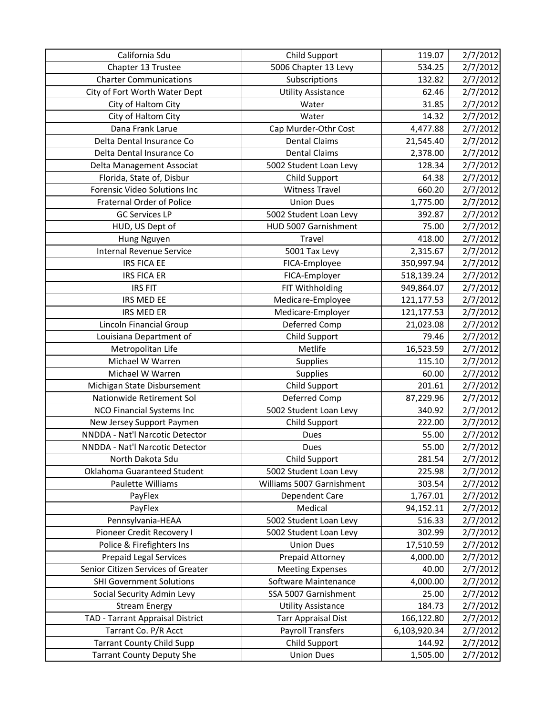| California Sdu                                                       | Child Support                      | 119.07             | 2/7/2012             |
|----------------------------------------------------------------------|------------------------------------|--------------------|----------------------|
| Chapter 13 Trustee                                                   | 5006 Chapter 13 Levy               | 534.25             | 2/7/2012             |
| <b>Charter Communications</b>                                        | Subscriptions                      | 132.82             | 2/7/2012             |
| City of Fort Worth Water Dept                                        | <b>Utility Assistance</b>          | 62.46              | 2/7/2012             |
| City of Haltom City                                                  | Water                              | 31.85              | 2/7/2012             |
| City of Haltom City                                                  | Water                              | 14.32              | 2/7/2012             |
| Dana Frank Larue                                                     | Cap Murder-Othr Cost               | 4,477.88           | 2/7/2012             |
| Delta Dental Insurance Co                                            | <b>Dental Claims</b>               | 21,545.40          | 2/7/2012             |
| Delta Dental Insurance Co                                            | <b>Dental Claims</b>               | 2,378.00           | 2/7/2012             |
| Delta Management Associat                                            | 5002 Student Loan Levy             | 128.34             | 2/7/2012             |
| Florida, State of, Disbur                                            | Child Support                      | 64.38              | 2/7/2012             |
| Forensic Video Solutions Inc                                         | <b>Witness Travel</b>              | 660.20             | 2/7/2012             |
| <b>Fraternal Order of Police</b>                                     | <b>Union Dues</b>                  | 1,775.00           | 2/7/2012             |
| <b>GC Services LP</b>                                                | 5002 Student Loan Levy             | 392.87             | 2/7/2012             |
| HUD, US Dept of                                                      | HUD 5007 Garnishment               | 75.00              | 2/7/2012             |
| Hung Nguyen                                                          | Travel                             | 418.00             | 2/7/2012             |
| Internal Revenue Service                                             | 5001 Tax Levy                      | 2,315.67           | 2/7/2012             |
| <b>IRS FICA EE</b>                                                   | FICA-Employee                      | 350,997.94         | 2/7/2012             |
| <b>IRS FICA ER</b>                                                   | FICA-Employer                      | 518,139.24         | 2/7/2012             |
| <b>IRS FIT</b>                                                       | FIT Withholding                    | 949,864.07         | 2/7/2012             |
| IRS MED EE                                                           | Medicare-Employee                  | 121,177.53         | 2/7/2012             |
| <b>IRS MED ER</b>                                                    | Medicare-Employer                  | 121,177.53         | 2/7/2012             |
| Lincoln Financial Group                                              | Deferred Comp                      | 21,023.08          | 2/7/2012             |
| Louisiana Department of                                              | Child Support                      | 79.46              | 2/7/2012             |
| Metropolitan Life                                                    | Metlife                            | 16,523.59          | 2/7/2012             |
| Michael W Warren                                                     | <b>Supplies</b>                    | 115.10             | 2/7/2012             |
| Michael W Warren                                                     | Supplies                           | 60.00              | 2/7/2012             |
| Michigan State Disbursement                                          | Child Support                      | 201.61             | 2/7/2012             |
| Nationwide Retirement Sol                                            | Deferred Comp                      | 87,229.96          | 2/7/2012             |
| <b>NCO Financial Systems Inc</b>                                     | 5002 Student Loan Levy             | 340.92             | 2/7/2012             |
| New Jersey Support Paymen                                            | <b>Child Support</b>               |                    |                      |
|                                                                      |                                    | 222.00             | 2/7/2012             |
| NNDDA - Nat'l Narcotic Detector                                      | <b>Dues</b>                        | 55.00              | 2/7/2012             |
| NNDDA - Nat'l Narcotic Detector                                      | Dues                               | 55.00              | 2/7/2012             |
| North Dakota Sdu                                                     | Child Support                      | 281.54             | 2/7/2012             |
| Oklahoma Guaranteed Student                                          | 5002 Student Loan Levy             | 225.98             | 2/7/2012             |
| Paulette Williams                                                    | Williams 5007 Garnishment          | 303.54             | 2/7/2012             |
| PayFlex                                                              | Dependent Care                     | 1,767.01           | 2/7/2012             |
| PayFlex                                                              | Medical                            | 94,152.11          | 2/7/2012             |
| Pennsylvania-HEAA                                                    | 5002 Student Loan Levy             | 516.33             | 2/7/2012             |
| Pioneer Credit Recovery I                                            | 5002 Student Loan Levy             | 302.99             | 2/7/2012             |
| Police & Firefighters Ins                                            | <b>Union Dues</b>                  | 17,510.59          | 2/7/2012             |
| <b>Prepaid Legal Services</b>                                        | Prepaid Attorney                   | 4,000.00           | 2/7/2012             |
| Senior Citizen Services of Greater                                   | <b>Meeting Expenses</b>            | 40.00              | 2/7/2012             |
| <b>SHI Government Solutions</b>                                      | Software Maintenance               | 4,000.00           | 2/7/2012             |
| Social Security Admin Levy                                           | SSA 5007 Garnishment               | 25.00              | 2/7/2012             |
| <b>Stream Energy</b>                                                 | <b>Utility Assistance</b>          | 184.73             | 2/7/2012             |
| TAD - Tarrant Appraisal District                                     | <b>Tarr Appraisal Dist</b>         | 166,122.80         | 2/7/2012             |
| Tarrant Co. P/R Acct                                                 | <b>Payroll Transfers</b>           | 6,103,920.34       | 2/7/2012             |
| <b>Tarrant County Child Supp</b><br><b>Tarrant County Deputy She</b> | Child Support<br><b>Union Dues</b> | 144.92<br>1,505.00 | 2/7/2012<br>2/7/2012 |